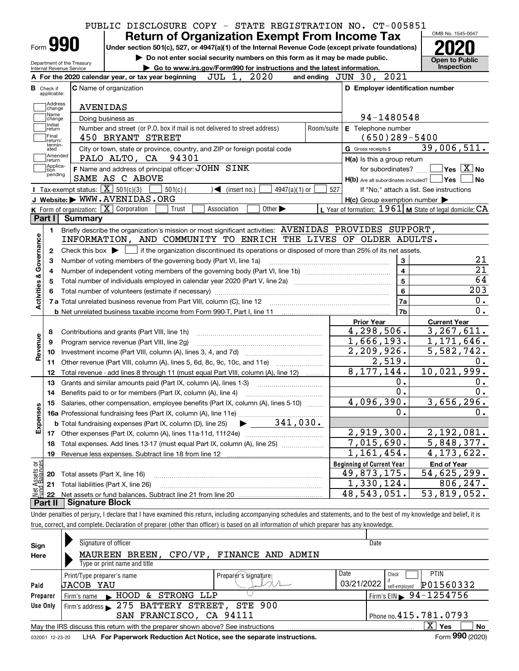|                                                          | PUBLIC DISCLOSURE COPY - STATE REGISTRATION NO. CT-005851                                                                                                                  |            |                                                           | OMB No. 1545-0047                        |
|----------------------------------------------------------|----------------------------------------------------------------------------------------------------------------------------------------------------------------------------|------------|-----------------------------------------------------------|------------------------------------------|
| Form <b>990</b>                                          | <b>Return of Organization Exempt From Income Tax</b><br>Under section 501(c), 527, or 4947(a)(1) of the Internal Revenue Code (except private foundations)                 |            |                                                           |                                          |
|                                                          | Do not enter social security numbers on this form as it may be made public.                                                                                                |            |                                                           | <b>Open to Public</b>                    |
| Department of the Treasury<br>Internal Revenue Service   | Go to www.irs.gov/Form990 for instructions and the latest information.                                                                                                     |            |                                                           | <b>Inspection</b>                        |
|                                                          | JUL 1, 2020<br>A For the 2020 calendar year, or tax year beginning                                                                                                         |            | and ending JUN 30, 2021                                   |                                          |
| <b>B</b> Check if<br>applicable:                         | <b>C</b> Name of organization                                                                                                                                              |            | D Employer identification number                          |                                          |
| Address                                                  | <b>AVENIDAS</b>                                                                                                                                                            |            |                                                           |                                          |
| change<br>Name                                           | Doing business as                                                                                                                                                          |            | 94-1480548                                                |                                          |
| change<br>Initial<br>return                              | Number and street (or P.O. box if mail is not delivered to street address)                                                                                                 | Room/suite | E Telephone number                                        |                                          |
| Final<br>return/                                         | 450 BRYANT STREET                                                                                                                                                          |            | $(650)$ 289-5400                                          |                                          |
| termin-<br>ated                                          | City or town, state or province, country, and ZIP or foreign postal code                                                                                                   |            | G Gross receipts \$                                       | 39,006,511.                              |
| Amended<br>return]                                       | 94301<br>PALO ALTO, CA                                                                                                                                                     |            | H(a) Is this a group return                               |                                          |
| Applica-<br>tion                                         | F Name and address of principal officer: JOHN SINK                                                                                                                         |            | for subordinates?                                         | $\sqrt{}$ Yes $\sqrt{}$ X $\sqrt{}$ No   |
| pending                                                  | SAME AS C ABOVE                                                                                                                                                            |            | H(b) Are all subordinates included?   Yes                 | No                                       |
| Tax-exempt status: $\boxed{\mathbf{X}}$ 501(c)(3)        | $501(c)$ (<br>$\blacktriangleleft$ (insert no.)<br>$4947(a)(1)$ or                                                                                                         | 527        |                                                           | If "No," attach a list. See instructions |
|                                                          | J Website: WWW.AVENIDAS.ORG                                                                                                                                                |            | $H(c)$ Group exemption number $\blacktriangleright$       |                                          |
| K Form of organization: $\boxed{\mathbf{X}}$ Corporation | Other $\blacktriangleright$<br>Trust<br>Association                                                                                                                        |            | L Year of formation: $1961$ M State of legal domicile: CA |                                          |
| Part I<br>Summary                                        |                                                                                                                                                                            |            |                                                           |                                          |
| 1.                                                       | Briefly describe the organization's mission or most significant activities: AVENIDAS PROVIDES SUPPORT,                                                                     |            |                                                           |                                          |
| Activities & Governance                                  | INFORMATION, AND COMMUNITY TO ENRICH THE LIVES OF OLDER ADULTS.                                                                                                            |            |                                                           |                                          |
| 2                                                        | Check this box $\blacktriangleright$ $\Box$ if the organization discontinued its operations or disposed of more than 25% of its net assets.                                |            |                                                           |                                          |
| з                                                        | Number of voting members of the governing body (Part VI, line 1a)                                                                                                          |            | 3                                                         | 21<br>$\overline{21}$                    |
| 4                                                        |                                                                                                                                                                            |            | 4<br>$5\phantom{a}$                                       | 64                                       |
| 5                                                        |                                                                                                                                                                            |            | 6                                                         | 203                                      |
|                                                          |                                                                                                                                                                            |            | 7a                                                        | 0.                                       |
|                                                          |                                                                                                                                                                            |            | 7b                                                        | 0.                                       |
|                                                          |                                                                                                                                                                            |            | <b>Prior Year</b>                                         | <b>Current Year</b>                      |
| 8                                                        | Contributions and grants (Part VIII, line 1h)                                                                                                                              |            | $\overline{4,298},506.$                                   | 3, 267, 611.                             |
| 9                                                        | Program service revenue (Part VIII, line 2g)                                                                                                                               |            | 1,666,193.                                                | 1,171,646.                               |
| Revenue<br>10                                            |                                                                                                                                                                            |            | 2,209,926.                                                | 5,582,742.                               |
| 11                                                       | Other revenue (Part VIII, column (A), lines 5, 6d, 8c, 9c, 10c, and 11e)                                                                                                   |            | $\overline{2,519}$ .                                      | 0.                                       |
| 12                                                       | Total revenue - add lines 8 through 11 (must equal Part VIII, column (A), line 12)                                                                                         |            | 8, 177, 144.                                              | 10,021,999.                              |
| 13                                                       | Grants and similar amounts paid (Part IX, column (A), lines 1-3)                                                                                                           |            | 0.                                                        | 0.                                       |
| 14                                                       |                                                                                                                                                                            |            | 0.                                                        | $0$ .                                    |
|                                                          | 15 Salaries, other compensation, employee benefits (Part IX, column (A), lines 5-10)                                                                                       |            | 4,096,390.                                                | 3,656,296.                               |
| Expenses                                                 |                                                                                                                                                                            |            | 0.                                                        | 0.                                       |
|                                                          | $\blacktriangleright$ 341,030.<br><b>b</b> Total fundraising expenses (Part IX, column (D), line 25)                                                                       |            |                                                           |                                          |
|                                                          |                                                                                                                                                                            |            | 2,919,300.                                                | 2,192,081.                               |
| 18                                                       | Total expenses. Add lines 13-17 (must equal Part IX, column (A), line 25)                                                                                                  |            | 7,015,690.                                                | 5,848,377.                               |
| 19                                                       |                                                                                                                                                                            |            | 1,161,454.                                                | 4,173,622.                               |
|                                                          |                                                                                                                                                                            |            | <b>Beginning of Current Year</b><br>49,873,175.           | <b>End of Year</b><br>54,625,299.        |
| t Assets or<br>d Balances<br>20                          | Total assets (Part X, line 16)                                                                                                                                             |            | 1,330,124.                                                | 806,247.                                 |
| 21<br>혏                                                  | Total liabilities (Part X, line 26)                                                                                                                                        |            | 48,543,051.                                               | 53,819,052.                              |
| 22<br>Part II<br><b>Signature Block</b>                  |                                                                                                                                                                            |            |                                                           |                                          |
|                                                          | Under penalties of perjury, I declare that I have examined this return, including accompanying schedules and statements, and to the best of my knowledge and belief, it is |            |                                                           |                                          |
|                                                          | true, correct, and complete. Declaration of preparer (other than officer) is based on all information of which preparer has any knowledge.                                 |            |                                                           |                                          |
|                                                          |                                                                                                                                                                            |            |                                                           |                                          |
| Sign                                                     | Signature of officer                                                                                                                                                       |            | Date                                                      |                                          |
| Here                                                     | MAUREEN BREEN, CFO/VP, FINANCE AND ADMIN                                                                                                                                   |            |                                                           |                                          |

| Here     | MAUREEN BREEN,                                                                                               | CFO/VP, FINANCE AND ADMIN |                                            |  |  |  |  |  |  |  |  |
|----------|--------------------------------------------------------------------------------------------------------------|---------------------------|--------------------------------------------|--|--|--|--|--|--|--|--|
|          | Type or print name and title                                                                                 |                           |                                            |  |  |  |  |  |  |  |  |
|          | Print/Type preparer's name                                                                                   | Preparér's signature      | Date<br><b>PTIN</b><br>Check               |  |  |  |  |  |  |  |  |
| Paid     | <b>JACOB YAU</b>                                                                                             |                           | 03/21/2022<br>P01560332<br>self-emploved   |  |  |  |  |  |  |  |  |
| Preparer | & STRONG LLP<br>HOOD<br>Firm's name                                                                          |                           | $'$ Firm's EIN $\triangleright$ 94-1254756 |  |  |  |  |  |  |  |  |
| Use Only | Firm's address 275 BATTERY STREET, STE 900                                                                   |                           |                                            |  |  |  |  |  |  |  |  |
|          | SAN FRANCISCO, CA 94111<br>$!$ Phone no. $415.781.0793$                                                      |                           |                                            |  |  |  |  |  |  |  |  |
|          | X.<br><b>No</b><br>Yes<br>May the IRS discuss this return with the preparer shown above? See instructions    |                           |                                            |  |  |  |  |  |  |  |  |
|          | Form 990 (2020)<br>LHA For Paperwork Reduction Act Notice, see the separate instructions.<br>032001 12-23-20 |                           |                                            |  |  |  |  |  |  |  |  |

032001 12-23-20 LHA **For Paperwork Reduction Act Notice, see the separate instructions.**<br>032001 12-23-20 LHA **For Paperwork Reduction Act Notice, see the separate instructions.**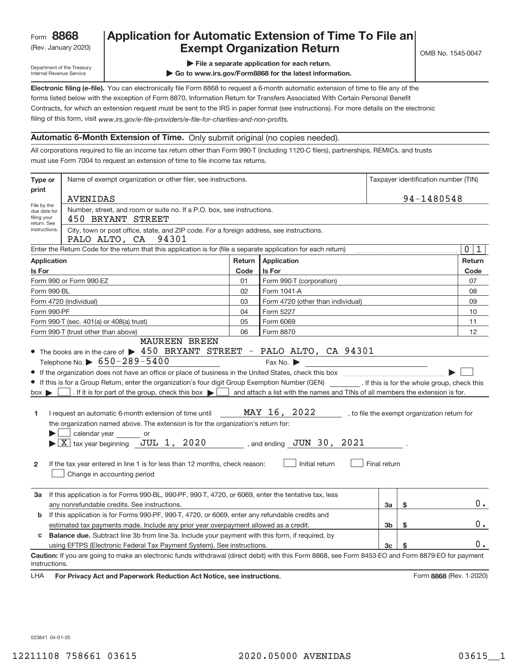# Rev. January 2020) **Cxempt Organization Return** Manuary 2020 and the Sea of the Sea of the Sea of the Sea of the S **Application for Automatic Extension of Time To File an**

Department of the Treasury Internal Revenue Service

**| File a separate application for each return.**

**| Go to www.irs.gov/Form8868 for the latest information.**

**Electronic filing (e‐file).**  You can electronically file Form 8868 to request a 6‐month automatic extension of time to file any of the filing of this form, visit www.irs.gov/e-file-providers/e-file-for-charities-and-non-profits. forms listed below with the exception of Form 8870, Information Return for Transfers Associated With Certain Personal Benefit Contracts, for which an extension request must be sent to the IRS in paper format (see instructions). For more details on the electronic

# **Automatic 6‐Month Extension of Time.** Only submit original (no copies needed).

All corporations required to file an income tax return other than Form 990‐T (including 1120‐C filers), partnerships, REMICs, and trusts must use Form 7004 to request an extension of time to file income tax returns.

| Type or                                                                                          | Name of exempt organization or other filer, see instructions.                                                                                                                                                                                                                                                                                                                                                                                                                                                                                                                                        | Taxpayer identification number (TIN) |                                                                                                                                                               |              |    |                                              |
|--------------------------------------------------------------------------------------------------|------------------------------------------------------------------------------------------------------------------------------------------------------------------------------------------------------------------------------------------------------------------------------------------------------------------------------------------------------------------------------------------------------------------------------------------------------------------------------------------------------------------------------------------------------------------------------------------------------|--------------------------------------|---------------------------------------------------------------------------------------------------------------------------------------------------------------|--------------|----|----------------------------------------------|
| print                                                                                            | AVENIDAS                                                                                                                                                                                                                                                                                                                                                                                                                                                                                                                                                                                             | 94-1480548                           |                                                                                                                                                               |              |    |                                              |
| File by the<br>due date for<br>filing your<br>return. See                                        | Number, street, and room or suite no. If a P.O. box, see instructions.<br>450 BRYANT STREET                                                                                                                                                                                                                                                                                                                                                                                                                                                                                                          |                                      |                                                                                                                                                               |              |    |                                              |
| instructions.                                                                                    | City, town or post office, state, and ZIP code. For a foreign address, see instructions.<br>PALO ALTO, CA 94301                                                                                                                                                                                                                                                                                                                                                                                                                                                                                      |                                      |                                                                                                                                                               |              |    |                                              |
|                                                                                                  | Enter the Return Code for the return that this application is for (file a separate application for each return)                                                                                                                                                                                                                                                                                                                                                                                                                                                                                      |                                      |                                                                                                                                                               |              |    | 0<br>$\mathbf 1$                             |
| Application                                                                                      |                                                                                                                                                                                                                                                                                                                                                                                                                                                                                                                                                                                                      | Return                               | Application                                                                                                                                                   |              |    | Return                                       |
| Is For                                                                                           |                                                                                                                                                                                                                                                                                                                                                                                                                                                                                                                                                                                                      | Code                                 | Is For                                                                                                                                                        |              |    | Code                                         |
|                                                                                                  | Form 990 or Form 990-EZ                                                                                                                                                                                                                                                                                                                                                                                                                                                                                                                                                                              | 01                                   | Form 990-T (corporation)                                                                                                                                      |              |    | 07                                           |
| Form 990-BL                                                                                      |                                                                                                                                                                                                                                                                                                                                                                                                                                                                                                                                                                                                      | 02                                   | Form 1041-A                                                                                                                                                   |              |    | 08                                           |
|                                                                                                  | Form 4720 (individual)                                                                                                                                                                                                                                                                                                                                                                                                                                                                                                                                                                               | 03                                   | Form 4720 (other than individual)                                                                                                                             |              |    | 09                                           |
| Form 990-PF                                                                                      |                                                                                                                                                                                                                                                                                                                                                                                                                                                                                                                                                                                                      | 04                                   | Form 5227                                                                                                                                                     |              |    | 10                                           |
|                                                                                                  | Form 990-T (sec. 401(a) or 408(a) trust)                                                                                                                                                                                                                                                                                                                                                                                                                                                                                                                                                             | 05                                   | Form 6069                                                                                                                                                     |              |    | 11                                           |
|                                                                                                  | Form 990-T (trust other than above)                                                                                                                                                                                                                                                                                                                                                                                                                                                                                                                                                                  | 06                                   | Form 8870                                                                                                                                                     |              |    | 12                                           |
| $box \blacktriangleright$<br>1<br>2                                                              | If this is for a Group Return, enter the organization's four digit Group Exemption Number (GEN) [If this is for the whole group, check this<br>$\rfloor$ . If it is for part of the group, check this box $\blacktriangleright$ $\lceil$<br>I request an automatic 6-month extension of time until<br>the organization named above. The extension is for the organization's return for:<br>calendar year or<br>$\blacktriangleright$ $\boxed{\text{X}}$ tax year beginning JUL 1, 2020<br>If the tax year entered in line 1 is for less than 12 months, check reason:<br>Change in accounting period |                                      | and attach a list with the names and TINs of all members the extension is for.<br>MAY 16, 2022<br>$\sim$ , and ending $\sigma$ JUN 30, 2021<br>Initial return | Final return |    | , to file the exempt organization return for |
| За                                                                                               | If this application is for Forms 990-BL, 990-PF, 990-T, 4720, or 6069, enter the tentative tax, less<br>any nonrefundable credits. See instructions.                                                                                                                                                                                                                                                                                                                                                                                                                                                 |                                      |                                                                                                                                                               | За           | \$ | $0$ .                                        |
| b                                                                                                | If this application is for Forms 990-PF, 990-T, 4720, or 6069, enter any refundable credits and                                                                                                                                                                                                                                                                                                                                                                                                                                                                                                      |                                      |                                                                                                                                                               |              |    | 0.                                           |
| estimated tax payments made. Include any prior year overpayment allowed as a credit.<br>3b<br>\$ |                                                                                                                                                                                                                                                                                                                                                                                                                                                                                                                                                                                                      |                                      |                                                                                                                                                               |              |    |                                              |
| c                                                                                                | Balance due. Subtract line 3b from line 3a. Include your payment with this form, if required, by                                                                                                                                                                                                                                                                                                                                                                                                                                                                                                     |                                      |                                                                                                                                                               |              |    |                                              |
|                                                                                                  | using EFTPS (Electronic Federal Tax Payment System). See instructions.                                                                                                                                                                                                                                                                                                                                                                                                                                                                                                                               |                                      |                                                                                                                                                               | 3c           |    | 0.                                           |
| instructions.                                                                                    | Caution: If you are going to make an electronic funds withdrawal (direct debit) with this Form 8868, see Form 8453-EO and Form 8879-EO for payment                                                                                                                                                                                                                                                                                                                                                                                                                                                   |                                      |                                                                                                                                                               |              |    |                                              |

LHA For Privacy Act and Paperwork Reduction Act Notice, see instructions. **8868** (Rev. 1–2020)

023841 04‐01‐20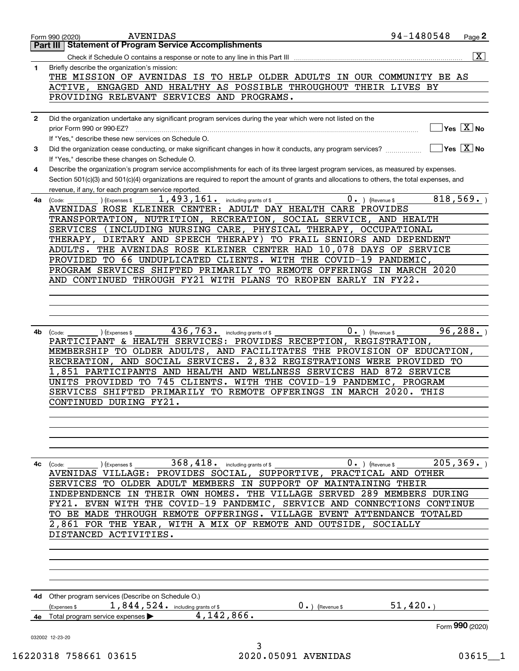|              | AVENIDAS<br>Form 990 (2020)<br><b>Statement of Program Service Accomplishments</b><br>Part III                                                                  |                                                              | 94-1480548<br>Page 2                                            |
|--------------|-----------------------------------------------------------------------------------------------------------------------------------------------------------------|--------------------------------------------------------------|-----------------------------------------------------------------|
|              |                                                                                                                                                                 |                                                              | $\overline{\mathbf{x}}$                                         |
| $\mathbf{1}$ | Check if Schedule O contains a response or note to any line in this Part III<br>Briefly describe the organization's mission:                                    |                                                              |                                                                 |
|              | THE MISSION OF AVENIDAS IS TO HELP OLDER ADULTS IN OUR COMMUNITY BE AS                                                                                          |                                                              |                                                                 |
|              | ACTIVE, ENGAGED AND HEALTHY AS POSSIBLE THROUGHOUT THEIR LIVES BY                                                                                               |                                                              |                                                                 |
|              | PROVIDING RELEVANT SERVICES AND PROGRAMS.                                                                                                                       |                                                              |                                                                 |
|              |                                                                                                                                                                 |                                                              |                                                                 |
| $\mathbf{2}$ | Did the organization undertake any significant program services during the year which were not listed on the                                                    |                                                              |                                                                 |
|              | prior Form 990 or 990-EZ?                                                                                                                                       |                                                              | $\sqrt{}$ Yes $\sqrt{X}$ No                                     |
|              | If "Yes," describe these new services on Schedule O.                                                                                                            |                                                              |                                                                 |
| 3            | Did the organization cease conducting, or make significant changes in how it conducts, any program services?<br>If "Yes," describe these changes on Schedule O. |                                                              | $\overline{\mathsf{Yes} \mathrel{\hspace{0.5pt}\mathsf{X}}}$ No |
| 4            | Describe the organization's program service accomplishments for each of its three largest program services, as measured by expenses.                            |                                                              |                                                                 |
|              | Section 501(c)(3) and 501(c)(4) organizations are required to report the amount of grants and allocations to others, the total expenses, and                    |                                                              |                                                                 |
|              | revenue, if any, for each program service reported.                                                                                                             |                                                              |                                                                 |
| 4a           | 1,493,161.<br>(Code:<br>(Expenses \$                                                                                                                            | including grants of \$                                       | 818,569.<br>$0 \cdot$ ) (Revenue \$                             |
|              | AVENIDAS ROSE KLEINER CENTER: ADULT DAY HEALTH CARE PROVIDES                                                                                                    |                                                              |                                                                 |
|              | TRANSPORTATION, NUTRITION, RECREATION,                                                                                                                          | SOCIAL SERVICE, AND HEALTH                                   |                                                                 |
|              | SERVICES (INCLUDING NURSING CARE, PHYSICAL THERAPY, OCCUPATIONAL                                                                                                |                                                              |                                                                 |
|              | THERAPY, DIETARY AND SPEECH THERAPY)                                                                                                                            | TO FRAIL SENIORS AND DEPENDENT                               |                                                                 |
|              | ADULTS. THE AVENIDAS ROSE KLEINER CENTER HAD 10,078 DAYS OF SERVICE                                                                                             |                                                              |                                                                 |
|              | PROVIDED TO 66 UNDUPLICATED CLIENTS. WITH THE COVID-19 PANDEMIC,                                                                                                |                                                              |                                                                 |
|              | PROGRAM SERVICES SHIFTED PRIMARILY TO REMOTE OFFERINGS IN MARCH 2020                                                                                            |                                                              |                                                                 |
|              | AND CONTINUED THROUGH FY21 WITH PLANS TO REOPEN EARLY IN FY22.                                                                                                  |                                                              |                                                                 |
|              |                                                                                                                                                                 |                                                              |                                                                 |
|              |                                                                                                                                                                 |                                                              |                                                                 |
|              |                                                                                                                                                                 |                                                              |                                                                 |
|              |                                                                                                                                                                 |                                                              |                                                                 |
| 4b           | 436,763. including grants of \$<br>(Expenses \$<br>(Code:                                                                                                       |                                                              | 96, 288.<br>$0 \cdot$ ) (Revenue \$                             |
|              | PARTICIPANT & HEALTH SERVICES: PROVIDES RECEPTION, REGISTRATION,                                                                                                |                                                              |                                                                 |
|              | MEMBERSHIP TO OLDER ADULTS, AND FACILITATES THE PROVISION OF EDUCATION,                                                                                         |                                                              |                                                                 |
|              | RECREATION, AND SOCIAL SERVICES. 2,832 REGISTRATIONS WERE PROVIDED TO                                                                                           |                                                              |                                                                 |
|              | 1,851 PARTICIPANTS AND HEALTH AND WELLNESS SERVICES HAD 872 SERVICE                                                                                             |                                                              |                                                                 |
|              | UNITS PROVIDED TO 745 CLIENTS. WITH THE COVID-19 PANDEMIC,                                                                                                      |                                                              | PROGRAM                                                         |
|              | SERVICES SHIFTED PRIMARILY TO REMOTE OFFERINGS IN MARCH 2020. THIS                                                                                              |                                                              |                                                                 |
|              | CONTINUED DURING FY21.                                                                                                                                          |                                                              |                                                                 |
|              |                                                                                                                                                                 |                                                              |                                                                 |
|              |                                                                                                                                                                 |                                                              |                                                                 |
|              |                                                                                                                                                                 |                                                              |                                                                 |
|              |                                                                                                                                                                 |                                                              |                                                                 |
|              |                                                                                                                                                                 |                                                              |                                                                 |
| 4с           | $368,418.$ including grants of \$<br>(Code:<br>(Expenses \$                                                                                                     |                                                              | 205, 369.<br>$0 \cdot$ ) (Revenue \$                            |
|              | AVENIDAS VILLAGE: PROVIDES SOCIAL, SUPPORTIVE, PRACTICAL AND OTHER                                                                                              |                                                              |                                                                 |
|              | SERVICES TO OLDER ADULT MEMBERS IN SUPPORT OF MAINTAINING THEIR                                                                                                 |                                                              |                                                                 |
|              | INDEPENDENCE IN                                                                                                                                                 | THEIR OWN HOMES. THE VILLAGE SERVED 289 MEMBERS DURING       |                                                                 |
|              | FY21. EVEN                                                                                                                                                      | WITH THE COVID-19 PANDEMIC, SERVICE AND CONNECTIONS CONTINUE |                                                                 |
|              | TO BE MADE THROUGH REMOTE OFFERINGS. VILLAGE EVENT ATTENDANCE TOTALED                                                                                           |                                                              |                                                                 |
|              |                                                                                                                                                                 |                                                              |                                                                 |
|              | 2,861 FOR THE YEAR, WITH A MIX OF REMOTE AND OUTSIDE, SOCIALLY                                                                                                  |                                                              |                                                                 |
|              | DISTANCED ACTIVITIES.                                                                                                                                           |                                                              |                                                                 |
|              |                                                                                                                                                                 |                                                              |                                                                 |
|              |                                                                                                                                                                 |                                                              |                                                                 |
|              |                                                                                                                                                                 |                                                              |                                                                 |
|              |                                                                                                                                                                 |                                                              |                                                                 |
|              | 4d Other program services (Describe on Schedule O.)                                                                                                             |                                                              |                                                                 |
|              | 1,844,524. including grants of \$<br>(Expenses \$                                                                                                               | $0 \cdot$ ) (Revenue \$                                      | 51,420.                                                         |
| 4e           | 4,142,866.<br>Total program service expenses                                                                                                                    |                                                              |                                                                 |
|              |                                                                                                                                                                 |                                                              | Form 990 (2020)                                                 |
|              | 032002 12-23-20                                                                                                                                                 |                                                              |                                                                 |
|              |                                                                                                                                                                 | 3                                                            |                                                                 |
|              | 16220318 758661 03615                                                                                                                                           | 2020.05091 AVENIDAS                                          | 03615                                                           |
|              |                                                                                                                                                                 |                                                              |                                                                 |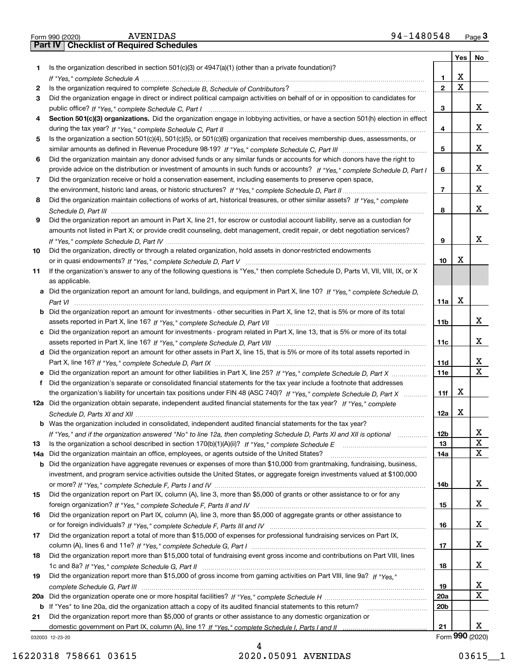|     | 94-1480548<br><b>AVENIDAS</b><br>Form 990 (2020)                                                                                                                                                                                                  |                    |                         | Page $3$                     |
|-----|---------------------------------------------------------------------------------------------------------------------------------------------------------------------------------------------------------------------------------------------------|--------------------|-------------------------|------------------------------|
|     | <b>Part IV   Checklist of Required Schedules</b>                                                                                                                                                                                                  |                    |                         |                              |
|     |                                                                                                                                                                                                                                                   |                    | Yes                     | No                           |
| 1   | Is the organization described in section $501(c)(3)$ or $4947(a)(1)$ (other than a private foundation)?                                                                                                                                           |                    | X                       |                              |
| 2   | If "Yes," complete Schedule A measured and the complete schedule A measured and the complete Schedule A measured and the complete schedule A measured and the control of the control of the control of the control of the cont                    | 1.<br>$\mathbf{2}$ | $\overline{\mathbf{x}}$ |                              |
| З   | Did the organization engage in direct or indirect political campaign activities on behalf of or in opposition to candidates for                                                                                                                   |                    |                         |                              |
|     |                                                                                                                                                                                                                                                   | 3                  |                         | x                            |
| 4   | Section 501(c)(3) organizations. Did the organization engage in lobbying activities, or have a section 501(h) election in effect                                                                                                                  |                    |                         |                              |
|     |                                                                                                                                                                                                                                                   | 4                  |                         | x                            |
| 5   | Is the organization a section 501(c)(4), 501(c)(5), or 501(c)(6) organization that receives membership dues, assessments, or                                                                                                                      |                    |                         |                              |
|     |                                                                                                                                                                                                                                                   | 5                  |                         | x                            |
| 6   | Did the organization maintain any donor advised funds or any similar funds or accounts for which donors have the right to                                                                                                                         |                    |                         |                              |
|     | provide advice on the distribution or investment of amounts in such funds or accounts? If "Yes," complete Schedule D, Part I                                                                                                                      | 6                  |                         | x                            |
| 7   | Did the organization receive or hold a conservation easement, including easements to preserve open space,                                                                                                                                         |                    |                         |                              |
|     |                                                                                                                                                                                                                                                   | $\overline{7}$     |                         | x                            |
| 8   | Did the organization maintain collections of works of art, historical treasures, or other similar assets? If "Yes," complete                                                                                                                      |                    |                         |                              |
|     |                                                                                                                                                                                                                                                   | 8                  |                         | x                            |
| 9   | Did the organization report an amount in Part X, line 21, for escrow or custodial account liability, serve as a custodian for                                                                                                                     |                    |                         |                              |
|     | amounts not listed in Part X; or provide credit counseling, debt management, credit repair, or debt negotiation services?                                                                                                                         | 9                  |                         | x                            |
| 10  | Did the organization, directly or through a related organization, hold assets in donor-restricted endowments                                                                                                                                      |                    |                         |                              |
|     |                                                                                                                                                                                                                                                   | 10                 | X                       |                              |
| 11  | If the organization's answer to any of the following questions is "Yes," then complete Schedule D, Parts VI, VII, VIII, IX, or X                                                                                                                  |                    |                         |                              |
|     | as applicable.                                                                                                                                                                                                                                    |                    |                         |                              |
|     | a Did the organization report an amount for land, buildings, and equipment in Part X, line 10? If "Yes," complete Schedule D.                                                                                                                     |                    |                         |                              |
|     |                                                                                                                                                                                                                                                   | 11a                | X                       |                              |
|     | <b>b</b> Did the organization report an amount for investments - other securities in Part X, line 12, that is 5% or more of its total                                                                                                             |                    |                         |                              |
|     |                                                                                                                                                                                                                                                   | 11 <sub>b</sub>    |                         | x                            |
|     | c Did the organization report an amount for investments - program related in Part X, line 13, that is 5% or more of its total                                                                                                                     |                    |                         |                              |
|     |                                                                                                                                                                                                                                                   | 11c                |                         | x                            |
|     | d Did the organization report an amount for other assets in Part X, line 15, that is 5% or more of its total assets reported in                                                                                                                   |                    |                         |                              |
|     |                                                                                                                                                                                                                                                   | 11d                |                         | x<br>$\overline{\mathbf{X}}$ |
|     |                                                                                                                                                                                                                                                   | <b>11e</b>         |                         |                              |
| f   | Did the organization's separate or consolidated financial statements for the tax year include a footnote that addresses<br>the organization's liability for uncertain tax positions under FIN 48 (ASC 740)? If "Yes," complete Schedule D, Part X | 11f                | Х                       |                              |
|     | 12a Did the organization obtain separate, independent audited financial statements for the tax year? If "Yes," complete                                                                                                                           |                    |                         |                              |
|     |                                                                                                                                                                                                                                                   | 12a                | X                       |                              |
|     | <b>b</b> Was the organization included in consolidated, independent audited financial statements for the tax year?                                                                                                                                |                    |                         |                              |
|     | If "Yes," and if the organization answered "No" to line 12a, then completing Schedule D, Parts XI and XII is optional                                                                                                                             | 12b                |                         | X                            |
| 13  |                                                                                                                                                                                                                                                   | 13                 |                         | $\mathbf{X}$                 |
| 14a | Did the organization maintain an office, employees, or agents outside of the United States?                                                                                                                                                       | 14a                |                         | X                            |
| b   | Did the organization have aggregate revenues or expenses of more than \$10,000 from grantmaking, fundraising, business,                                                                                                                           |                    |                         |                              |
|     | investment, and program service activities outside the United States, or aggregate foreign investments valued at \$100,000                                                                                                                        |                    |                         |                              |
|     |                                                                                                                                                                                                                                                   | 14b                |                         | x                            |
| 15  | Did the organization report on Part IX, column (A), line 3, more than \$5,000 of grants or other assistance to or for any                                                                                                                         |                    |                         |                              |
|     |                                                                                                                                                                                                                                                   | 15                 |                         | x                            |
| 16  | Did the organization report on Part IX, column (A), line 3, more than \$5,000 of aggregate grants or other assistance to                                                                                                                          |                    |                         | x                            |
| 17  | Did the organization report a total of more than \$15,000 of expenses for professional fundraising services on Part IX,                                                                                                                           | 16                 |                         |                              |
|     |                                                                                                                                                                                                                                                   | 17                 |                         | x                            |
| 18  | Did the organization report more than \$15,000 total of fundraising event gross income and contributions on Part VIII, lines                                                                                                                      |                    |                         |                              |
|     |                                                                                                                                                                                                                                                   | 18                 |                         | x                            |
| 19  | Did the organization report more than \$15,000 of gross income from gaming activities on Part VIII, line 9a? If "Yes."                                                                                                                            |                    |                         |                              |
|     |                                                                                                                                                                                                                                                   | 19                 |                         | X                            |
| 20a |                                                                                                                                                                                                                                                   | 20a                |                         | X                            |
| b   | If "Yes" to line 20a, did the organization attach a copy of its audited financial statements to this return?                                                                                                                                      | 20 <sub>b</sub>    |                         |                              |
| 21  | Did the organization report more than \$5,000 of grants or other assistance to any domestic organization or                                                                                                                                       |                    |                         |                              |
|     |                                                                                                                                                                                                                                                   | 21                 |                         | x                            |
|     | 032003 12-23-20                                                                                                                                                                                                                                   |                    |                         | Form 990 (2020)              |

032003 12-23-20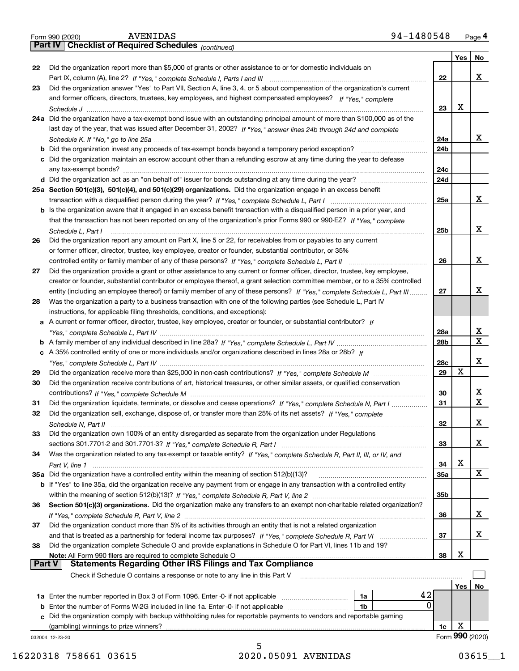|               | 94-1480548<br><b>AVENIDAS</b><br>Form 990 (2020)                                                                                                                                            |            |     | Page 4                       |
|---------------|---------------------------------------------------------------------------------------------------------------------------------------------------------------------------------------------|------------|-----|------------------------------|
|               | <b>Part IV   Checklist of Required Schedules</b> (continued)                                                                                                                                |            |     |                              |
|               |                                                                                                                                                                                             |            | Yes | No                           |
| 22            | Did the organization report more than \$5,000 of grants or other assistance to or for domestic individuals on                                                                               |            |     |                              |
|               |                                                                                                                                                                                             | 22         |     | x                            |
| 23            | Did the organization answer "Yes" to Part VII, Section A, line 3, 4, or 5 about compensation of the organization's current                                                                  |            |     |                              |
|               | and former officers, directors, trustees, key employees, and highest compensated employees? If "Yes," complete                                                                              |            | x   |                              |
|               | 24a Did the organization have a tax-exempt bond issue with an outstanding principal amount of more than \$100,000 as of the                                                                 | 23         |     |                              |
|               | last day of the year, that was issued after December 31, 2002? If "Yes," answer lines 24b through 24d and complete                                                                          |            |     |                              |
|               |                                                                                                                                                                                             | 24a        |     | X.                           |
|               | <b>b</b> Did the organization invest any proceeds of tax-exempt bonds beyond a temporary period exception?                                                                                  | 24b        |     |                              |
|               | c Did the organization maintain an escrow account other than a refunding escrow at any time during the year to defease                                                                      |            |     |                              |
|               |                                                                                                                                                                                             | 24c        |     |                              |
|               |                                                                                                                                                                                             | 24d        |     |                              |
|               | 25a Section 501(c)(3), 501(c)(4), and 501(c)(29) organizations. Did the organization engage in an excess benefit                                                                            |            |     |                              |
|               | transaction with a disqualified person during the year? If "Yes," complete Schedule L, Part I manufaction with a disqualified person during the year? If "Yes," complete Schedule L, Part I | 25a        |     | x                            |
|               | b Is the organization aware that it engaged in an excess benefit transaction with a disqualified person in a prior year, and                                                                |            |     |                              |
|               | that the transaction has not been reported on any of the organization's prior Forms 990 or 990-EZ? If "Yes," complete                                                                       |            |     |                              |
|               | Schedule L, Part I                                                                                                                                                                          | 25b        |     | x                            |
| 26            | Did the organization report any amount on Part X, line 5 or 22, for receivables from or payables to any current                                                                             |            |     |                              |
|               | or former officer, director, trustee, key employee, creator or founder, substantial contributor, or 35%                                                                                     |            |     |                              |
|               | controlled entity or family member of any of these persons? If "Yes," complete Schedule L, Part II                                                                                          | 26         |     | x                            |
| 27            | Did the organization provide a grant or other assistance to any current or former officer, director, trustee, key employee,                                                                 |            |     |                              |
|               | creator or founder, substantial contributor or employee thereof, a grant selection committee member, or to a 35% controlled                                                                 |            |     |                              |
|               | entity (including an employee thereof) or family member of any of these persons? If "Yes," complete Schedule L, Part III                                                                    | 27         |     | х                            |
| 28            | Was the organization a party to a business transaction with one of the following parties (see Schedule L, Part IV                                                                           |            |     |                              |
|               | instructions, for applicable filing thresholds, conditions, and exceptions):                                                                                                                |            |     |                              |
|               | a A current or former officer, director, trustee, key employee, creator or founder, or substantial contributor? If                                                                          |            |     |                              |
|               |                                                                                                                                                                                             | 28a        |     | $\frac{\text{x}}{\text{x}}$  |
|               |                                                                                                                                                                                             | 28b        |     |                              |
|               | c A 35% controlled entity of one or more individuals and/or organizations described in lines 28a or 28b? If                                                                                 |            |     |                              |
|               |                                                                                                                                                                                             | 28c        |     | x                            |
| 29            |                                                                                                                                                                                             | 29         | X   |                              |
| 30            | Did the organization receive contributions of art, historical treasures, or other similar assets, or qualified conservation                                                                 |            |     |                              |
|               |                                                                                                                                                                                             | 30         |     | X<br>$\overline{\mathtt{x}}$ |
| 31            | Did the organization liquidate, terminate, or dissolve and cease operations? If "Yes," complete Schedule N, Part I                                                                          | 31         |     |                              |
| 32            | Did the organization sell, exchange, dispose of, or transfer more than 25% of its net assets? If "Yes," complete                                                                            |            |     |                              |
|               |                                                                                                                                                                                             | 32         |     | X.                           |
| 33            | Did the organization own 100% of an entity disregarded as separate from the organization under Regulations                                                                                  |            |     |                              |
|               |                                                                                                                                                                                             | 33         |     | X                            |
| 34            | Was the organization related to any tax-exempt or taxable entity? If "Yes," complete Schedule R, Part II, III, or IV, and                                                                   | 34         | x   |                              |
|               | 35a Did the organization have a controlled entity within the meaning of section 512(b)(13)?                                                                                                 | <b>35a</b> |     | X                            |
|               | <b>b</b> If "Yes" to line 35a, did the organization receive any payment from or engage in any transaction with a controlled entity                                                          |            |     |                              |
|               |                                                                                                                                                                                             | 35b        |     |                              |
| 36            | Section 501(c)(3) organizations. Did the organization make any transfers to an exempt non-charitable related organization?                                                                  |            |     |                              |
|               |                                                                                                                                                                                             | 36         |     | X.                           |
| 37            | Did the organization conduct more than 5% of its activities through an entity that is not a related organization                                                                            |            |     |                              |
|               |                                                                                                                                                                                             | 37         |     | x                            |
| 38            | Did the organization complete Schedule O and provide explanations in Schedule O for Part VI, lines 11b and 19?                                                                              |            |     |                              |
|               | Note: All Form 990 filers are required to complete Schedule O                                                                                                                               | 38         | X   |                              |
| <b>Part V</b> | <b>Statements Regarding Other IRS Filings and Tax Compliance</b>                                                                                                                            |            |     |                              |
|               | Check if Schedule O contains a response or note to any line in this Part V                                                                                                                  |            |     |                              |
|               |                                                                                                                                                                                             |            | Yes | No                           |
|               | 42<br>1a Enter the number reported in Box 3 of Form 1096. Enter -0- if not applicable<br>1a                                                                                                 |            |     |                              |
|               | 0<br>1 <sub>b</sub><br><b>b</b> Enter the number of Forms W-2G included in line 1a. Enter -0- if not applicable                                                                             |            |     |                              |
|               | c Did the organization comply with backup withholding rules for reportable payments to vendors and reportable gaming                                                                        |            |     |                              |
|               | (gambling) winnings to prize winners?                                                                                                                                                       | 1c         | х   |                              |
|               | 032004 12-23-20                                                                                                                                                                             |            |     | Form 990 (2020)              |

5 16220318 758661 03615 2020.05091 AVENIDAS 03615\_\_1

| art IV   Checklist of |  |
|-----------------------|--|
|                       |  |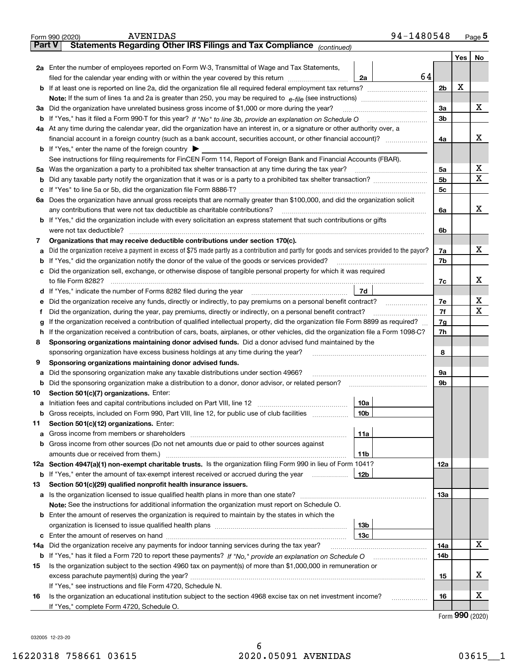|        | 94-1480548<br><b>AVENIDAS</b><br>Form 990 (2020)                                                                                                  |                |         | <u>Page</u> 5 |
|--------|---------------------------------------------------------------------------------------------------------------------------------------------------|----------------|---------|---------------|
| Part V | Statements Regarding Other IRS Filings and Tax Compliance (continued)                                                                             |                |         |               |
|        |                                                                                                                                                   |                | Yes $ $ | No            |
|        | 2a Enter the number of employees reported on Form W-3, Transmittal of Wage and Tax Statements,                                                    |                |         |               |
|        | 64<br>filed for the calendar year ending with or within the year covered by this return<br>2a                                                     |                |         |               |
|        |                                                                                                                                                   | 2 <sub>b</sub> | X       |               |
|        | Note: If the sum of lines 1a and 2a is greater than 250, you may be required to $e$ -file (see instructions) $\ldots$                             |                |         |               |
|        | 3a Did the organization have unrelated business gross income of \$1,000 or more during the year?                                                  | 3a             |         | x             |
|        |                                                                                                                                                   | 3 <sub>b</sub> |         |               |
|        | 4a At any time during the calendar year, did the organization have an interest in, or a signature or other authority over, a                      |                |         |               |
|        |                                                                                                                                                   | 4a             |         | х             |
|        | <b>b</b> If "Yes," enter the name of the foreign country $\blacktriangleright$                                                                    |                |         |               |
|        | See instructions for filing requirements for FinCEN Form 114, Report of Foreign Bank and Financial Accounts (FBAR).                               |                |         |               |
|        | 5a Was the organization a party to a prohibited tax shelter transaction at any time during the tax year?                                          | 5a             |         | X             |
|        |                                                                                                                                                   | 5 <sub>b</sub> |         | Х             |
|        |                                                                                                                                                   | 5c             |         |               |
|        | 6a Does the organization have annual gross receipts that are normally greater than \$100,000, and did the organization solicit                    |                |         |               |
|        | any contributions that were not tax deductible as charitable contributions?                                                                       | 6a             |         | х             |
|        | <b>b</b> If "Yes," did the organization include with every solicitation an express statement that such contributions or gifts                     |                |         |               |
|        | were not tax deductible?                                                                                                                          | 6b             |         |               |
| 7      | Organizations that may receive deductible contributions under section 170(c).                                                                     |                |         |               |
|        | a Did the organization receive a payment in excess of \$75 made partly as a contribution and partly for goods and services provided to the payor? | 7a             |         | x             |
|        | <b>b</b> If "Yes," did the organization notify the donor of the value of the goods or services provided?                                          | 7b             |         |               |
|        | c Did the organization sell, exchange, or otherwise dispose of tangible personal property for which it was required                               |                |         |               |
|        |                                                                                                                                                   | 7c             |         | х             |
|        | 7d                                                                                                                                                |                |         |               |
|        | e Did the organization receive any funds, directly or indirectly, to pay premiums on a personal benefit contract?                                 | 7e             |         | х             |
| Ť.     | Did the organization, during the year, pay premiums, directly or indirectly, on a personal benefit contract?                                      | 7f             |         | х             |
| g      | If the organization received a contribution of qualified intellectual property, did the organization file Form 8899 as required?                  | 7g             |         |               |
|        | h If the organization received a contribution of cars, boats, airplanes, or other vehicles, did the organization file a Form 1098-C?              | 7h             |         |               |
| 8      | Sponsoring organizations maintaining donor advised funds. Did a donor advised fund maintained by the                                              |                |         |               |
|        | sponsoring organization have excess business holdings at any time during the year?                                                                | 8              |         |               |
| 9      | Sponsoring organizations maintaining donor advised funds.                                                                                         |                |         |               |
|        | a Did the sponsoring organization make any taxable distributions under section 4966?                                                              | 9а             |         |               |
|        | <b>b</b> Did the sponsoring organization make a distribution to a donor, donor advisor, or related person?                                        | 9b             |         |               |
| 10     | Section 501(c)(7) organizations. Enter:                                                                                                           |                |         |               |
|        | 10a                                                                                                                                               |                |         |               |
| b      | Gross receipts, included on Form 990, Part VIII, line 12, for public use of club facilities<br>10b                                                |                |         |               |
| 11     | Section 501(c)(12) organizations. Enter:                                                                                                          |                |         |               |
| а      | 11a                                                                                                                                               |                |         |               |
|        | b Gross income from other sources (Do not net amounts due or paid to other sources against                                                        |                |         |               |
|        | amounts due or received from them.)<br>11b                                                                                                        |                |         |               |
|        | 12a Section 4947(a)(1) non-exempt charitable trusts. Is the organization filing Form 990 in lieu of Form 1041?                                    | 12a            |         |               |
| b      | If "Yes," enter the amount of tax-exempt interest received or accrued during the year<br>12b                                                      |                |         |               |
| 13     | Section 501(c)(29) qualified nonprofit health insurance issuers.                                                                                  |                |         |               |
|        | a Is the organization licensed to issue qualified health plans in more than one state?                                                            | 13а            |         |               |
|        | Note: See the instructions for additional information the organization must report on Schedule O.                                                 |                |         |               |
|        | <b>b</b> Enter the amount of reserves the organization is required to maintain by the states in which the                                         |                |         |               |
|        | 13 <sub>b</sub>                                                                                                                                   |                |         |               |
|        | 13с                                                                                                                                               |                |         |               |
| 14a    | Did the organization receive any payments for indoor tanning services during the tax year?                                                        | 14a            |         | х             |
|        |                                                                                                                                                   | 14b            |         |               |
| 15     | Is the organization subject to the section 4960 tax on payment(s) of more than \$1,000,000 in remuneration or                                     |                |         |               |
|        |                                                                                                                                                   | 15             |         | х             |
|        | If "Yes," see instructions and file Form 4720, Schedule N.                                                                                        |                |         |               |
| 16     | Is the organization an educational institution subject to the section 4968 excise tax on net investment income?<br>.                              | 16             |         | х             |
|        | If "Yes," complete Form 4720, Schedule O.                                                                                                         |                |         |               |

Form (2020) **990**

032005 12-23-20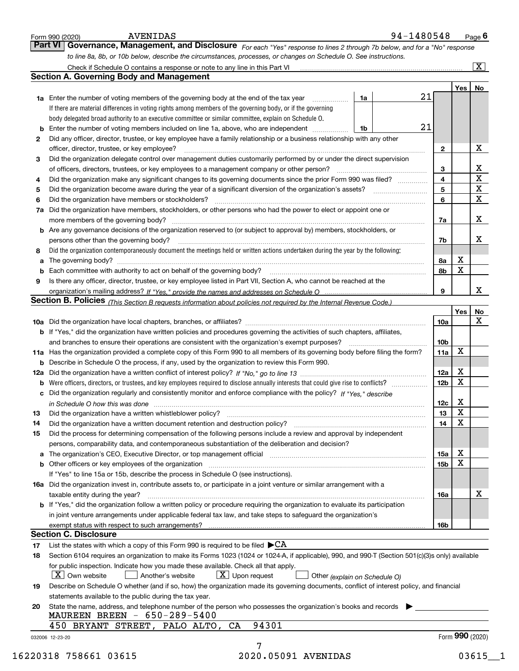|    | Check if Schedule O contains a response or note to any line in this Part VI [11] [12] Check if Schedule O contains a response or note to any line in this Part VI          |                 |             | $\overline{\mathbf{x}}$ |
|----|----------------------------------------------------------------------------------------------------------------------------------------------------------------------------|-----------------|-------------|-------------------------|
|    | <b>Section A. Governing Body and Management</b>                                                                                                                            |                 |             |                         |
|    |                                                                                                                                                                            |                 |             | Yes   No                |
|    | <b>1a</b> Enter the number of voting members of the governing body at the end of the tax year<br>1a                                                                        | 21              |             |                         |
|    | If there are material differences in voting rights among members of the governing body, or if the governing                                                                |                 |             |                         |
|    | body delegated broad authority to an executive committee or similar committee, explain on Schedule O.                                                                      | 21              |             |                         |
|    | Enter the number of voting members included on line 1a, above, who are independent<br>1b                                                                                   |                 |             |                         |
| 2  | Did any officer, director, trustee, or key employee have a family relationship or a business relationship with any other                                                   |                 |             | X                       |
|    | officer, director, trustee, or key employee?<br>Did the organization delegate control over management duties customarily performed by or under the direct supervision      | $\mathbf{2}$    |             |                         |
| 3  | of officers, directors, trustees, or key employees to a management company or other person?                                                                                | 3               |             |                         |
| 4  | Did the organization make any significant changes to its governing documents since the prior Form 990 was filed?                                                           | 4               |             | $rac{X}{X}$             |
| 5  |                                                                                                                                                                            | 5               |             | $\overline{\mathbf{x}}$ |
| 6  | Did the organization have members or stockholders?                                                                                                                         | 6               |             | $\overline{\mathbf{x}}$ |
| 7a | Did the organization have members, stockholders, or other persons who had the power to elect or appoint one or                                                             |                 |             |                         |
|    |                                                                                                                                                                            | 7a              |             | X                       |
|    | <b>b</b> Are any governance decisions of the organization reserved to (or subject to approval by) members, stockholders, or                                                |                 |             |                         |
|    | persons other than the governing body?                                                                                                                                     | 7b              |             | х                       |
| 8  | Did the organization contemporaneously document the meetings held or written actions undertaken during the year by the following:                                          |                 |             |                         |
| а  |                                                                                                                                                                            | 8а              | х           |                         |
| b  |                                                                                                                                                                            | 8b              | X           |                         |
| 9  | Is there any officer, director, trustee, or key employee listed in Part VII, Section A, who cannot be reached at the                                                       |                 |             |                         |
|    |                                                                                                                                                                            | 9               |             | x                       |
|    | Section B. Policies (This Section B requests information about policies not required by the Internal Revenue Code.)                                                        |                 |             |                         |
|    |                                                                                                                                                                            |                 | Yes         | No                      |
|    |                                                                                                                                                                            | 10a             |             | X                       |
|    | b If "Yes," did the organization have written policies and procedures governing the activities of such chapters, affiliates,                                               |                 |             |                         |
|    |                                                                                                                                                                            | 10 <sub>b</sub> |             |                         |
|    | 11a Has the organization provided a complete copy of this Form 990 to all members of its governing body before filing the form?                                            | 11a             | x           |                         |
|    | <b>b</b> Describe in Schedule O the process, if any, used by the organization to review this Form 990.                                                                     |                 |             |                         |
|    |                                                                                                                                                                            | 12a             | x           |                         |
| b  | Were officers, directors, or trustees, and key employees required to disclose annually interests that could give rise to conflicts?                                        | 12 <sub>b</sub> | X           |                         |
|    | c Did the organization regularly and consistently monitor and enforce compliance with the policy? If "Yes," describe                                                       |                 |             |                         |
|    | in Schedule O how this was done measured and contain an according to the state of the state of the state of th                                                             | 12c             | X           |                         |
| 13 |                                                                                                                                                                            | 13              | $\mathbf X$ |                         |
| 14 | Did the organization have a written document retention and destruction policy? manufactured and the organization have a written document retention and destruction policy? | 14              | X           |                         |
| 15 | Did the process for determining compensation of the following persons include a review and approval by independent                                                         |                 |             |                         |
|    | persons, comparability data, and contemporaneous substantiation of the deliberation and decision?                                                                          |                 |             |                         |
|    | a The organization's CEO, Executive Director, or top management official [111] [11] manument material manument                                                             | 15a             | x           |                         |
|    |                                                                                                                                                                            | 15 <sub>b</sub> | X           |                         |
|    | If "Yes" to line 15a or 15b, describe the process in Schedule O (see instructions).                                                                                        |                 |             |                         |
|    | 16a Did the organization invest in, contribute assets to, or participate in a joint venture or similar arrangement with a                                                  |                 |             |                         |
|    | taxable entity during the year?                                                                                                                                            | 16a             |             | х                       |
|    |                                                                                                                                                                            |                 |             |                         |
|    | b If "Yes," did the organization follow a written policy or procedure requiring the organization to evaluate its participation                                             |                 |             |                         |
|    | in joint venture arrangements under applicable federal tax law, and take steps to safequard the organization's                                                             |                 |             |                         |
|    |                                                                                                                                                                            | 16b             |             |                         |
|    | <b>Section C. Disclosure</b>                                                                                                                                               |                 |             |                         |
| 17 | List the states with which a copy of this Form 990 is required to be filed $\blacktriangleright$ CA                                                                        |                 |             |                         |
| 18 | Section 6104 requires an organization to make its Forms 1023 (1024 or 1024-A, if applicable), 990, and 990-T (Section 501(c)(3)s only) available                           |                 |             |                         |
|    | for public inspection. Indicate how you made these available. Check all that apply.                                                                                        |                 |             |                         |
|    | $\lfloor x \rfloor$ Own website<br>$\lfloor X \rfloor$ Upon request<br>Another's website<br>Other (explain on Schedule O)                                                  |                 |             |                         |
| 19 | Describe on Schedule O whether (and if so, how) the organization made its governing documents, conflict of interest policy, and financial                                  |                 |             |                         |
|    | statements available to the public during the tax year.                                                                                                                    |                 |             |                         |
| 20 | State the name, address, and telephone number of the person who possesses the organization's books and records                                                             |                 |             |                         |
|    | MAUREEN BREEN - 650-289-5400<br>94301<br>450 BRYANT STREET, PALO ALTO, CA                                                                                                  |                 |             |                         |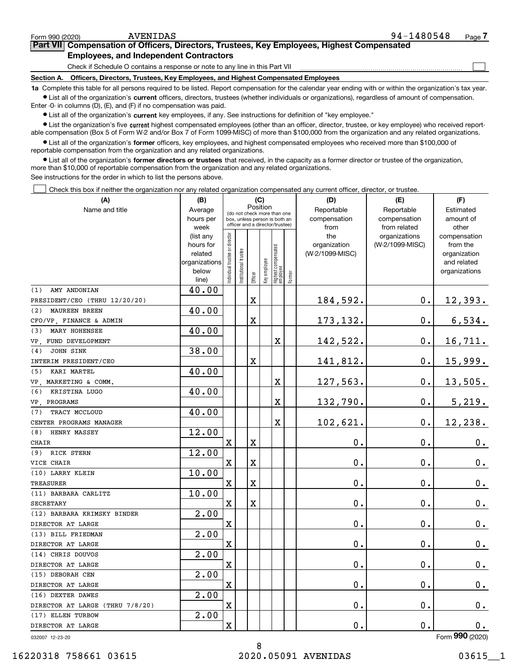$\mathcal{L}^{\text{max}}$ 

## **7Part VII Compensation of Officers, Directors, Trustees, Key Employees, Highest Compensated Employees, and Independent Contractors**

Check if Schedule O contains a response or note to any line in this Part VII

**Section A. Officers, Directors, Trustees, Key Employees, and Highest Compensated Employees**

**1a**  Complete this table for all persons required to be listed. Report compensation for the calendar year ending with or within the organization's tax year. **•** List all of the organization's current officers, directors, trustees (whether individuals or organizations), regardless of amount of compensation.

Enter -0- in columns (D), (E), and (F) if no compensation was paid.

 $\bullet$  List all of the organization's  $\,$ current key employees, if any. See instructions for definition of "key employee."

**•** List the organization's five current highest compensated employees (other than an officer, director, trustee, or key employee) who received reportable compensation (Box 5 of Form W-2 and/or Box 7 of Form 1099-MISC) of more than \$100,000 from the organization and any related organizations.

**•** List all of the organization's former officers, key employees, and highest compensated employees who received more than \$100,000 of reportable compensation from the organization and any related organizations.

**former directors or trustees**  ¥ List all of the organization's that received, in the capacity as a former director or trustee of the organization, more than \$10,000 of reportable compensation from the organization and any related organizations.

See instructions for the order in which to list the persons above.

Check this box if neither the organization nor any related organization compensated any current officer, director, or trustee.  $\mathcal{L}^{\text{max}}$ 

| (A)                                | (B)                    |                                                                  | (C)                  |             |              |                                  |        | (D)                 | (E)                              | (F)                      |  |  |
|------------------------------------|------------------------|------------------------------------------------------------------|----------------------|-------------|--------------|----------------------------------|--------|---------------------|----------------------------------|--------------------------|--|--|
| Name and title                     | Average                | Position<br>(do not check more than one                          |                      |             |              |                                  |        | Reportable          | Reportable                       |                          |  |  |
|                                    | hours per              | box, unless person is both an<br>officer and a director/trustee) |                      |             |              |                                  |        | compensation        | compensation                     | amount of                |  |  |
|                                    | week                   |                                                                  |                      |             |              |                                  |        | from                | from related                     | other                    |  |  |
|                                    | (list any<br>hours for |                                                                  |                      |             |              |                                  |        | the<br>organization | organizations<br>(W-2/1099-MISC) | compensation<br>from the |  |  |
|                                    | related                |                                                                  |                      |             |              |                                  |        | (W-2/1099-MISC)     |                                  | organization             |  |  |
|                                    | organizations          |                                                                  |                      |             |              |                                  |        |                     |                                  | and related              |  |  |
|                                    | below                  | ndividual trustee or director                                    | nstitutional trustee |             | key employee |                                  |        |                     |                                  | organizations            |  |  |
|                                    | line)                  |                                                                  |                      | Officer     |              | Highest compensated<br> employee | Former |                     |                                  |                          |  |  |
| AMY ANDONIAN<br>(1)                | 40.00                  |                                                                  |                      |             |              |                                  |        |                     |                                  |                          |  |  |
| PRESIDENT/CEO (THRU 12/20/20)      |                        |                                                                  |                      | $\mathbf X$ |              |                                  |        | 184,592.            | $\mathbf 0$ .                    | 12,393.                  |  |  |
| <b>MAUREEN BREEN</b><br>(2)        | 40.00                  |                                                                  |                      |             |              |                                  |        |                     |                                  |                          |  |  |
| CFO/VP, FINANCE & ADMIN            |                        |                                                                  |                      | X           |              |                                  |        | 173, 132.           | $\mathbf{0}$ .                   | 6,534.                   |  |  |
| MARY HOHENSEE<br>(3)               | 40.00                  |                                                                  |                      |             |              |                                  |        |                     |                                  |                          |  |  |
| VP, FUND DEVELOPMENT               |                        |                                                                  |                      |             |              | X                                |        | 142,522.            | $\mathbf 0$ .                    | 16, 711.                 |  |  |
| <b>JOHN SINK</b><br>(4)            | 38.00                  |                                                                  |                      |             |              |                                  |        |                     |                                  |                          |  |  |
| INTERIM PRESIDENT/CEO              |                        |                                                                  |                      | $\rm X$     |              |                                  |        | 141,812.            | $\mathbf{0}$ .                   | 15,999.                  |  |  |
| KARI MARTEL<br>(5)                 | 40.00                  |                                                                  |                      |             |              |                                  |        |                     |                                  |                          |  |  |
| VP. MARKETING & COMM.              |                        |                                                                  |                      |             |              | X                                |        | 127,563.            | $\mathbf 0$ .                    | 13,505.                  |  |  |
| (6)<br>KRISTINA LUGO               | 40.00                  |                                                                  |                      |             |              |                                  |        |                     |                                  |                          |  |  |
| VP PROGRAMS                        |                        |                                                                  |                      |             |              | $\overline{\textbf{X}}$          |        | 132,790.            | $\mathbf 0$ .                    | 5,219.                   |  |  |
| TRACY MCCLOUD<br>(7)               | 40.00                  |                                                                  |                      |             |              |                                  |        |                     |                                  |                          |  |  |
| CENTER PROGRAMS MANAGER            |                        |                                                                  |                      |             |              | X                                |        | 102,621.            | $\mathbf 0$ .                    | 12,238.                  |  |  |
| HENRY MASSEY<br>(8)                | 12.00                  |                                                                  |                      |             |              |                                  |        |                     |                                  |                          |  |  |
| <b>CHAIR</b>                       |                        | $\overline{\mathbf{X}}$                                          |                      | $\rm X$     |              |                                  |        | 0.                  | $\mathbf 0$ .                    | 0.                       |  |  |
| RICK STERN<br>(9)                  | 12.00                  |                                                                  |                      |             |              |                                  |        |                     |                                  |                          |  |  |
| VICE CHAIR                         |                        | $\overline{\text{X}}$                                            |                      | $\mathbf X$ |              |                                  |        | 0.                  | $\mathbf 0$ .                    | 0.                       |  |  |
| (10) LARRY KLEIN                   | 10.00                  |                                                                  |                      |             |              |                                  |        |                     |                                  |                          |  |  |
| <b>TREASURER</b>                   |                        | $\overline{\mathbf{X}}$                                          |                      | $\rm X$     |              |                                  |        | 0.                  | $\mathbf 0$ .                    | 0.                       |  |  |
| (11) BARBARA CARLITZ               | 10.00                  |                                                                  |                      |             |              |                                  |        |                     |                                  |                          |  |  |
| <b>SECRETARY</b>                   |                        | $\mathbf X$                                                      |                      | $\mathbf X$ |              |                                  |        | 0.                  | $\mathbf 0$ .                    | $\mathbf 0$ .            |  |  |
| (12) BARBARA KRIMSKY BINDER        | 2.00                   |                                                                  |                      |             |              |                                  |        |                     |                                  |                          |  |  |
| DIRECTOR AT LARGE                  |                        | $\overline{\mathbf{X}}$                                          |                      |             |              |                                  |        | 0.                  | 0.                               | 0.                       |  |  |
| (13) BILL FRIEDMAN                 | 2.00                   |                                                                  |                      |             |              |                                  |        |                     |                                  |                          |  |  |
| DIRECTOR AT LARGE                  |                        | $\rm X$                                                          |                      |             |              |                                  |        | 0.                  | $\mathbf 0$ .                    | $\mathbf 0$ .            |  |  |
| (14) CHRIS DOUVOS                  | 2.00                   |                                                                  |                      |             |              |                                  |        |                     |                                  |                          |  |  |
| DIRECTOR AT LARGE                  |                        | $\overline{\mathbf{X}}$                                          |                      |             |              |                                  |        | $\mathbf{0}$ .      | 0.                               | $\mathbf 0$ .            |  |  |
| (15) DEBORAH CEN                   | 2.00                   |                                                                  |                      |             |              |                                  |        |                     |                                  |                          |  |  |
| DIRECTOR AT LARGE                  |                        | $\overline{\mathbf{X}}$                                          |                      |             |              |                                  |        | $\mathbf 0$ .       | 0.                               | $\mathbf 0$ .            |  |  |
| (16) DEXTER DAWES                  | 2.00                   |                                                                  |                      |             |              |                                  |        |                     |                                  |                          |  |  |
| DIRECTOR AT LARGE<br>(THRU 7/8/20) |                        | $\mathbf X$                                                      |                      |             |              |                                  |        | 0.                  | $\mathbf 0$ .                    | $\mathbf 0$ .            |  |  |
| (17) ELLEN TURBOW                  | 2.00                   |                                                                  |                      |             |              |                                  |        |                     |                                  |                          |  |  |
| DIRECTOR AT LARGE                  |                        | $\overline{\mathbf{X}}$                                          |                      |             |              |                                  |        | 0.                  | $\mathbf 0$ .                    | 0.                       |  |  |

032007 12-23-20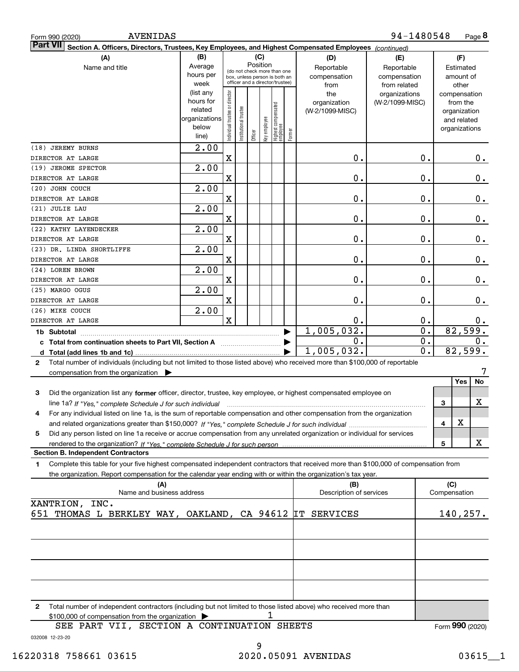| <b>AVENIDAS</b><br>Form 990 (2020)                                                                                                                                                            |                                                                      |                                |                       |                                                                                                                    |              |                                   |        |                                           | 94-1480548                                        |              |                                                                          | Page 8          |
|-----------------------------------------------------------------------------------------------------------------------------------------------------------------------------------------------|----------------------------------------------------------------------|--------------------------------|-----------------------|--------------------------------------------------------------------------------------------------------------------|--------------|-----------------------------------|--------|-------------------------------------------|---------------------------------------------------|--------------|--------------------------------------------------------------------------|-----------------|
| <b>Part VII</b><br>Section A. Officers, Directors, Trustees, Key Employees, and Highest Compensated Employees (continued)                                                                     |                                                                      |                                |                       |                                                                                                                    |              |                                   |        |                                           |                                                   |              |                                                                          |                 |
| (A)<br>Name and title                                                                                                                                                                         | (B)<br>Average<br>hours per<br>week                                  |                                |                       | (C)<br>Position<br>(do not check more than one<br>box, unless person is both an<br>officer and a director/trustee) |              |                                   |        | (D)<br>Reportable<br>compensation<br>from | (E)<br>Reportable<br>compensation<br>from related |              | (F)<br>Estimated<br>amount of<br>other                                   |                 |
|                                                                                                                                                                                               | (list any<br>hours for<br>related<br>organizations<br>below<br>line) | Individual trustee or director | Institutional trustee | Officer                                                                                                            | key employee | Highest compensated<br>  employee | Former | the<br>organization<br>(W-2/1099-MISC)    | organizations<br>(W-2/1099-MISC)                  |              | compensation<br>from the<br>organization<br>and related<br>organizations |                 |
| (18) JEREMY BURNS<br>DIRECTOR AT LARGE                                                                                                                                                        | 2.00                                                                 | $\mathbf X$                    |                       |                                                                                                                    |              |                                   |        | 0.                                        | 0.                                                |              |                                                                          | $0_{.}$         |
| (19) JEROME SPECTOR                                                                                                                                                                           | 2.00                                                                 |                                |                       |                                                                                                                    |              |                                   |        |                                           |                                                   |              |                                                                          |                 |
| DIRECTOR AT LARGE                                                                                                                                                                             |                                                                      | X                              |                       |                                                                                                                    |              |                                   |        | 0.                                        | Ο.                                                |              |                                                                          | 0.              |
| (20) JOHN COUCH<br>DIRECTOR AT LARGE                                                                                                                                                          | 2.00                                                                 | X                              |                       |                                                                                                                    |              |                                   |        | 0.                                        | Ο.                                                |              |                                                                          | 0.              |
| (21) JULIE LAU                                                                                                                                                                                | 2.00                                                                 |                                |                       |                                                                                                                    |              |                                   |        |                                           |                                                   |              |                                                                          |                 |
| DIRECTOR AT LARGE                                                                                                                                                                             |                                                                      | X                              |                       |                                                                                                                    |              |                                   |        | 0.                                        | Ο.                                                |              |                                                                          | 0.              |
| (22) KATHY LAYENDECKER                                                                                                                                                                        | 2.00                                                                 |                                |                       |                                                                                                                    |              |                                   |        |                                           |                                                   |              |                                                                          |                 |
| DIRECTOR AT LARGE                                                                                                                                                                             |                                                                      | $\mathbf X$                    |                       |                                                                                                                    |              |                                   |        | 0.                                        | Ο.                                                |              |                                                                          | 0.              |
| (23) DR. LINDA SHORTLIFFE<br>DIRECTOR AT LARGE                                                                                                                                                | 2.00                                                                 | $\mathbf X$                    |                       |                                                                                                                    |              |                                   |        | 0.                                        | Ο.                                                |              |                                                                          | 0.              |
| (24) LOREN BROWN                                                                                                                                                                              | 2.00                                                                 |                                |                       |                                                                                                                    |              |                                   |        |                                           |                                                   |              |                                                                          |                 |
| DIRECTOR AT LARGE                                                                                                                                                                             |                                                                      | $\mathbf X$                    |                       |                                                                                                                    |              |                                   |        | 0.                                        | Ο.                                                |              |                                                                          | 0.              |
| (25) MARGO OGUS<br>DIRECTOR AT LARGE                                                                                                                                                          | 2.00                                                                 | X                              |                       |                                                                                                                    |              |                                   |        | 0.                                        | 0.                                                |              |                                                                          | 0.              |
| (26) MIKE COUCH                                                                                                                                                                               | 2.00                                                                 |                                |                       |                                                                                                                    |              |                                   |        |                                           |                                                   |              |                                                                          |                 |
| DIRECTOR AT LARGE                                                                                                                                                                             |                                                                      | $\mathbf X$                    |                       |                                                                                                                    |              |                                   |        | 0.                                        | 0.                                                |              |                                                                          | $0 \cdot$       |
| 1b Subtotal                                                                                                                                                                                   |                                                                      |                                |                       |                                                                                                                    |              |                                   |        | 1,005,032.                                | $\overline{0}$ .                                  |              | 82,599.                                                                  |                 |
|                                                                                                                                                                                               |                                                                      |                                |                       |                                                                                                                    |              |                                   |        | Ο.                                        | $\overline{0}$ .                                  |              |                                                                          | 0.              |
|                                                                                                                                                                                               |                                                                      |                                |                       |                                                                                                                    |              |                                   |        | 1,005,032.                                | $\overline{\mathfrak{o}}$ .                       |              | 82, 599.                                                                 |                 |
| Total number of individuals (including but not limited to those listed above) who received more than \$100,000 of reportable<br>2<br>compensation from the organization $\blacktriangleright$ |                                                                      |                                |                       |                                                                                                                    |              |                                   |        |                                           |                                                   |              |                                                                          |                 |
|                                                                                                                                                                                               |                                                                      |                                |                       |                                                                                                                    |              |                                   |        |                                           |                                                   |              | Yes                                                                      | No              |
| Did the organization list any former officer, director, trustee, key employee, or highest compensated employee on<br>3                                                                        |                                                                      |                                |                       |                                                                                                                    |              |                                   |        |                                           |                                                   |              |                                                                          |                 |
| line 1a? If "Yes," complete Schedule J for such individual manufactured contained and the Ves," complete Schedule J for such individual                                                       |                                                                      |                                |                       |                                                                                                                    |              |                                   |        |                                           |                                                   | 3            |                                                                          | х               |
| For any individual listed on line 1a, is the sum of reportable compensation and other compensation from the organization<br>4                                                                 |                                                                      |                                |                       |                                                                                                                    |              |                                   |        |                                           |                                                   | 4            | X                                                                        |                 |
| Did any person listed on line 1a receive or accrue compensation from any unrelated organization or individual for services<br>5                                                               |                                                                      |                                |                       |                                                                                                                    |              |                                   |        |                                           |                                                   |              |                                                                          |                 |
|                                                                                                                                                                                               |                                                                      |                                |                       |                                                                                                                    |              |                                   |        |                                           |                                                   | 5            |                                                                          | X               |
| <b>Section B. Independent Contractors</b>                                                                                                                                                     |                                                                      |                                |                       |                                                                                                                    |              |                                   |        |                                           |                                                   |              |                                                                          |                 |
| Complete this table for your five highest compensated independent contractors that received more than \$100,000 of compensation from<br>1                                                     |                                                                      |                                |                       |                                                                                                                    |              |                                   |        |                                           |                                                   |              |                                                                          |                 |
| the organization. Report compensation for the calendar year ending with or within the organization's tax year.<br>(A)                                                                         |                                                                      |                                |                       |                                                                                                                    |              |                                   |        | (B)                                       |                                                   |              | (C)                                                                      |                 |
| Name and business address                                                                                                                                                                     |                                                                      |                                |                       |                                                                                                                    |              |                                   |        | Description of services                   |                                                   | Compensation |                                                                          |                 |
| XANTRION, INC.                                                                                                                                                                                |                                                                      |                                |                       |                                                                                                                    |              |                                   |        |                                           |                                                   |              |                                                                          |                 |
| 651 THOMAS L BERKLEY WAY, OAKLAND, CA 94612 IT SERVICES                                                                                                                                       |                                                                      |                                |                       |                                                                                                                    |              |                                   |        |                                           |                                                   |              | 140, 257.                                                                |                 |
|                                                                                                                                                                                               |                                                                      |                                |                       |                                                                                                                    |              |                                   |        |                                           |                                                   |              |                                                                          |                 |
|                                                                                                                                                                                               |                                                                      |                                |                       |                                                                                                                    |              |                                   |        |                                           |                                                   |              |                                                                          |                 |
|                                                                                                                                                                                               |                                                                      |                                |                       |                                                                                                                    |              |                                   |        |                                           |                                                   |              |                                                                          |                 |
| Total number of independent contractors (including but not limited to those listed above) who received more than<br>2<br>\$100,000 of compensation from the organization                      |                                                                      |                                |                       |                                                                                                                    | 1            |                                   |        |                                           |                                                   |              |                                                                          |                 |
| SEE PART VII, SECTION A CONTINUATION SHEETS<br>032008 12-23-20                                                                                                                                |                                                                      |                                |                       |                                                                                                                    |              |                                   |        |                                           |                                                   |              |                                                                          | Form 990 (2020) |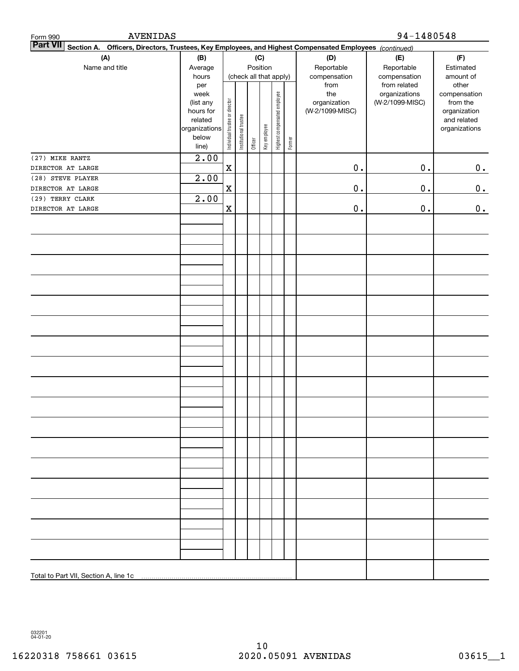| AVENIDAS<br>Form 990                                                                                                      |                                                                            |                                |                       |         |                        |                              |        | 94-1480548                                                     |                                                                  |                                                                                                |  |
|---------------------------------------------------------------------------------------------------------------------------|----------------------------------------------------------------------------|--------------------------------|-----------------------|---------|------------------------|------------------------------|--------|----------------------------------------------------------------|------------------------------------------------------------------|------------------------------------------------------------------------------------------------|--|
| <b>Part VII</b><br>Section A. Officers, Directors, Trustees, Key Employees, and Highest Compensated Employees (continued) |                                                                            |                                |                       |         |                        |                              |        |                                                                |                                                                  |                                                                                                |  |
| (A)                                                                                                                       | (B)                                                                        |                                |                       |         | (C)                    |                              |        | (D)                                                            | (E)                                                              | (F)                                                                                            |  |
| Name and title                                                                                                            | Average                                                                    |                                |                       |         | Position               |                              |        | Reportable                                                     | Reportable                                                       | Estimated                                                                                      |  |
|                                                                                                                           | hours<br>per<br>week<br>(list any<br>hours for<br>related<br>organizations | Individual trustee or director | Institutional trustee |         | (check all that apply) | Highest compensated employee |        | compensation<br>from<br>the<br>organization<br>(W-2/1099-MISC) | compensation<br>from related<br>organizations<br>(W-2/1099-MISC) | amount of<br>other<br>compensation<br>from the<br>organization<br>and related<br>organizations |  |
|                                                                                                                           | below<br>line)                                                             |                                |                       | Officer | Key employee           |                              | Former |                                                                |                                                                  |                                                                                                |  |
| (27) MIKE RANTZ                                                                                                           | 2.00                                                                       |                                |                       |         |                        |                              |        |                                                                |                                                                  |                                                                                                |  |
| DIRECTOR AT LARGE                                                                                                         |                                                                            | $\mathbf X$                    |                       |         |                        |                              |        | $\mathbf 0$ .                                                  | $0$ .                                                            | 0.                                                                                             |  |
| (28) STEVE PLAYER                                                                                                         | 2.00                                                                       |                                |                       |         |                        |                              |        |                                                                |                                                                  |                                                                                                |  |
| DIRECTOR AT LARGE                                                                                                         |                                                                            | $\mathbf X$                    |                       |         |                        |                              |        | $\mathbf 0$ .                                                  | $\mathbf 0$ .                                                    | 0.                                                                                             |  |
| (29) TERRY CLARK                                                                                                          | 2.00                                                                       |                                |                       |         |                        |                              |        |                                                                |                                                                  |                                                                                                |  |
| DIRECTOR AT LARGE                                                                                                         |                                                                            | X                              |                       |         |                        |                              |        | $\mathbf 0$ .                                                  | $\mathbf 0$ .                                                    | 0.                                                                                             |  |
|                                                                                                                           |                                                                            |                                |                       |         |                        |                              |        |                                                                |                                                                  |                                                                                                |  |
|                                                                                                                           |                                                                            |                                |                       |         |                        |                              |        |                                                                |                                                                  |                                                                                                |  |
|                                                                                                                           |                                                                            |                                |                       |         |                        |                              |        |                                                                |                                                                  |                                                                                                |  |
|                                                                                                                           |                                                                            |                                |                       |         |                        |                              |        |                                                                |                                                                  |                                                                                                |  |
|                                                                                                                           |                                                                            |                                |                       |         |                        |                              |        |                                                                |                                                                  |                                                                                                |  |
|                                                                                                                           |                                                                            |                                |                       |         |                        |                              |        |                                                                |                                                                  |                                                                                                |  |
|                                                                                                                           |                                                                            |                                |                       |         |                        |                              |        |                                                                |                                                                  |                                                                                                |  |
|                                                                                                                           |                                                                            |                                |                       |         |                        |                              |        |                                                                |                                                                  |                                                                                                |  |
|                                                                                                                           |                                                                            |                                |                       |         |                        |                              |        |                                                                |                                                                  |                                                                                                |  |
|                                                                                                                           |                                                                            |                                |                       |         |                        |                              |        |                                                                |                                                                  |                                                                                                |  |
|                                                                                                                           |                                                                            |                                |                       |         |                        |                              |        |                                                                |                                                                  |                                                                                                |  |
|                                                                                                                           |                                                                            |                                |                       |         |                        |                              |        |                                                                |                                                                  |                                                                                                |  |
|                                                                                                                           |                                                                            |                                |                       |         |                        |                              |        |                                                                |                                                                  |                                                                                                |  |
|                                                                                                                           |                                                                            |                                |                       |         |                        |                              |        |                                                                |                                                                  |                                                                                                |  |
|                                                                                                                           |                                                                            |                                |                       |         |                        |                              |        |                                                                |                                                                  |                                                                                                |  |
|                                                                                                                           |                                                                            |                                |                       |         |                        |                              |        |                                                                |                                                                  |                                                                                                |  |
|                                                                                                                           |                                                                            |                                |                       |         |                        |                              |        |                                                                |                                                                  |                                                                                                |  |
|                                                                                                                           |                                                                            |                                |                       |         |                        |                              |        |                                                                |                                                                  |                                                                                                |  |
|                                                                                                                           |                                                                            |                                |                       |         |                        |                              |        |                                                                |                                                                  |                                                                                                |  |
| Total to Part VII, Section A, line 1c                                                                                     |                                                                            |                                |                       |         |                        |                              |        |                                                                |                                                                  |                                                                                                |  |

032201 04-01-20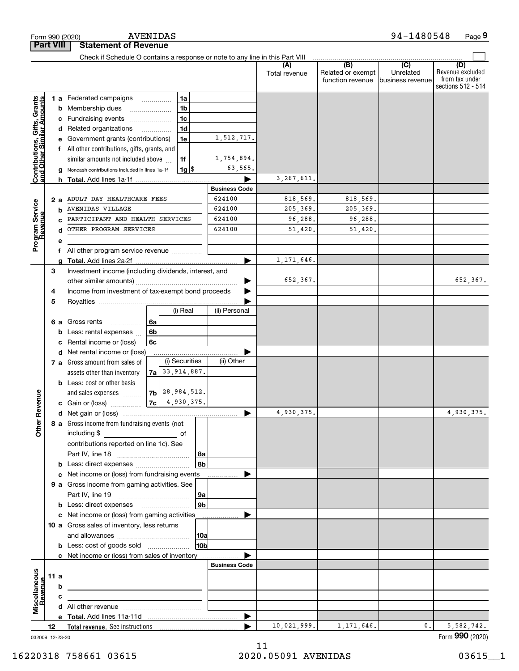|                                                           |                                                               | <b>AVENIDAS</b><br>Form 990 (2020)                                                                                    |                      |                      |                                              | 94-1480548                                      | Page 9                                                          |
|-----------------------------------------------------------|---------------------------------------------------------------|-----------------------------------------------------------------------------------------------------------------------|----------------------|----------------------|----------------------------------------------|-------------------------------------------------|-----------------------------------------------------------------|
|                                                           | <b>Part VIII</b>                                              | <b>Statement of Revenue</b>                                                                                           |                      |                      |                                              |                                                 |                                                                 |
|                                                           |                                                               | Check if Schedule O contains a response or note to any line in this Part VIII                                         |                      |                      |                                              |                                                 |                                                                 |
|                                                           |                                                               |                                                                                                                       |                      | (A)<br>Total revenue | (B)<br>Related or exempt<br>function revenue | $\overline{C}$<br>Unrelated<br>business revenue | (D)<br>Revenue excluded<br>from tax under<br>sections 512 - 514 |
|                                                           |                                                               | 1a<br><b>1 a</b> Federated campaigns                                                                                  |                      |                      |                                              |                                                 |                                                                 |
|                                                           |                                                               | 1 <sub>b</sub><br><b>b</b> Membership dues<br>$\ldots \ldots \ldots \ldots \ldots$                                    |                      |                      |                                              |                                                 |                                                                 |
|                                                           |                                                               | 1 <sub>c</sub><br>c Fundraising events                                                                                |                      |                      |                                              |                                                 |                                                                 |
| Contributions, Gifts, Grants<br>and Other Similar Amounts |                                                               | 1 <sub>d</sub><br>d Related organizations                                                                             |                      |                      |                                              |                                                 |                                                                 |
|                                                           | е                                                             | 1e<br>Government grants (contributions)                                                                               | 1,512,717.           |                      |                                              |                                                 |                                                                 |
|                                                           |                                                               | f All other contributions, gifts, grants, and                                                                         |                      |                      |                                              |                                                 |                                                                 |
|                                                           |                                                               | 1f<br>similar amounts not included above                                                                              | 1,754,894.           |                      |                                              |                                                 |                                                                 |
|                                                           | $1g$ \$<br>Noncash contributions included in lines 1a-1f<br>a |                                                                                                                       | 63,565.              |                      |                                              |                                                 |                                                                 |
|                                                           |                                                               | <b>h</b> Total. Add lines 1a-1f                                                                                       |                      | 3, 267, 611.         |                                              |                                                 |                                                                 |
|                                                           |                                                               |                                                                                                                       | <b>Business Code</b> |                      |                                              |                                                 |                                                                 |
|                                                           | 2a                                                            | ADULT DAY HEALTHCARE FEES                                                                                             | 624100               | 818,569.             | 818,569.                                     |                                                 |                                                                 |
|                                                           | b                                                             | AVENIDAS VILLAGE<br>PARTICIPANT AND HEALTH SERVICES                                                                   | 624100<br>624100     | 205,369.             | 205,369.                                     |                                                 |                                                                 |
| Program Service<br>Revenue                                | C                                                             | OTHER PROGRAM SERVICES                                                                                                | 624100               | 96,288.              | 96,288.                                      |                                                 |                                                                 |
|                                                           | d                                                             |                                                                                                                       |                      | 51,420.              | 51,420.                                      |                                                 |                                                                 |
|                                                           | е                                                             |                                                                                                                       |                      |                      |                                              |                                                 |                                                                 |
|                                                           | f<br>g                                                        | All other program service revenue                                                                                     |                      | 1, 171, 646.         |                                              |                                                 |                                                                 |
|                                                           | 3                                                             | Investment income (including dividends, interest, and                                                                 |                      |                      |                                              |                                                 |                                                                 |
|                                                           |                                                               |                                                                                                                       |                      | 652,367.             |                                              |                                                 | 652,367.                                                        |
|                                                           | 4                                                             | Income from investment of tax-exempt bond proceeds                                                                    |                      |                      |                                              |                                                 |                                                                 |
|                                                           | 5                                                             |                                                                                                                       |                      |                      |                                              |                                                 |                                                                 |
|                                                           |                                                               | (i) Real                                                                                                              | (ii) Personal        |                      |                                              |                                                 |                                                                 |
|                                                           |                                                               | 6 a Gross rents<br>6a                                                                                                 |                      |                      |                                              |                                                 |                                                                 |
|                                                           | b                                                             | 6 <sub>b</sub><br>Less: rental expenses                                                                               |                      |                      |                                              |                                                 |                                                                 |
|                                                           | с                                                             | Rental income or (loss)<br>6с                                                                                         |                      |                      |                                              |                                                 |                                                                 |
|                                                           |                                                               | d Net rental income or (loss)                                                                                         |                      |                      |                                              |                                                 |                                                                 |
|                                                           |                                                               | (i) Securities<br>7 a Gross amount from sales of                                                                      | (ii) Other           |                      |                                              |                                                 |                                                                 |
|                                                           |                                                               | 33,914,887.<br>assets other than inventory<br>7a l                                                                    |                      |                      |                                              |                                                 |                                                                 |
|                                                           |                                                               | <b>b</b> Less: cost or other basis                                                                                    |                      |                      |                                              |                                                 |                                                                 |
|                                                           |                                                               | $ 7b $ 28, 984, 512.<br>and sales expenses                                                                            |                      |                      |                                              |                                                 |                                                                 |
| evenue                                                    |                                                               | 4,930,375.<br>7c<br>c Gain or (loss)                                                                                  |                      |                      |                                              |                                                 |                                                                 |
| œ                                                         |                                                               |                                                                                                                       |                      | 4,930,375.           |                                              |                                                 | 4,930,375.                                                      |
| Other                                                     |                                                               | 8 a Gross income from fundraising events (not                                                                         |                      |                      |                                              |                                                 |                                                                 |
|                                                           |                                                               |                                                                                                                       |                      |                      |                                              |                                                 |                                                                 |
|                                                           |                                                               | contributions reported on line 1c). See                                                                               |                      |                      |                                              |                                                 |                                                                 |
|                                                           |                                                               | 8a<br>8 <sub>b</sub><br><b>b</b> Less: direct expenses <b>constants b</b>                                             |                      |                      |                                              |                                                 |                                                                 |
|                                                           |                                                               | c Net income or (loss) from fundraising events                                                                        |                      |                      |                                              |                                                 |                                                                 |
|                                                           |                                                               | 9 a Gross income from gaming activities. See                                                                          |                      |                      |                                              |                                                 |                                                                 |
|                                                           |                                                               | 9a                                                                                                                    |                      |                      |                                              |                                                 |                                                                 |
|                                                           |                                                               | 9 <sub>b</sub><br><b>b</b> Less: direct expenses <b>manually</b>                                                      |                      |                      |                                              |                                                 |                                                                 |
|                                                           |                                                               | c Net income or (loss) from gaming activities _______________                                                         |                      |                      |                                              |                                                 |                                                                 |
|                                                           |                                                               | 10 a Gross sales of inventory, less returns                                                                           |                      |                      |                                              |                                                 |                                                                 |
|                                                           |                                                               | 10a                                                                                                                   |                      |                      |                                              |                                                 |                                                                 |
|                                                           |                                                               | 10 <sub>b</sub>                                                                                                       |                      |                      |                                              |                                                 |                                                                 |
|                                                           |                                                               | c Net income or (loss) from sales of inventory                                                                        |                      |                      |                                              |                                                 |                                                                 |
|                                                           |                                                               |                                                                                                                       | <b>Business Code</b> |                      |                                              |                                                 |                                                                 |
|                                                           | 11 a                                                          | <u> 1989 - Johann Stein, marwolaethau a bhann an t-Amhainn an t-Amhainn an t-Amhainn an t-Amhainn an t-Amhainn an</u> |                      |                      |                                              |                                                 |                                                                 |
| evenue                                                    | b                                                             | the contract of the contract of the contract of the contract of the contract of                                       |                      |                      |                                              |                                                 |                                                                 |
| Miscellaneous                                             | с                                                             | the control of the control of the control of the control of the control of                                            |                      |                      |                                              |                                                 |                                                                 |
|                                                           |                                                               |                                                                                                                       |                      |                      |                                              |                                                 |                                                                 |
|                                                           |                                                               |                                                                                                                       |                      |                      |                                              |                                                 |                                                                 |
|                                                           | 12                                                            |                                                                                                                       | ▶                    | 10,021,999.          | 1, 171, 646.                                 | 0.                                              | 5,582,742.                                                      |

032009 12-23-20

Form (2020) **990**

AVENIDAS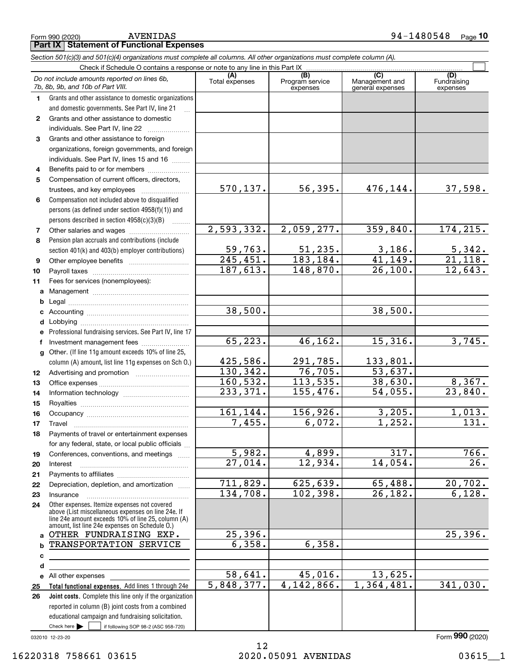|              | Do not include amounts reported on lines 6b,<br>7b, 8b, 9b, and 10b of Part VIII.                                                                                                                          | (A)<br>Total expenses | (B)<br>Program service<br>expenses | (C)<br>Management and<br>general expenses | (D)<br>Fundraising<br>expenses |
|--------------|------------------------------------------------------------------------------------------------------------------------------------------------------------------------------------------------------------|-----------------------|------------------------------------|-------------------------------------------|--------------------------------|
| 1            | Grants and other assistance to domestic organizations                                                                                                                                                      |                       |                                    |                                           |                                |
|              | and domestic governments. See Part IV, line 21                                                                                                                                                             |                       |                                    |                                           |                                |
| 2            | Grants and other assistance to domestic                                                                                                                                                                    |                       |                                    |                                           |                                |
|              | individuals. See Part IV, line 22                                                                                                                                                                          |                       |                                    |                                           |                                |
| 3            | Grants and other assistance to foreign                                                                                                                                                                     |                       |                                    |                                           |                                |
|              | organizations, foreign governments, and foreign                                                                                                                                                            |                       |                                    |                                           |                                |
|              | individuals. See Part IV, lines 15 and 16                                                                                                                                                                  |                       |                                    |                                           |                                |
| 4            | Benefits paid to or for members                                                                                                                                                                            |                       |                                    |                                           |                                |
| 5            | Compensation of current officers, directors,                                                                                                                                                               |                       |                                    |                                           |                                |
|              | trustees, and key employees                                                                                                                                                                                | 570, 137.             | 56,395.                            | 476,144.                                  | 37,598.                        |
| 6            | Compensation not included above to disqualified                                                                                                                                                            |                       |                                    |                                           |                                |
|              | persons (as defined under section 4958(f)(1)) and                                                                                                                                                          |                       |                                    |                                           |                                |
|              | persons described in section 4958(c)(3)(B)                                                                                                                                                                 |                       |                                    |                                           |                                |
| 7            |                                                                                                                                                                                                            | 2,593,332.            | 2,059,277.                         | 359,840.                                  | 174,215.                       |
| 8            | Other salaries and wages                                                                                                                                                                                   |                       |                                    |                                           |                                |
|              | Pension plan accruals and contributions (include                                                                                                                                                           | 59,763.               | 51, 235.                           | 3,186.                                    | 5,342.                         |
|              | section 401(k) and 403(b) employer contributions)                                                                                                                                                          | 245, 451.             | 183,184.                           | 41, 149.                                  | $\overline{21,118}$ .          |
| 9            |                                                                                                                                                                                                            | 187,613.              | 148,870.                           | 26,100.                                   | 12,643.                        |
| 10           |                                                                                                                                                                                                            |                       |                                    |                                           |                                |
| 11           | Fees for services (nonemployees):                                                                                                                                                                          |                       |                                    |                                           |                                |
| a            |                                                                                                                                                                                                            |                       |                                    |                                           |                                |
| b            |                                                                                                                                                                                                            |                       |                                    |                                           |                                |
| с            |                                                                                                                                                                                                            | 38,500.               |                                    | 38,500.                                   |                                |
| d            |                                                                                                                                                                                                            |                       |                                    |                                           |                                |
| е            | Professional fundraising services. See Part IV, line 17                                                                                                                                                    |                       |                                    |                                           |                                |
| f            | Investment management fees                                                                                                                                                                                 | 65, 223.              | 46, 162.                           | 15,316.                                   | 3,745.                         |
| $\mathbf{q}$ | Other. (If line 11g amount exceeds 10% of line 25,                                                                                                                                                         |                       |                                    |                                           |                                |
|              | column (A) amount, list line 11g expenses on Sch O.)                                                                                                                                                       | 425,586.              | 291,785.                           | 133,801.                                  |                                |
| 12           |                                                                                                                                                                                                            | 130, 342.             | 76, 705.                           | 53,637.                                   |                                |
| 13           |                                                                                                                                                                                                            | 160, 532.             | 113,535.                           | 38,630.                                   | 8,367.                         |
| 14           |                                                                                                                                                                                                            | 233,371.              | 155,476.                           | 54,055.                                   | $\overline{23,840}$ .          |
| 15           |                                                                                                                                                                                                            |                       |                                    |                                           |                                |
| 16           |                                                                                                                                                                                                            | 161,144.              | 156,926.                           | 3,205.                                    | 1,013.                         |
| 17           | Travel                                                                                                                                                                                                     | 7,455.                | 6,072.                             | 1,252.                                    | 131.                           |
| 18           | Payments of travel or entertainment expenses                                                                                                                                                               |                       |                                    |                                           |                                |
|              | for any federal, state, or local public officials                                                                                                                                                          |                       |                                    |                                           |                                |
| 19           | Conferences, conventions, and meetings                                                                                                                                                                     | 5,982.                | 4,899.                             | 317.                                      | 766.                           |
| 20           | Interest                                                                                                                                                                                                   | 27,014.               | 12,934.                            | 14,054.                                   | 26.                            |
| 21           |                                                                                                                                                                                                            |                       |                                    |                                           |                                |
| 22           | Depreciation, depletion, and amortization                                                                                                                                                                  | 711,829.              | 625,639.                           | 65,488.                                   | 20,702.                        |
| 23           | Insurance                                                                                                                                                                                                  | 134,708.              | 102, 398.                          | $\overline{26,182.}$                      | 6,128.                         |
| 24           | Other expenses. Itemize expenses not covered<br>above (List miscellaneous expenses on line 24e. If<br>line 24e amount exceeds 10% of line 25, column (A)<br>amount, list line 24e expenses on Schedule O.) |                       |                                    |                                           |                                |
| a            | OTHER FUNDRAISING EXP.                                                                                                                                                                                     | 25,396.               |                                    |                                           | 25,396.                        |
| b            | TRANSPORTATION SERVICE                                                                                                                                                                                     | 6,358.                | 6,358.                             |                                           |                                |
| с            |                                                                                                                                                                                                            |                       |                                    |                                           |                                |
| d            |                                                                                                                                                                                                            |                       |                                    |                                           |                                |
| е            | All other expenses                                                                                                                                                                                         | 58,641.               | 45,016.                            | 13,625.                                   |                                |
| 25           | Total functional expenses. Add lines 1 through 24e                                                                                                                                                         | 5,848,377.            | 4, 142, 866.                       | 1,364,481.                                | 341,030.                       |
| 26           | Joint costs. Complete this line only if the organization                                                                                                                                                   |                       |                                    |                                           |                                |
|              | reported in column (B) joint costs from a combined                                                                                                                                                         |                       |                                    |                                           |                                |
|              | educational campaign and fundraising solicitation.                                                                                                                                                         |                       |                                    |                                           |                                |
|              | Check here $\blacktriangleright$<br>if following SOP 98-2 (ASC 958-720)                                                                                                                                    |                       |                                    |                                           |                                |
|              |                                                                                                                                                                                                            |                       |                                    |                                           |                                |

# **Part IX Statement of Functional Expenses**

*Section 501(c)(3) and 501(c)(4) organizations must complete all columns. All other organizations must complete column (A).*

Check if Schedule O contains a response or note to any line in this Part IX

 $\mathcal{L}^{\text{max}}$ 

Form (2020) **990**

032010 12-23-20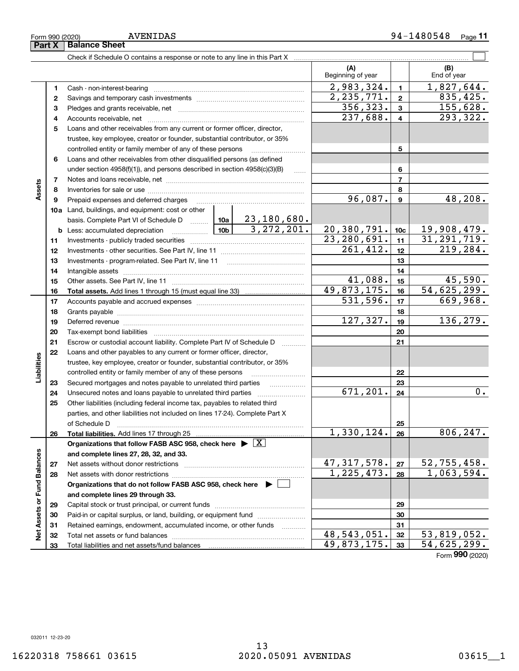|                 | 4  |                                                                                                                 |          |              | 237,688.      | 4              | $\overline{293,322}$ . |
|-----------------|----|-----------------------------------------------------------------------------------------------------------------|----------|--------------|---------------|----------------|------------------------|
|                 | 5  | Loans and other receivables from any current or former officer, director,                                       |          |              |               |                |                        |
|                 |    | trustee, key employee, creator or founder, substantial contributor, or 35%                                      |          |              |               |                |                        |
|                 |    | controlled entity or family member of any of these persons                                                      |          | 5            |               |                |                        |
|                 | 6  | Loans and other receivables from other disqualified persons (as defined                                         |          |              |               |                |                        |
|                 |    | under section $4958(f)(1)$ , and persons described in section $4958(c)(3)(B)$                                   |          | $\ldots$     |               | 6              |                        |
|                 | 7  |                                                                                                                 |          |              |               | $\overline{7}$ |                        |
| Assets          | 8  |                                                                                                                 |          |              |               | 8              |                        |
|                 | 9  | Prepaid expenses and deferred charges                                                                           |          |              | 96,087.       | 9              | 48,208.                |
|                 |    | 10a Land, buildings, and equipment: cost or other                                                               |          |              |               |                |                        |
|                 |    | basis. Complete Part VI of Schedule D    10a   23, 180, 680.                                                    |          |              |               |                |                        |
|                 |    | <u> 10b</u><br><b>b</b> Less: accumulated depreciation                                                          |          | 3, 272, 201. | 20,380,791.   | 10c            | 19,908,479.            |
|                 | 11 |                                                                                                                 |          |              | 23, 280, 691. | 11             | 31, 291, 719.          |
|                 | 12 |                                                                                                                 |          |              | 261, 412.     | 12             | 219,284.               |
|                 | 13 |                                                                                                                 |          |              |               | 13             |                        |
|                 | 14 |                                                                                                                 |          |              |               | 14             |                        |
|                 | 15 |                                                                                                                 |          |              | 41,088.       | 15             | 45,590.                |
|                 | 16 |                                                                                                                 |          |              | 49,873,175.   | 16             | 54,625,299.            |
|                 | 17 |                                                                                                                 | 531,596. | 17           | 669,968.      |                |                        |
|                 | 18 |                                                                                                                 |          | 18           |               |                |                        |
|                 | 19 | Deferred revenue manual contracts and contracts are all the manual contracts and contracts are the contracts of |          |              | 127, 327.     | 19             | 136, 279.              |
|                 | 20 |                                                                                                                 |          |              |               | 20             |                        |
|                 | 21 | Escrow or custodial account liability. Complete Part IV of Schedule D                                           |          | 21           |               |                |                        |
|                 | 22 | Loans and other payables to any current or former officer, director,                                            |          |              |               |                |                        |
| Liabilities     |    | trustee, key employee, creator or founder, substantial contributor, or 35%                                      |          |              |               |                |                        |
|                 |    | controlled entity or family member of any of these persons                                                      |          |              |               | 22             |                        |
|                 | 23 | Secured mortgages and notes payable to unrelated third parties                                                  |          |              |               | 23             |                        |
|                 | 24 | Unsecured notes and loans payable to unrelated third parties                                                    |          |              | 671, 201.     | 24             | $0$ .                  |
|                 | 25 | Other liabilities (including federal income tax, payables to related third                                      |          |              |               |                |                        |
|                 |    | parties, and other liabilities not included on lines 17-24). Complete Part X                                    |          |              |               |                |                        |
|                 |    | of Schedule D                                                                                                   |          |              |               | 25             |                        |
|                 | 26 | <b>Total liabilities.</b> Add lines 17 through 25                                                               |          |              | 1,330,124.    | 26             | 806, 247.              |
|                 |    | Organizations that follow FASB ASC 958, check here $\triangleright \lfloor X \rfloor$                           |          |              |               |                |                        |
| und Balances    |    | and complete lines 27, 28, 32, and 33.                                                                          |          |              |               |                |                        |
|                 | 27 |                                                                                                                 |          |              | 47, 317, 578. | 27             | 52, 755, 458.          |
|                 | 28 |                                                                                                                 |          |              | 1, 225, 473.  | 28             | 1,063,594.             |
|                 |    | Organizations that do not follow FASB ASC 958, check here $\blacktriangleright$                                 |          |              |               |                |                        |
|                 |    | and complete lines 29 through 33.                                                                               |          |              |               |                |                        |
|                 | 29 |                                                                                                                 |          |              |               | 29             |                        |
| Net Assets or F | 30 | Paid-in or capital surplus, or land, building, or equipment fund                                                |          |              |               | 30             |                        |
|                 | 31 | Retained earnings, endowment, accumulated income, or other funds                                                |          | .            |               | 31             |                        |
|                 | 32 | Total net assets or fund balances                                                                               |          |              | 48,543,051.   | 32             | 53,819,052.            |
|                 | 33 | Total liabilities and net assets/fund balances                                                                  |          |              | 49,873,175.   | 33             | 54,625,299.            |
|                 |    |                                                                                                                 |          |              |               |                | Form 990 (2020)        |

13

(B)<br>End of year

 $\mathcal{L}^{\text{max}}$ 

**(A) (B)**

Beginning of year | | End of year

**123**

 $2,983,324.$  1,  $327,644.$ 

2,235,771. 835,425.

356,323. 155,628.

**1**Cash - non-interest-bearing ~~~~~~~~~~~~~~~~~~~~~~~~~

Savings and temporary cash investments ~~~~~~~~~~~~~~~~~~

Check if Schedule O contains a response or note to any line in this Part X

**3** Pledges and grants receivable, net  $\ldots$  **multimes contained and grants receivable**, net **multimes contained and grants receivable**, net **multimes contained and grants receivable** 

**Part X** | Balance Sheet

**2**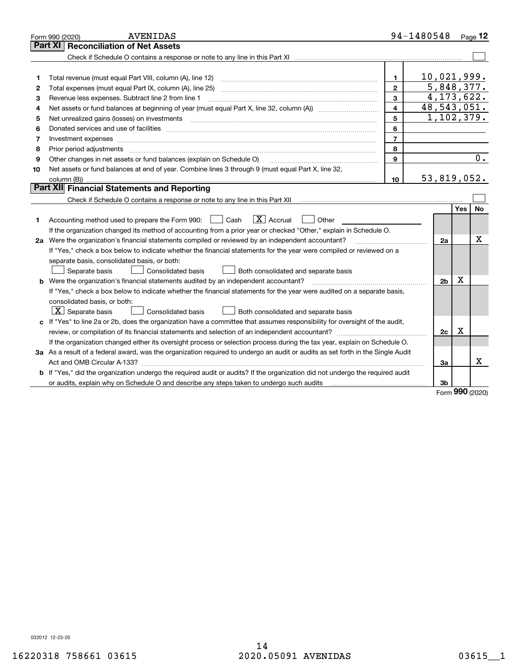|    | <b>AVENIDAS</b><br>Form 990 (2020)                                                                                                                                                                                            |                         | 94-1480548     |             | Page 12   |
|----|-------------------------------------------------------------------------------------------------------------------------------------------------------------------------------------------------------------------------------|-------------------------|----------------|-------------|-----------|
|    | Part XI<br><b>Reconciliation of Net Assets</b>                                                                                                                                                                                |                         |                |             |           |
|    |                                                                                                                                                                                                                               |                         |                |             |           |
|    |                                                                                                                                                                                                                               |                         |                |             |           |
| 1  |                                                                                                                                                                                                                               | $\mathbf{1}$            | 10,021,999.    |             |           |
| 2  |                                                                                                                                                                                                                               | $\mathbf{2}$            | 5,848,377.     |             |           |
| з  | Revenue less expenses. Subtract line 2 from line 1                                                                                                                                                                            | 3                       | 4, 173, 622.   |             |           |
| 4  |                                                                                                                                                                                                                               | $\overline{\mathbf{A}}$ | 48,543,051.    |             |           |
| 5  | Net unrealized gains (losses) on investments                                                                                                                                                                                  | 5                       | 1,102,379.     |             |           |
| 6  |                                                                                                                                                                                                                               | 6                       |                |             |           |
| 7  |                                                                                                                                                                                                                               | $\overline{7}$          |                |             |           |
| 8  | Prior period adjustments                                                                                                                                                                                                      | 8                       |                |             |           |
| 9  | Other changes in net assets or fund balances (explain on Schedule O)                                                                                                                                                          | 9                       |                |             | 0.        |
| 10 | Net assets or fund balances at end of year. Combine lines 3 through 9 (must equal Part X, line 32,                                                                                                                            |                         |                |             |           |
|    |                                                                                                                                                                                                                               | 10                      | 53,819,052.    |             |           |
|    | Part XII Financial Statements and Reporting                                                                                                                                                                                   |                         |                |             |           |
|    |                                                                                                                                                                                                                               |                         |                |             |           |
|    |                                                                                                                                                                                                                               |                         |                | <b>Yes</b>  | <b>No</b> |
| 1  | $\boxed{\text{X}}$ Accrual<br>Accounting method used to prepare the Form 990: <u>June</u> Cash<br>Other                                                                                                                       |                         |                |             |           |
|    | If the organization changed its method of accounting from a prior year or checked "Other," explain in Schedule O.                                                                                                             |                         |                |             |           |
|    | 2a Were the organization's financial statements compiled or reviewed by an independent accountant?                                                                                                                            |                         | 2a             |             | х         |
|    | If "Yes," check a box below to indicate whether the financial statements for the year were compiled or reviewed on a                                                                                                          |                         |                |             |           |
|    | separate basis, consolidated basis, or both:                                                                                                                                                                                  |                         |                |             |           |
|    | Separate basis<br>Consolidated basis<br>Both consolidated and separate basis                                                                                                                                                  |                         |                |             |           |
|    | <b>b</b> Were the organization's financial statements audited by an independent accountant?                                                                                                                                   |                         | 2 <sub>b</sub> | $\mathbf X$ |           |
|    | If "Yes," check a box below to indicate whether the financial statements for the year were audited on a separate basis,                                                                                                       |                         |                |             |           |
|    | consolidated basis, or both:                                                                                                                                                                                                  |                         |                |             |           |
|    | $\lfloor x \rfloor$ Separate basis<br>Consolidated basis<br>Both consolidated and separate basis                                                                                                                              |                         |                |             |           |
|    | c If "Yes" to line 2a or 2b, does the organization have a committee that assumes responsibility for oversight of the audit,                                                                                                   |                         |                |             |           |
|    |                                                                                                                                                                                                                               |                         | 2c             | х           |           |
|    | If the organization changed either its oversight process or selection process during the tax year, explain on Schedule O.                                                                                                     |                         |                |             |           |
|    | 3a As a result of a federal award, was the organization required to undergo an audit or audits as set forth in the Single Audit                                                                                               |                         |                |             |           |
|    |                                                                                                                                                                                                                               |                         | 3a             |             | x         |
|    | b If "Yes," did the organization undergo the required audit or audits? If the organization did not undergo the required audit                                                                                                 |                         |                |             |           |
|    | or audits, explain why on Schedule O and describe any steps taken to undergo such audits [11] contains the school of audits [11] or audits [11] or audits [11] or audits [11] or audits [11] or audits [11] or audits [11] or |                         | 3 <sub>b</sub> | 000         |           |

Form (2020) **990**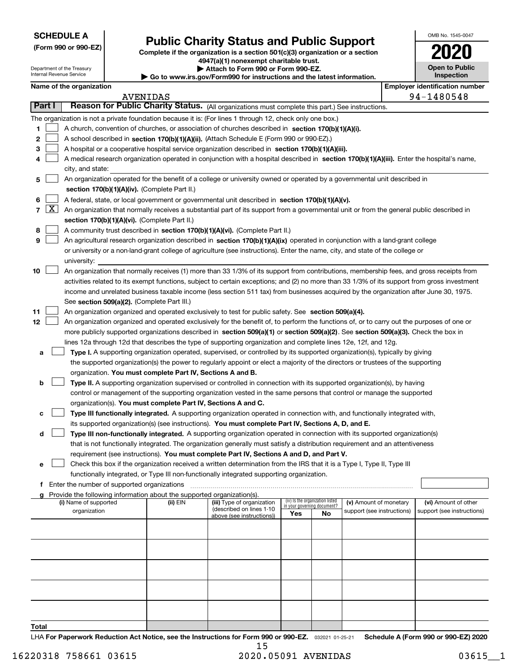| <b>SCHEDULE A</b> |
|-------------------|
|-------------------|

Department of the Treasury Internal Revenue Service

**(Form 990 or 990-EZ)**

# **Public Charity Status and Public Support**

**Complete if the organization is a section 501(c)(3) organization or a section 4947(a)(1) nonexempt charitable trust. | Attach to Form 990 or Form 990-EZ.** 

| ⋅ Go to www.irs.gov/Form990 for instructions and the latest information. |  |
|--------------------------------------------------------------------------|--|
|--------------------------------------------------------------------------|--|

| OMB No 1545-0047                    |
|-------------------------------------|
| 112<br>U                            |
| <b>Open to Public</b><br>Inspection |

|               | Name of the organization                                                                                                                                                                                            |          |                                                       |                             |                                 |                            | <b>Employer identification number</b> |
|---------------|---------------------------------------------------------------------------------------------------------------------------------------------------------------------------------------------------------------------|----------|-------------------------------------------------------|-----------------------------|---------------------------------|----------------------------|---------------------------------------|
|               | <b>AVENIDAS</b>                                                                                                                                                                                                     |          |                                                       |                             |                                 |                            | 94-1480548                            |
| Part I        | Reason for Public Charity Status. (All organizations must complete this part.) See instructions.                                                                                                                    |          |                                                       |                             |                                 |                            |                                       |
|               | The organization is not a private foundation because it is: (For lines 1 through 12, check only one box.)                                                                                                           |          |                                                       |                             |                                 |                            |                                       |
| 1.            | A church, convention of churches, or association of churches described in section 170(b)(1)(A)(i).                                                                                                                  |          |                                                       |                             |                                 |                            |                                       |
| 2             | A school described in section 170(b)(1)(A)(ii). (Attach Schedule E (Form 990 or 990-EZ).)                                                                                                                           |          |                                                       |                             |                                 |                            |                                       |
| з             | A hospital or a cooperative hospital service organization described in section 170(b)(1)(A)(iii).                                                                                                                   |          |                                                       |                             |                                 |                            |                                       |
| 4             | A medical research organization operated in conjunction with a hospital described in section 170(b)(1)(A)(iii). Enter the hospital's name,                                                                          |          |                                                       |                             |                                 |                            |                                       |
|               | city, and state:                                                                                                                                                                                                    |          |                                                       |                             |                                 |                            |                                       |
| 5             | An organization operated for the benefit of a college or university owned or operated by a governmental unit described in                                                                                           |          |                                                       |                             |                                 |                            |                                       |
|               | section 170(b)(1)(A)(iv). (Complete Part II.)                                                                                                                                                                       |          |                                                       |                             |                                 |                            |                                       |
| 6<br> X <br>7 | A federal, state, or local government or governmental unit described in section 170(b)(1)(A)(v).                                                                                                                    |          |                                                       |                             |                                 |                            |                                       |
|               | An organization that normally receives a substantial part of its support from a governmental unit or from the general public described in<br>section 170(b)(1)(A)(vi). (Complete Part II.)                          |          |                                                       |                             |                                 |                            |                                       |
| 8             | A community trust described in section 170(b)(1)(A)(vi). (Complete Part II.)                                                                                                                                        |          |                                                       |                             |                                 |                            |                                       |
| 9             | An agricultural research organization described in section 170(b)(1)(A)(ix) operated in conjunction with a land-grant college                                                                                       |          |                                                       |                             |                                 |                            |                                       |
|               | or university or a non-land-grant college of agriculture (see instructions). Enter the name, city, and state of the college or                                                                                      |          |                                                       |                             |                                 |                            |                                       |
|               | university:                                                                                                                                                                                                         |          |                                                       |                             |                                 |                            |                                       |
| 10            | An organization that normally receives (1) more than 33 1/3% of its support from contributions, membership fees, and gross receipts from                                                                            |          |                                                       |                             |                                 |                            |                                       |
|               | activities related to its exempt functions, subject to certain exceptions; and (2) no more than 33 1/3% of its support from gross investment                                                                        |          |                                                       |                             |                                 |                            |                                       |
|               | income and unrelated business taxable income (less section 511 tax) from businesses acquired by the organization after June 30, 1975.                                                                               |          |                                                       |                             |                                 |                            |                                       |
|               | See section 509(a)(2). (Complete Part III.)                                                                                                                                                                         |          |                                                       |                             |                                 |                            |                                       |
| 11            | An organization organized and operated exclusively to test for public safety. See section 509(a)(4).                                                                                                                |          |                                                       |                             |                                 |                            |                                       |
| 12            | An organization organized and operated exclusively for the benefit of, to perform the functions of, or to carry out the purposes of one or                                                                          |          |                                                       |                             |                                 |                            |                                       |
|               | more publicly supported organizations described in section 509(a)(1) or section 509(a)(2). See section 509(a)(3). Check the box in                                                                                  |          |                                                       |                             |                                 |                            |                                       |
|               | lines 12a through 12d that describes the type of supporting organization and complete lines 12e, 12f, and 12g.                                                                                                      |          |                                                       |                             |                                 |                            |                                       |
| a             | Type I. A supporting organization operated, supervised, or controlled by its supported organization(s), typically by giving                                                                                         |          |                                                       |                             |                                 |                            |                                       |
|               | the supported organization(s) the power to regularly appoint or elect a majority of the directors or trustees of the supporting                                                                                     |          |                                                       |                             |                                 |                            |                                       |
|               | organization. You must complete Part IV, Sections A and B.                                                                                                                                                          |          |                                                       |                             |                                 |                            |                                       |
| b             | Type II. A supporting organization supervised or controlled in connection with its supported organization(s), by having                                                                                             |          |                                                       |                             |                                 |                            |                                       |
|               | control or management of the supporting organization vested in the same persons that control or manage the supported                                                                                                |          |                                                       |                             |                                 |                            |                                       |
|               | organization(s). You must complete Part IV, Sections A and C.                                                                                                                                                       |          |                                                       |                             |                                 |                            |                                       |
|               | Type III functionally integrated. A supporting organization operated in connection with, and functionally integrated with,                                                                                          |          |                                                       |                             |                                 |                            |                                       |
|               | its supported organization(s) (see instructions). You must complete Part IV, Sections A, D, and E.                                                                                                                  |          |                                                       |                             |                                 |                            |                                       |
| d             | Type III non-functionally integrated. A supporting organization operated in connection with its supported organization(s)                                                                                           |          |                                                       |                             |                                 |                            |                                       |
|               | that is not functionally integrated. The organization generally must satisfy a distribution requirement and an attentiveness                                                                                        |          |                                                       |                             |                                 |                            |                                       |
| е             | requirement (see instructions). You must complete Part IV, Sections A and D, and Part V.<br>Check this box if the organization received a written determination from the IRS that it is a Type I, Type II, Type III |          |                                                       |                             |                                 |                            |                                       |
|               | functionally integrated, or Type III non-functionally integrated supporting organization.                                                                                                                           |          |                                                       |                             |                                 |                            |                                       |
| f             | Enter the number of supported organizations                                                                                                                                                                         |          |                                                       |                             |                                 |                            |                                       |
|               | Provide the following information about the supported organization(s).                                                                                                                                              |          |                                                       |                             |                                 |                            |                                       |
|               | (i) Name of supported                                                                                                                                                                                               | (ii) EIN | (iii) Type of organization                            | in your governing document? | (iv) Is the organization listed | (v) Amount of monetary     | (vi) Amount of other                  |
|               | organization                                                                                                                                                                                                        |          | (described on lines 1-10<br>above (see instructions)) | Yes                         | No                              | support (see instructions) | support (see instructions)            |
|               |                                                                                                                                                                                                                     |          |                                                       |                             |                                 |                            |                                       |
|               |                                                                                                                                                                                                                     |          |                                                       |                             |                                 |                            |                                       |
|               |                                                                                                                                                                                                                     |          |                                                       |                             |                                 |                            |                                       |
|               |                                                                                                                                                                                                                     |          |                                                       |                             |                                 |                            |                                       |
|               |                                                                                                                                                                                                                     |          |                                                       |                             |                                 |                            |                                       |
|               |                                                                                                                                                                                                                     |          |                                                       |                             |                                 |                            |                                       |
|               |                                                                                                                                                                                                                     |          |                                                       |                             |                                 |                            |                                       |
|               |                                                                                                                                                                                                                     |          |                                                       |                             |                                 |                            |                                       |
|               |                                                                                                                                                                                                                     |          |                                                       |                             |                                 |                            |                                       |
| Total         |                                                                                                                                                                                                                     |          |                                                       |                             |                                 |                            |                                       |
|               |                                                                                                                                                                                                                     |          |                                                       |                             |                                 |                            |                                       |

LHA For Paperwork Reduction Act Notice, see the Instructions for Form 990 or 990-EZ. <sub>032021</sub> o1-25-21 Schedule A (Form 990 or 990-EZ) 2020 15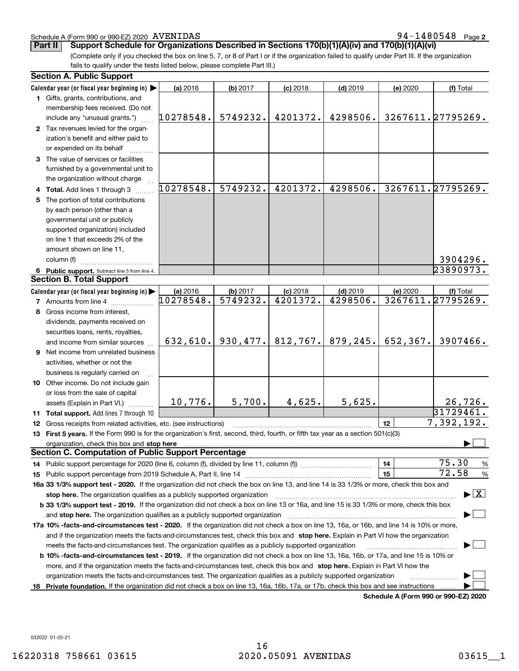## Schedule A (Form 990 or 990-EZ) 2020 AVENIDAS

(Complete only if you checked the box on line 5, 7, or 8 of Part I or if the organization failed to qualify under Part III. If the organization fails to qualify under the tests listed below, please complete Part III.) **Part II Support Schedule for Organizations Described in Sections 170(b)(1)(A)(iv) and 170(b)(1)(A)(vi)**

|    | <b>Section A. Public Support</b>                                                                                                               |           |                        |            |            |           |                                          |
|----|------------------------------------------------------------------------------------------------------------------------------------------------|-----------|------------------------|------------|------------|-----------|------------------------------------------|
|    | Calendar year (or fiscal year beginning in)                                                                                                    | (a) 2016  | (b) 2017               | $(c)$ 2018 | $(d)$ 2019 | (e) 2020  | (f) Total                                |
|    | 1 Gifts, grants, contributions, and                                                                                                            |           |                        |            |            |           |                                          |
|    | membership fees received. (Do not                                                                                                              |           |                        |            |            |           |                                          |
|    | include any "unusual grants.")                                                                                                                 | 10278548. | 5749232.               | 4201372.   | 4298506.   |           | 3267611.27795269.                        |
|    | 2 Tax revenues levied for the organ-                                                                                                           |           |                        |            |            |           |                                          |
|    | ization's benefit and either paid to                                                                                                           |           |                        |            |            |           |                                          |
|    | or expended on its behalf                                                                                                                      |           |                        |            |            |           |                                          |
|    | 3 The value of services or facilities                                                                                                          |           |                        |            |            |           |                                          |
|    | furnished by a governmental unit to                                                                                                            |           |                        |            |            |           |                                          |
|    | the organization without charge                                                                                                                |           |                        |            |            |           |                                          |
|    | 4 Total. Add lines 1 through 3                                                                                                                 | 10278548. | 5749232.               | 4201372.   | 4298506.   |           | 3267611.27795269.                        |
| 5. | The portion of total contributions                                                                                                             |           |                        |            |            |           |                                          |
|    | by each person (other than a                                                                                                                   |           |                        |            |            |           |                                          |
|    | governmental unit or publicly                                                                                                                  |           |                        |            |            |           |                                          |
|    | supported organization) included                                                                                                               |           |                        |            |            |           |                                          |
|    | on line 1 that exceeds 2% of the                                                                                                               |           |                        |            |            |           |                                          |
|    | amount shown on line 11,                                                                                                                       |           |                        |            |            |           |                                          |
|    | column (f)                                                                                                                                     |           |                        |            |            |           | 3904296.                                 |
|    | 6 Public support. Subtract line 5 from line 4.                                                                                                 |           |                        |            |            |           | 23890973.                                |
|    | <b>Section B. Total Support</b>                                                                                                                |           |                        |            |            |           |                                          |
|    | Calendar year (or fiscal year beginning in)                                                                                                    | (a) 2016  | (b) 2017               | $(c)$ 2018 | $(d)$ 2019 | (e) 2020  | (f) Total                                |
|    | 7 Amounts from line 4                                                                                                                          | 10278548. | $\overline{5749232}$ . | 4201372.   | 4298506.   |           | 3267611.27795269.                        |
|    | 8 Gross income from interest,                                                                                                                  |           |                        |            |            |           |                                          |
|    | dividends, payments received on                                                                                                                |           |                        |            |            |           |                                          |
|    | securities loans, rents, royalties,                                                                                                            |           |                        |            |            |           |                                          |
|    | and income from similar sources                                                                                                                | 632,610.  | 930, 477.              | 812,767.   | 879, 245.  | 652, 367. | 3907466.                                 |
| 9  | Net income from unrelated business                                                                                                             |           |                        |            |            |           |                                          |
|    |                                                                                                                                                |           |                        |            |            |           |                                          |
|    | activities, whether or not the                                                                                                                 |           |                        |            |            |           |                                          |
|    | business is regularly carried on                                                                                                               |           |                        |            |            |           |                                          |
|    | 10 Other income. Do not include gain                                                                                                           |           |                        |            |            |           |                                          |
|    | or loss from the sale of capital                                                                                                               | 10,776.   | 5,700.                 | 4,625.     | 5,625.     |           | 26,726.                                  |
|    | assets (Explain in Part VI.)                                                                                                                   |           |                        |            |            |           | 31729461.                                |
|    | 11 Total support. Add lines 7 through 10                                                                                                       |           |                        |            |            |           |                                          |
| 12 | Gross receipts from related activities, etc. (see instructions)                                                                                |           |                        |            |            | 12        | 7,392,192.                               |
|    | 13 First 5 years. If the Form 990 is for the organization's first, second, third, fourth, or fifth tax year as a section 501(c)(3)             |           |                        |            |            |           |                                          |
|    |                                                                                                                                                |           |                        |            |            |           |                                          |
|    | Section C. Computation of Public Support Percentage                                                                                            |           |                        |            |            |           | 75.30                                    |
|    |                                                                                                                                                |           |                        |            |            | 14        | %<br>72.58                               |
|    |                                                                                                                                                |           |                        |            |            | 15        | %                                        |
|    | 16a 33 1/3% support test - 2020. If the organization did not check the box on line 13, and line 14 is 33 1/3% or more, check this box and      |           |                        |            |            |           | $\blacktriangleright$ $\boxed{\text{X}}$ |
|    | stop here. The organization qualifies as a publicly supported organization                                                                     |           |                        |            |            |           |                                          |
|    | b 33 1/3% support test - 2019. If the organization did not check a box on line 13 or 16a, and line 15 is 33 1/3% or more, check this box       |           |                        |            |            |           |                                          |
|    | and stop here. The organization qualifies as a publicly supported organization                                                                 |           |                        |            |            |           |                                          |
|    | 17a 10% -facts-and-circumstances test - 2020. If the organization did not check a box on line 13, 16a, or 16b, and line 14 is 10% or more,     |           |                        |            |            |           |                                          |
|    | and if the organization meets the facts-and-circumstances test, check this box and stop here. Explain in Part VI how the organization          |           |                        |            |            |           |                                          |
|    | meets the facts-and-circumstances test. The organization qualifies as a publicly supported organization                                        |           |                        |            |            |           |                                          |
|    | <b>b 10% -facts-and-circumstances test - 2019.</b> If the organization did not check a box on line 13, 16a, 16b, or 17a, and line 15 is 10% or |           |                        |            |            |           |                                          |
|    | more, and if the organization meets the facts-and-circumstances test, check this box and stop here. Explain in Part VI how the                 |           |                        |            |            |           |                                          |
|    | organization meets the facts-and-circumstances test. The organization qualifies as a publicly supported organization                           |           |                        |            |            |           |                                          |
|    | 18 Private foundation. If the organization did not check a box on line 13, 16a, 16b, 17a, or 17b, check this box and see instructions          |           |                        |            |            |           |                                          |

**Schedule A (Form 990 or 990-EZ) 2020**

032022 01-25-21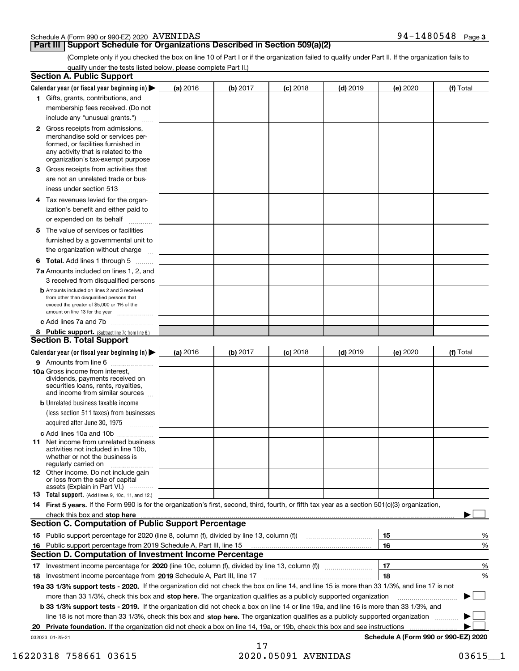## Schedule A (Form 990 or 990-EZ) 2020 AVENIDAS

# **Part III Support Schedule for Organizations Described in Section 509(a)(2)**

(Complete only if you checked the box on line 10 of Part I or if the organization failed to qualify under Part II. If the organization fails to qualify under the tests listed below, please complete Part II.)

|    | <b>Section A. Public Support</b>                                                                                                                                                                |          |          |                 |            |                                      |           |
|----|-------------------------------------------------------------------------------------------------------------------------------------------------------------------------------------------------|----------|----------|-----------------|------------|--------------------------------------|-----------|
|    | Calendar year (or fiscal year beginning in) $\blacktriangleright$                                                                                                                               | (a) 2016 | (b) 2017 | <b>(c)</b> 2018 | $(d)$ 2019 | (e) 2020                             | (f) Total |
|    | 1 Gifts, grants, contributions, and                                                                                                                                                             |          |          |                 |            |                                      |           |
|    | membership fees received. (Do not                                                                                                                                                               |          |          |                 |            |                                      |           |
|    | include any "unusual grants.")                                                                                                                                                                  |          |          |                 |            |                                      |           |
|    | <b>2</b> Gross receipts from admissions,<br>merchandise sold or services per-<br>formed, or facilities furnished in<br>any activity that is related to the<br>organization's tax-exempt purpose |          |          |                 |            |                                      |           |
|    | 3 Gross receipts from activities that<br>are not an unrelated trade or bus-                                                                                                                     |          |          |                 |            |                                      |           |
|    | iness under section 513                                                                                                                                                                         |          |          |                 |            |                                      |           |
|    | 4 Tax revenues levied for the organ-<br>ization's benefit and either paid to<br>or expended on its behalf<br>.                                                                                  |          |          |                 |            |                                      |           |
|    | 5 The value of services or facilities<br>furnished by a governmental unit to                                                                                                                    |          |          |                 |            |                                      |           |
|    | the organization without charge                                                                                                                                                                 |          |          |                 |            |                                      |           |
|    | <b>6 Total.</b> Add lines 1 through 5 $\dots$<br>7a Amounts included on lines 1, 2, and                                                                                                         |          |          |                 |            |                                      |           |
|    | 3 received from disqualified persons                                                                                                                                                            |          |          |                 |            |                                      |           |
|    | <b>b</b> Amounts included on lines 2 and 3 received<br>from other than disqualified persons that<br>exceed the greater of \$5,000 or 1% of the<br>amount on line 13 for the year                |          |          |                 |            |                                      |           |
|    | c Add lines 7a and 7b                                                                                                                                                                           |          |          |                 |            |                                      |           |
|    | 8 Public support. (Subtract line 7c from line 6.)                                                                                                                                               |          |          |                 |            |                                      |           |
|    | <b>Section B. Total Support</b>                                                                                                                                                                 |          |          |                 |            |                                      |           |
|    | Calendar year (or fiscal year beginning in)                                                                                                                                                     | (a) 2016 | (b) 2017 | <b>(c)</b> 2018 | $(d)$ 2019 | (e) 2020                             | (f) Total |
|    | 9 Amounts from line 6                                                                                                                                                                           |          |          |                 |            |                                      |           |
|    | 10a Gross income from interest,<br>dividends, payments received on<br>securities loans, rents, royalties,<br>and income from similar sources                                                    |          |          |                 |            |                                      |           |
|    | <b>b</b> Unrelated business taxable income                                                                                                                                                      |          |          |                 |            |                                      |           |
|    | (less section 511 taxes) from businesses                                                                                                                                                        |          |          |                 |            |                                      |           |
|    | acquired after June 30, 1975 [10001]                                                                                                                                                            |          |          |                 |            |                                      |           |
|    | c Add lines 10a and 10b<br>11 Net income from unrelated business<br>activities not included in line 10b,<br>whether or not the business is<br>regularly carried on                              |          |          |                 |            |                                      |           |
|    | <b>12</b> Other income. Do not include gain<br>or loss from the sale of capital<br>assets (Explain in Part VI.)                                                                                 |          |          |                 |            |                                      |           |
|    | 13 Total support. (Add lines 9, 10c, 11, and 12.)                                                                                                                                               |          |          |                 |            |                                      |           |
|    | 14 First 5 years. If the Form 990 is for the organization's first, second, third, fourth, or fifth tax year as a section 501(c)(3) organization,                                                |          |          |                 |            |                                      |           |
|    | check this box and stop here measurements and the state of the state of the state of the state of the state of                                                                                  |          |          |                 |            |                                      |           |
|    | <b>Section C. Computation of Public Support Percentage</b>                                                                                                                                      |          |          |                 |            |                                      |           |
|    |                                                                                                                                                                                                 |          |          |                 |            | 15                                   | %         |
| 16 | Public support percentage from 2019 Schedule A, Part III, line 15                                                                                                                               |          |          |                 |            | 16                                   | %         |
|    | <b>Section D. Computation of Investment Income Percentage</b>                                                                                                                                   |          |          |                 |            |                                      |           |
|    | 17 Investment income percentage for 2020 (line 10c, column (f), divided by line 13, column (f))                                                                                                 |          |          |                 |            | 17                                   | %         |
|    | 18 Investment income percentage from 2019 Schedule A, Part III, line 17                                                                                                                         |          |          |                 |            | 18                                   | %         |
|    | 19a 33 1/3% support tests - 2020. If the organization did not check the box on line 14, and line 15 is more than 33 1/3%, and line 17 is not                                                    |          |          |                 |            |                                      |           |
|    | more than 33 1/3%, check this box and stop here. The organization qualifies as a publicly supported organization                                                                                |          |          |                 |            |                                      | $\sim$ 1  |
|    | b 33 1/3% support tests - 2019. If the organization did not check a box on line 14 or line 19a, and line 16 is more than 33 1/3%, and                                                           |          |          |                 |            |                                      |           |
|    | line 18 is not more than 33 1/3%, check this box and stop here. The organization qualifies as a publicly supported organization                                                                 |          |          |                 |            |                                      |           |
| 20 | Private foundation. If the organization did not check a box on line 14, 19a, or 19b, check this box and see instructions                                                                        |          |          |                 |            |                                      |           |
|    | 032023 01-25-21                                                                                                                                                                                 |          |          |                 |            | Schedule A (Form 990 or 990-EZ) 2020 |           |

17 16220318 758661 03615 2020.05091 AVENIDAS 03615\_\_1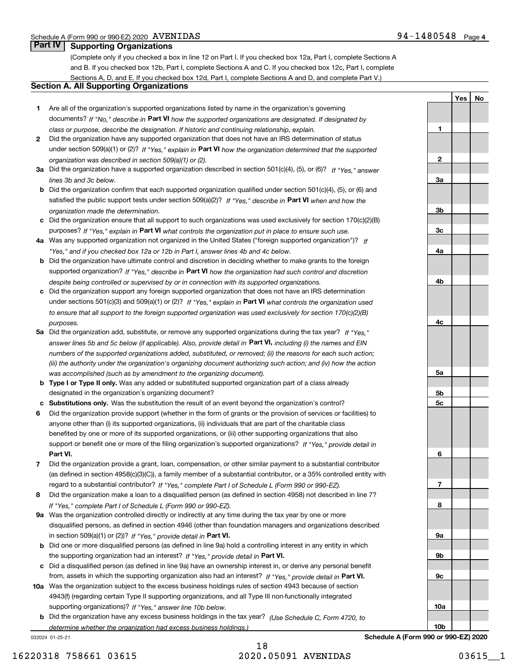**YesNo**

# **Part IV Supporting Organizations**

(Complete only if you checked a box in line 12 on Part I. If you checked box 12a, Part I, complete Sections A and B. If you checked box 12b, Part I, complete Sections A and C. If you checked box 12c, Part I, complete Sections A, D, and E. If you checked box 12d, Part I, complete Sections A and D, and complete Part V.)

# **Section A. All Supporting Organizations**

- **1** Are all of the organization's supported organizations listed by name in the organization's governing documents? If "No," describe in **Part VI** how the supported organizations are designated. If designated by *class or purpose, describe the designation. If historic and continuing relationship, explain.*
- **2** Did the organization have any supported organization that does not have an IRS determination of status under section 509(a)(1) or (2)? If "Yes," explain in Part VI how the organization determined that the supported *organization was described in section 509(a)(1) or (2).*
- **3a** Did the organization have a supported organization described in section 501(c)(4), (5), or (6)? If "Yes," answer *lines 3b and 3c below.*
- **b** Did the organization confirm that each supported organization qualified under section 501(c)(4), (5), or (6) and satisfied the public support tests under section 509(a)(2)? If "Yes," describe in **Part VI** when and how the *organization made the determination.*
- **c**Did the organization ensure that all support to such organizations was used exclusively for section 170(c)(2)(B) purposes? If "Yes," explain in **Part VI** what controls the organization put in place to ensure such use.
- **4a***If* Was any supported organization not organized in the United States ("foreign supported organization")? *"Yes," and if you checked box 12a or 12b in Part I, answer lines 4b and 4c below.*
- **b** Did the organization have ultimate control and discretion in deciding whether to make grants to the foreign supported organization? If "Yes," describe in **Part VI** how the organization had such control and discretion *despite being controlled or supervised by or in connection with its supported organizations.*
- **c** Did the organization support any foreign supported organization that does not have an IRS determination under sections 501(c)(3) and 509(a)(1) or (2)? If "Yes," explain in **Part VI** what controls the organization used *to ensure that all support to the foreign supported organization was used exclusively for section 170(c)(2)(B) purposes.*
- **5a** Did the organization add, substitute, or remove any supported organizations during the tax year? If "Yes," answer lines 5b and 5c below (if applicable). Also, provide detail in **Part VI,** including (i) the names and EIN *numbers of the supported organizations added, substituted, or removed; (ii) the reasons for each such action; (iii) the authority under the organization's organizing document authorizing such action; and (iv) how the action was accomplished (such as by amendment to the organizing document).*
- **b** Type I or Type II only. Was any added or substituted supported organization part of a class already designated in the organization's organizing document?
- **cSubstitutions only.**  Was the substitution the result of an event beyond the organization's control?
- **6** Did the organization provide support (whether in the form of grants or the provision of services or facilities) to **Part VI.** *If "Yes," provide detail in* support or benefit one or more of the filing organization's supported organizations? anyone other than (i) its supported organizations, (ii) individuals that are part of the charitable class benefited by one or more of its supported organizations, or (iii) other supporting organizations that also
- **7**Did the organization provide a grant, loan, compensation, or other similar payment to a substantial contributor *If "Yes," complete Part I of Schedule L (Form 990 or 990-EZ).* regard to a substantial contributor? (as defined in section 4958(c)(3)(C)), a family member of a substantial contributor, or a 35% controlled entity with
- **8** Did the organization make a loan to a disqualified person (as defined in section 4958) not described in line 7? *If "Yes," complete Part I of Schedule L (Form 990 or 990-EZ).*
- **9a** Was the organization controlled directly or indirectly at any time during the tax year by one or more in section 509(a)(1) or (2))? If "Yes," *provide detail in* <code>Part VI.</code> disqualified persons, as defined in section 4946 (other than foundation managers and organizations described
- **b**the supporting organization had an interest? If "Yes," provide detail in P**art VI**. Did one or more disqualified persons (as defined in line 9a) hold a controlling interest in any entity in which
- **c**Did a disqualified person (as defined in line 9a) have an ownership interest in, or derive any personal benefit from, assets in which the supporting organization also had an interest? If "Yes," provide detail in P**art VI.**
- **10a** Was the organization subject to the excess business holdings rules of section 4943 because of section supporting organizations)? If "Yes," answer line 10b below. 4943(f) (regarding certain Type II supporting organizations, and all Type III non-functionally integrated
- **b** Did the organization have any excess business holdings in the tax year? (Use Schedule C, Form 4720, to *determine whether the organization had excess business holdings.)*

032024 01-25-21



**Schedule A (Form 990 or 990-EZ) 2020**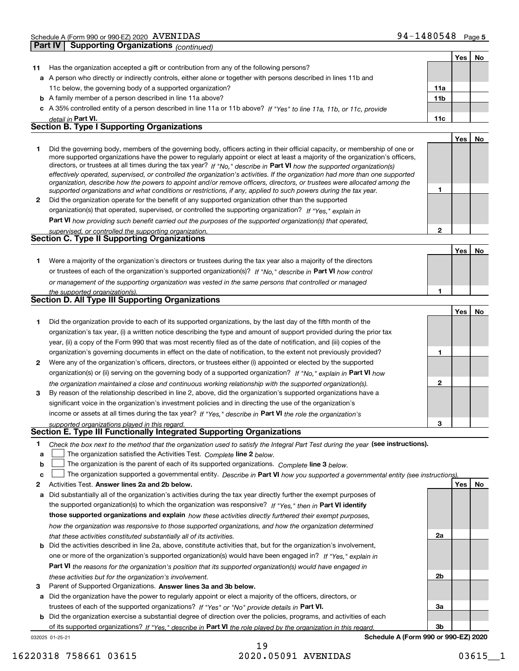|    | oupporung Organizations <sub>(CONTINUEG)</sub>                                                                                                                                                                                                                                                                                                                                                                                                                                                                                                                                                                                                       |                 |            |    |
|----|------------------------------------------------------------------------------------------------------------------------------------------------------------------------------------------------------------------------------------------------------------------------------------------------------------------------------------------------------------------------------------------------------------------------------------------------------------------------------------------------------------------------------------------------------------------------------------------------------------------------------------------------------|-----------------|------------|----|
|    |                                                                                                                                                                                                                                                                                                                                                                                                                                                                                                                                                                                                                                                      |                 | Yes        | No |
| 11 | Has the organization accepted a gift or contribution from any of the following persons?                                                                                                                                                                                                                                                                                                                                                                                                                                                                                                                                                              |                 |            |    |
|    | a A person who directly or indirectly controls, either alone or together with persons described in lines 11b and                                                                                                                                                                                                                                                                                                                                                                                                                                                                                                                                     |                 |            |    |
|    | 11c below, the governing body of a supported organization?                                                                                                                                                                                                                                                                                                                                                                                                                                                                                                                                                                                           | 11a             |            |    |
|    | <b>b</b> A family member of a person described in line 11a above?                                                                                                                                                                                                                                                                                                                                                                                                                                                                                                                                                                                    | 11 <sub>b</sub> |            |    |
|    | c A 35% controlled entity of a person described in line 11a or 11b above? If "Yes" to line 11a, 11b, or 11c, provide                                                                                                                                                                                                                                                                                                                                                                                                                                                                                                                                 |                 |            |    |
|    | detail in Part VI.                                                                                                                                                                                                                                                                                                                                                                                                                                                                                                                                                                                                                                   | 11c             |            |    |
|    | <b>Section B. Type I Supporting Organizations</b>                                                                                                                                                                                                                                                                                                                                                                                                                                                                                                                                                                                                    |                 |            |    |
|    |                                                                                                                                                                                                                                                                                                                                                                                                                                                                                                                                                                                                                                                      |                 | Yes        | No |
| 1  | Did the governing body, members of the governing body, officers acting in their official capacity, or membership of one or<br>more supported organizations have the power to regularly appoint or elect at least a majority of the organization's officers,<br>directors, or trustees at all times during the tax year? If "No," describe in Part VI how the supported organization(s)<br>effectively operated, supervised, or controlled the organization's activities. If the organization had more than one supported<br>organization, describe how the powers to appoint and/or remove officers, directors, or trustees were allocated among the |                 |            |    |
|    | supported organizations and what conditions or restrictions, if any, applied to such powers during the tax year.                                                                                                                                                                                                                                                                                                                                                                                                                                                                                                                                     | 1               |            |    |
| 2  | Did the organization operate for the benefit of any supported organization other than the supported                                                                                                                                                                                                                                                                                                                                                                                                                                                                                                                                                  |                 |            |    |
|    | organization(s) that operated, supervised, or controlled the supporting organization? If "Yes," explain in                                                                                                                                                                                                                                                                                                                                                                                                                                                                                                                                           |                 |            |    |
|    | Part VI how providing such benefit carried out the purposes of the supported organization(s) that operated,                                                                                                                                                                                                                                                                                                                                                                                                                                                                                                                                          |                 |            |    |
|    | supervised, or controlled the supporting organization.<br>Section C. Type II Supporting Organizations                                                                                                                                                                                                                                                                                                                                                                                                                                                                                                                                                | $\mathbf 2$     |            |    |
|    |                                                                                                                                                                                                                                                                                                                                                                                                                                                                                                                                                                                                                                                      |                 |            |    |
|    |                                                                                                                                                                                                                                                                                                                                                                                                                                                                                                                                                                                                                                                      |                 | <b>Yes</b> | No |
| 1. | Were a majority of the organization's directors or trustees during the tax year also a majority of the directors                                                                                                                                                                                                                                                                                                                                                                                                                                                                                                                                     |                 |            |    |
|    | or trustees of each of the organization's supported organization(s)? If "No," describe in Part VI how control                                                                                                                                                                                                                                                                                                                                                                                                                                                                                                                                        |                 |            |    |
|    | or management of the supporting organization was vested in the same persons that controlled or managed                                                                                                                                                                                                                                                                                                                                                                                                                                                                                                                                               |                 |            |    |
|    | the supported organization(s).                                                                                                                                                                                                                                                                                                                                                                                                                                                                                                                                                                                                                       | 1               |            |    |
|    | Section D. All Type III Supporting Organizations                                                                                                                                                                                                                                                                                                                                                                                                                                                                                                                                                                                                     |                 |            |    |
|    |                                                                                                                                                                                                                                                                                                                                                                                                                                                                                                                                                                                                                                                      |                 | Yes        | No |
| 1. | Did the organization provide to each of its supported organizations, by the last day of the fifth month of the                                                                                                                                                                                                                                                                                                                                                                                                                                                                                                                                       |                 |            |    |
|    | organization's tax year, (i) a written notice describing the type and amount of support provided during the prior tax                                                                                                                                                                                                                                                                                                                                                                                                                                                                                                                                |                 |            |    |
|    | year, (ii) a copy of the Form 990 that was most recently filed as of the date of notification, and (iii) copies of the                                                                                                                                                                                                                                                                                                                                                                                                                                                                                                                               |                 |            |    |
|    | organization's governing documents in effect on the date of notification, to the extent not previously provided?                                                                                                                                                                                                                                                                                                                                                                                                                                                                                                                                     | 1               |            |    |
| 2  | Were any of the organization's officers, directors, or trustees either (i) appointed or elected by the supported                                                                                                                                                                                                                                                                                                                                                                                                                                                                                                                                     |                 |            |    |
|    | organization(s) or (ii) serving on the governing body of a supported organization? If "No," explain in Part VI how                                                                                                                                                                                                                                                                                                                                                                                                                                                                                                                                   |                 |            |    |
|    | the organization maintained a close and continuous working relationship with the supported organization(s).                                                                                                                                                                                                                                                                                                                                                                                                                                                                                                                                          | $\overline{2}$  |            |    |
| 3  | By reason of the relationship described in line 2, above, did the organization's supported organizations have a                                                                                                                                                                                                                                                                                                                                                                                                                                                                                                                                      |                 |            |    |
|    | significant voice in the organization's investment policies and in directing the use of the organization's                                                                                                                                                                                                                                                                                                                                                                                                                                                                                                                                           |                 |            |    |
|    | income or assets at all times during the tax year? If "Yes," describe in Part VI the role the organization's                                                                                                                                                                                                                                                                                                                                                                                                                                                                                                                                         |                 |            |    |
|    | supported organizations played in this regard.                                                                                                                                                                                                                                                                                                                                                                                                                                                                                                                                                                                                       | 3               |            |    |
|    | Section E. Type III Functionally Integrated Supporting Organizations                                                                                                                                                                                                                                                                                                                                                                                                                                                                                                                                                                                 |                 |            |    |
| 1. | Check the box next to the method that the organization used to satisfy the Integral Part Test during the year (see instructions).                                                                                                                                                                                                                                                                                                                                                                                                                                                                                                                    |                 |            |    |
| a  | The organization satisfied the Activities Test. Complete line 2 below.                                                                                                                                                                                                                                                                                                                                                                                                                                                                                                                                                                               |                 |            |    |
| b  | The organization is the parent of each of its supported organizations. Complete line 3 below.                                                                                                                                                                                                                                                                                                                                                                                                                                                                                                                                                        |                 |            |    |

- **c**The organization supported a governmental entity. Describe in Part VI how you supported a governmental entity (see instructions).
- **2Answer lines 2a and 2b below. Yes No** Activities Test.
- **a** Did substantially all of the organization's activities during the tax year directly further the exempt purposes of the supported organization(s) to which the organization was responsive? If "Yes," then in **Part VI identify those supported organizations and explain**  *how these activities directly furthered their exempt purposes, how the organization was responsive to those supported organizations, and how the organization determined that these activities constituted substantially all of its activities.*
- **b** Did the activities described in line 2a, above, constitute activities that, but for the organization's involvement, **Part VI**  *the reasons for the organization's position that its supported organization(s) would have engaged in* one or more of the organization's supported organization(s) would have been engaged in? If "Yes," e*xplain in these activities but for the organization's involvement.*
- **3**Parent of Supported Organizations. Answer lines 3a and 3b below.
- **a** Did the organization have the power to regularly appoint or elect a majority of the officers, directors, or trustees of each of the supported organizations? If "Yes" or "No" provide details in **Part VI.**
- 032025 01-25-21 **b** Did the organization exercise a substantial degree of direction over the policies, programs, and activities of each of its supported organizations? If "Yes," describe in Part VI the role played by the organization in this regard.

**Schedule A (Form 990 or 990-EZ) 2020**

# 19 16220318 758661 03615 2020.05091 AVENIDAS 03615\_\_1

**2a**

**2b**

**3a**

**3b**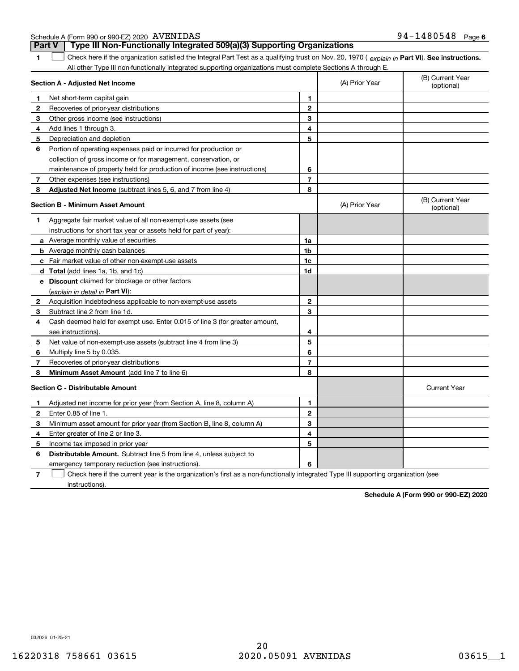|        | Schedule A (Form 990 or 990-EZ) 2020 AVENIDAS |                                                                         | $94 - 1480548$ Page 6 |  |
|--------|-----------------------------------------------|-------------------------------------------------------------------------|-----------------------|--|
| Part V |                                               | Type III Non-Functionally Integrated 509(a)(3) Supporting Organizations |                       |  |

| 1            | Check here if the organization satisfied the Integral Part Test as a qualifying trust on Nov. 20, 1970 (explain in Part VI). See instructions. |                |                |                                |
|--------------|------------------------------------------------------------------------------------------------------------------------------------------------|----------------|----------------|--------------------------------|
|              | All other Type III non-functionally integrated supporting organizations must complete Sections A through E.                                    |                |                |                                |
|              | Section A - Adjusted Net Income                                                                                                                |                | (A) Prior Year | (B) Current Year<br>(optional) |
| $\mathbf{1}$ | Net short-term capital gain                                                                                                                    | $\mathbf{1}$   |                |                                |
| $\mathbf{2}$ | Recoveries of prior-year distributions                                                                                                         | $\mathbf 2$    |                |                                |
| 3            | Other gross income (see instructions)                                                                                                          | 3              |                |                                |
| 4            | Add lines 1 through 3.                                                                                                                         | 4              |                |                                |
| 5            | Depreciation and depletion                                                                                                                     | 5              |                |                                |
| 6            | Portion of operating expenses paid or incurred for production or                                                                               |                |                |                                |
|              | collection of gross income or for management, conservation, or                                                                                 |                |                |                                |
|              | maintenance of property held for production of income (see instructions)                                                                       | 6              |                |                                |
| 7            | Other expenses (see instructions)                                                                                                              | $\overline{7}$ |                |                                |
| 8            | <b>Adjusted Net Income</b> (subtract lines 5, 6, and 7 from line 4)                                                                            | 8              |                |                                |
|              | <b>Section B - Minimum Asset Amount</b>                                                                                                        |                | (A) Prior Year | (B) Current Year<br>(optional) |
| 1            | Aggregate fair market value of all non-exempt-use assets (see                                                                                  |                |                |                                |
|              | instructions for short tax year or assets held for part of year):                                                                              |                |                |                                |
|              | <b>a</b> Average monthly value of securities                                                                                                   | 1a             |                |                                |
|              | <b>b</b> Average monthly cash balances                                                                                                         | 1b             |                |                                |
|              | c Fair market value of other non-exempt-use assets                                                                                             | 1c             |                |                                |
|              | <b>d</b> Total (add lines 1a, 1b, and 1c)                                                                                                      | 1d             |                |                                |
|              | <b>e</b> Discount claimed for blockage or other factors                                                                                        |                |                |                                |
|              | (explain in detail in Part VI):                                                                                                                |                |                |                                |
| 2            | Acquisition indebtedness applicable to non-exempt-use assets                                                                                   | $\mathbf{2}$   |                |                                |
| 3            | Subtract line 2 from line 1d.                                                                                                                  | 3              |                |                                |
| 4            | Cash deemed held for exempt use. Enter 0.015 of line 3 (for greater amount,                                                                    |                |                |                                |
|              | see instructions).                                                                                                                             | 4              |                |                                |
| 5            | Net value of non-exempt-use assets (subtract line 4 from line 3)                                                                               | 5              |                |                                |
| 6            | Multiply line 5 by 0.035.                                                                                                                      | 6              |                |                                |
| 7            | Recoveries of prior-year distributions                                                                                                         | $\overline{7}$ |                |                                |
| 8            | Minimum Asset Amount (add line 7 to line 6)                                                                                                    | 8              |                |                                |
|              | <b>Section C - Distributable Amount</b>                                                                                                        |                |                | <b>Current Year</b>            |
| 1            | Adjusted net income for prior year (from Section A, line 8, column A)                                                                          | 1              |                |                                |
| $\mathbf{2}$ | Enter 0.85 of line 1.                                                                                                                          | $\overline{2}$ |                |                                |
| 3            | Minimum asset amount for prior year (from Section B, line 8, column A)                                                                         | 3              |                |                                |
| 4            | Enter greater of line 2 or line 3.                                                                                                             | 4              |                |                                |
| 5            | Income tax imposed in prior year                                                                                                               | 5              |                |                                |
| 6            | <b>Distributable Amount.</b> Subtract line 5 from line 4, unless subject to                                                                    |                |                |                                |
|              | emergency temporary reduction (see instructions).                                                                                              | 6              |                |                                |

**7** Check here if the current year is the organization's first as a non-functionally integrated Type III supporting organization (see instructions).

**Schedule A (Form 990 or 990-EZ) 2020**

032026 01-25-21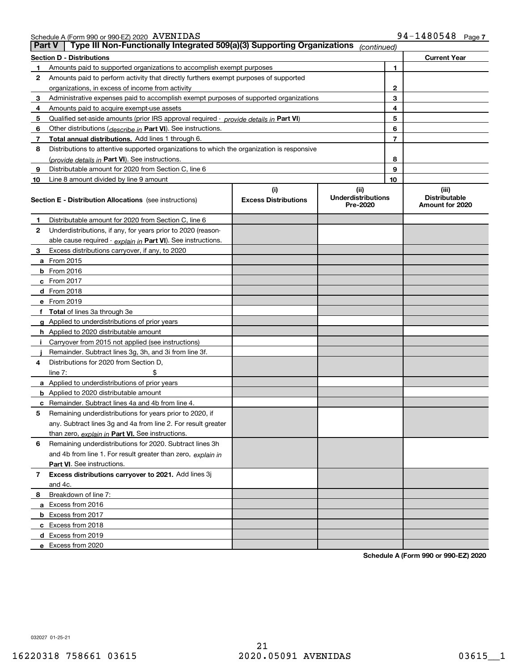|  | Schedule A (Form 990 or 990-EZ) 2020 $\>$ $\rm AVENIDAS$ | 94-1480548 | Page |
|--|----------------------------------------------------------|------------|------|
|  |                                                          |            |      |

| <b>Part V</b> | Type III Non-Functionally Integrated 509(a)(3) Supporting Organizations                    |                             | (continued)                           |                                         |  |
|---------------|--------------------------------------------------------------------------------------------|-----------------------------|---------------------------------------|-----------------------------------------|--|
|               | <b>Section D - Distributions</b>                                                           |                             |                                       | <b>Current Year</b>                     |  |
| 1             | Amounts paid to supported organizations to accomplish exempt purposes                      |                             | 1                                     |                                         |  |
| 2             | Amounts paid to perform activity that directly furthers exempt purposes of supported       |                             |                                       |                                         |  |
|               | organizations, in excess of income from activity                                           |                             |                                       | 2                                       |  |
| 3             | Administrative expenses paid to accomplish exempt purposes of supported organizations      |                             |                                       | 3                                       |  |
| 4             | Amounts paid to acquire exempt-use assets                                                  |                             |                                       | 4                                       |  |
| 5             | Qualified set-aside amounts (prior IRS approval required - provide details in Part VI)     |                             |                                       | 5                                       |  |
| 6             | Other distributions (describe in Part VI). See instructions.                               |                             |                                       | 6                                       |  |
| 7             | Total annual distributions. Add lines 1 through 6.                                         |                             |                                       | 7                                       |  |
| 8             | Distributions to attentive supported organizations to which the organization is responsive |                             |                                       |                                         |  |
|               | (provide details in Part VI). See instructions.                                            |                             |                                       | 8                                       |  |
| 9             | Distributable amount for 2020 from Section C, line 6                                       |                             |                                       | 9                                       |  |
| 10            | Line 8 amount divided by line 9 amount                                                     |                             | 10                                    |                                         |  |
|               |                                                                                            | (i)                         | (ii)                                  | (iii)                                   |  |
|               | <b>Section E - Distribution Allocations</b> (see instructions)                             | <b>Excess Distributions</b> | <b>Underdistributions</b><br>Pre-2020 | <b>Distributable</b><br>Amount for 2020 |  |
| 1             | Distributable amount for 2020 from Section C, line 6                                       |                             |                                       |                                         |  |
| 2             | Underdistributions, if any, for years prior to 2020 (reason-                               |                             |                                       |                                         |  |
|               | able cause required - explain in Part VI). See instructions.                               |                             |                                       |                                         |  |
| 3             | Excess distributions carryover, if any, to 2020                                            |                             |                                       |                                         |  |
|               | <b>a</b> From 2015                                                                         |                             |                                       |                                         |  |
|               | <b>b</b> From 2016                                                                         |                             |                                       |                                         |  |
|               | c From 2017                                                                                |                             |                                       |                                         |  |
|               | <b>d</b> From 2018                                                                         |                             |                                       |                                         |  |
|               | e From 2019                                                                                |                             |                                       |                                         |  |
|               | f Total of lines 3a through 3e                                                             |                             |                                       |                                         |  |
|               | g Applied to underdistributions of prior years                                             |                             |                                       |                                         |  |
|               | <b>h</b> Applied to 2020 distributable amount                                              |                             |                                       |                                         |  |
|               | Carryover from 2015 not applied (see instructions)                                         |                             |                                       |                                         |  |
|               | Remainder. Subtract lines 3g, 3h, and 3i from line 3f.                                     |                             |                                       |                                         |  |
| 4             | Distributions for 2020 from Section D,                                                     |                             |                                       |                                         |  |
|               | line $7:$                                                                                  |                             |                                       |                                         |  |
|               | a Applied to underdistributions of prior years                                             |                             |                                       |                                         |  |
|               | <b>b</b> Applied to 2020 distributable amount                                              |                             |                                       |                                         |  |
|               | c Remainder. Subtract lines 4a and 4b from line 4.                                         |                             |                                       |                                         |  |
| 5             | Remaining underdistributions for years prior to 2020, if                                   |                             |                                       |                                         |  |
|               | any. Subtract lines 3g and 4a from line 2. For result greater                              |                             |                                       |                                         |  |
|               | than zero, explain in Part VI. See instructions.                                           |                             |                                       |                                         |  |
| 6             | Remaining underdistributions for 2020. Subtract lines 3h                                   |                             |                                       |                                         |  |
|               | and 4b from line 1. For result greater than zero, explain in                               |                             |                                       |                                         |  |
|               | Part VI. See instructions.                                                                 |                             |                                       |                                         |  |
| 7             | Excess distributions carryover to 2021. Add lines 3j                                       |                             |                                       |                                         |  |
|               | and 4c.                                                                                    |                             |                                       |                                         |  |
| 8             | Breakdown of line 7:                                                                       |                             |                                       |                                         |  |
|               | a Excess from 2016                                                                         |                             |                                       |                                         |  |
|               | <b>b</b> Excess from 2017                                                                  |                             |                                       |                                         |  |
|               | c Excess from 2018                                                                         |                             |                                       |                                         |  |
|               | d Excess from 2019                                                                         |                             |                                       |                                         |  |
|               | e Excess from 2020                                                                         |                             |                                       |                                         |  |

**Schedule A (Form 990 or 990-EZ) 2020**

032027 01-25-21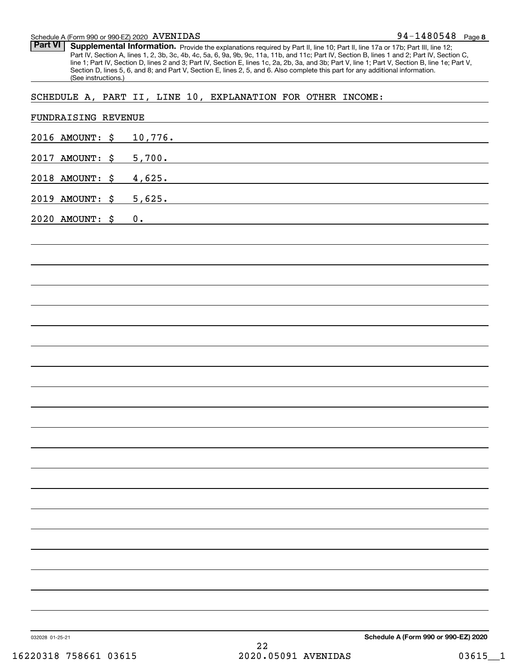#### Schedule A (Form 990 or 990-EZ) 2020 Page AVENIDAS

Part VI | Supplemental Information. Provide the explanations required by Part II, line 10; Part II, line 17a or 17b; Part III, line 12; Part IV, Section A, lines 1, 2, 3b, 3c, 4b, 4c, 5a, 6, 9a, 9b, 9c, 11a, 11b, and 11c; Part IV, Section B, lines 1 and 2; Part IV, Section C, line 1; Part IV, Section D, lines 2 and 3; Part IV, Section E, lines 1c, 2a, 2b, 3a, and 3b; Part V, line 1; Part V, Section B, line 1e; Part V, Section D, lines 5, 6, and 8; and Part V, Section E, lines 2, 5, and 6. Also complete this part for any additional information. (See instructions.)

# SCHEDULE A, PART II, LINE 10, EXPLANATION FOR OTHER INCOME:

| 032028 01-25-21 | 16220318 758661 03615 | 22<br>2020.05091 AVENIDAS                                                                                                                                                                                                                      | Schedule A (Form 990 or 990-EZ) 2020<br>$03615 - 1$ |
|-----------------|-----------------------|------------------------------------------------------------------------------------------------------------------------------------------------------------------------------------------------------------------------------------------------|-----------------------------------------------------|
|                 |                       |                                                                                                                                                                                                                                                |                                                     |
|                 |                       |                                                                                                                                                                                                                                                |                                                     |
|                 |                       |                                                                                                                                                                                                                                                |                                                     |
|                 |                       |                                                                                                                                                                                                                                                |                                                     |
|                 |                       |                                                                                                                                                                                                                                                |                                                     |
|                 |                       |                                                                                                                                                                                                                                                |                                                     |
|                 |                       |                                                                                                                                                                                                                                                |                                                     |
|                 |                       |                                                                                                                                                                                                                                                |                                                     |
|                 |                       |                                                                                                                                                                                                                                                |                                                     |
|                 |                       |                                                                                                                                                                                                                                                |                                                     |
|                 |                       |                                                                                                                                                                                                                                                |                                                     |
|                 |                       |                                                                                                                                                                                                                                                |                                                     |
|                 |                       |                                                                                                                                                                                                                                                |                                                     |
|                 |                       |                                                                                                                                                                                                                                                |                                                     |
|                 |                       |                                                                                                                                                                                                                                                |                                                     |
|                 |                       |                                                                                                                                                                                                                                                |                                                     |
|                 |                       |                                                                                                                                                                                                                                                |                                                     |
|                 |                       |                                                                                                                                                                                                                                                |                                                     |
|                 |                       |                                                                                                                                                                                                                                                |                                                     |
|                 |                       |                                                                                                                                                                                                                                                |                                                     |
| 2020 AMOUNT: \$ | 0.                    | the control of the control of the control of the control of the control of the control of the control of the control of the control of the control of the control of the control of the control of the control of the control                  |                                                     |
| 2019 AMOUNT: \$ | 5,625.                | <u> 1989 - Johann Harry Barn, mars ar breist fan de Amerikaanske kommunenter oan de Fryske kommunenter oan de Fry</u><br><u> 1989 - Jan Samuel Barbara, martin da shekara tsara 1989 - Andrea Samuel Barbara, marka 1989 - Andrea Samuel B</u> |                                                     |
| 2018 AMOUNT: \$ | 4,625.                | <u> 1989 - Andrea Andrew Maria (h. 1989).</u>                                                                                                                                                                                                  |                                                     |
| 2017 AMOUNT: \$ | 5,700.                |                                                                                                                                                                                                                                                |                                                     |
| 2016 AMOUNT: \$ | 10,776.               | <u> 1989 - Johann Stein, mars an deutscher Stein und der Stein und der Stein und der Stein und der Stein und der</u>                                                                                                                           |                                                     |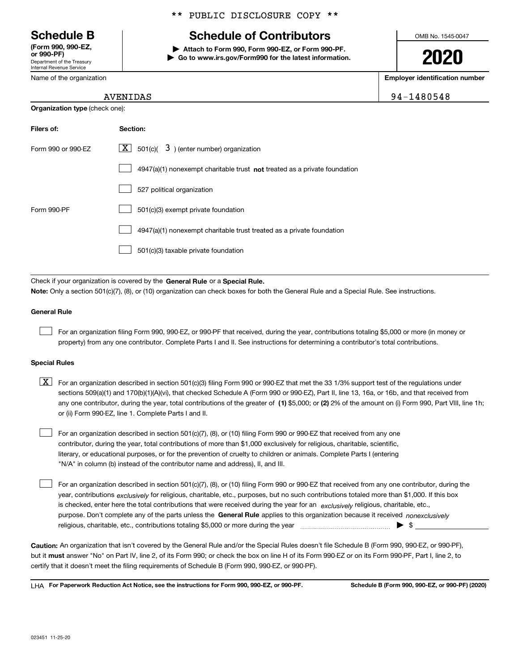Department of the Treasury Internal Revenue Service **(Form 990, 990-EZ, or 990-PF)**

Name of the organization

# \*\* PUBLIC DISCLOSURE COPY \*\*

# **Schedule B Schedule of Contributors**

**| Attach to Form 990, Form 990-EZ, or Form 990-PF. | Go to www.irs.gov/Form990 for the latest information.** OMB No. 1545-0047

**2020**

**Employer identification number**

94-1480548

|  | AVENIDAS |
|--|----------|
|  |          |

| <b>Organization type</b> (check one): |                                                                             |  |  |
|---------------------------------------|-----------------------------------------------------------------------------|--|--|
| Filers of:                            | Section:                                                                    |  |  |
| Form 990 or 990-EZ                    | $\boxed{\text{X}}$ 501(c)( 3) (enter number) organization                   |  |  |
|                                       | $4947(a)(1)$ nonexempt charitable trust not treated as a private foundation |  |  |
|                                       | 527 political organization                                                  |  |  |
| Form 990-PF                           | 501(c)(3) exempt private foundation                                         |  |  |
|                                       | 4947(a)(1) nonexempt charitable trust treated as a private foundation       |  |  |
|                                       | 501(c)(3) taxable private foundation                                        |  |  |

Check if your organization is covered by the **General Rule** or a **Special Rule. Note:**  Only a section 501(c)(7), (8), or (10) organization can check boxes for both the General Rule and a Special Rule. See instructions.

#### **General Rule**

 $\mathcal{L}^{\text{max}}$ 

For an organization filing Form 990, 990-EZ, or 990-PF that received, during the year, contributions totaling \$5,000 or more (in money or property) from any one contributor. Complete Parts I and II. See instructions for determining a contributor's total contributions.

#### **Special Rules**

any one contributor, during the year, total contributions of the greater of  $\,$  (1) \$5,000; or **(2)** 2% of the amount on (i) Form 990, Part VIII, line 1h;  $\boxed{\textbf{X}}$  For an organization described in section 501(c)(3) filing Form 990 or 990-EZ that met the 33 1/3% support test of the regulations under sections 509(a)(1) and 170(b)(1)(A)(vi), that checked Schedule A (Form 990 or 990-EZ), Part II, line 13, 16a, or 16b, and that received from or (ii) Form 990-EZ, line 1. Complete Parts I and II.

For an organization described in section 501(c)(7), (8), or (10) filing Form 990 or 990-EZ that received from any one contributor, during the year, total contributions of more than \$1,000 exclusively for religious, charitable, scientific, literary, or educational purposes, or for the prevention of cruelty to children or animals. Complete Parts I (entering "N/A" in column (b) instead of the contributor name and address), II, and III.  $\mathcal{L}^{\text{max}}$ 

purpose. Don't complete any of the parts unless the **General Rule** applies to this organization because it received *nonexclusively* year, contributions <sub>exclusively</sub> for religious, charitable, etc., purposes, but no such contributions totaled more than \$1,000. If this box is checked, enter here the total contributions that were received during the year for an  $\;$ exclusively religious, charitable, etc., For an organization described in section 501(c)(7), (8), or (10) filing Form 990 or 990-EZ that received from any one contributor, during the religious, charitable, etc., contributions totaling \$5,000 or more during the year  $\Box$ — $\Box$   $\Box$  $\mathcal{L}^{\text{max}}$ 

**Caution:**  An organization that isn't covered by the General Rule and/or the Special Rules doesn't file Schedule B (Form 990, 990-EZ, or 990-PF),  **must** but it answer "No" on Part IV, line 2, of its Form 990; or check the box on line H of its Form 990-EZ or on its Form 990-PF, Part I, line 2, to certify that it doesn't meet the filing requirements of Schedule B (Form 990, 990-EZ, or 990-PF).

**For Paperwork Reduction Act Notice, see the instructions for Form 990, 990-EZ, or 990-PF. Schedule B (Form 990, 990-EZ, or 990-PF) (2020)** LHA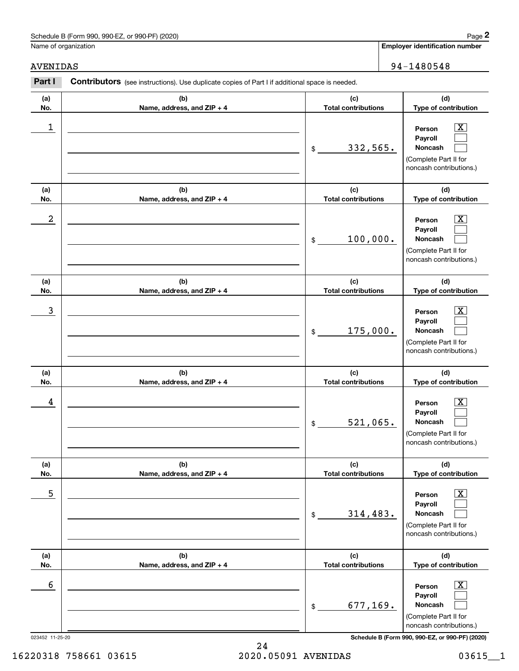# Schedule B (Form 990, 990-EZ, or 990-PF) (2020) **Page 2**

Name of organization

**(d)**

 $\boxed{\text{X}}$ 

# AVENIDAS 94-1480548

**(a) No.**

**(b) Name, address, and ZIP + 4 (c) Total contributions Type of contribution Person** Contributors (see instructions). Use duplicate copies of Part I if additional space is needed. **2Page 2** Chedule B (Form 990, 990-EZ, or 990-PF) (2020)<br>
Jame of organization<br> **2Part I 2Part I Contributors** (see instructions). Use duplicate copies of Part I if additional space is needed.  $\begin{array}{c|c|c|c|c|c} 1 & \hspace{1.5cm} & \hspace{1.5cm} & \hspace{1.5cm} & \hspace{1.5cm} & \hspace{1.5cm} & \hspace{1.5cm} & \hspace{1.5cm} & \hspace{1.5cm} & \hspace{1.5cm} & \hspace{1.5cm} & \hspace{1.5cm} & \hspace{1.5cm} & \hspace{1.5cm} & \hspace{1.5cm} & \hspace{1.5cm} & \hspace{1.5cm} & \hspace{1.5cm} & \hspace{1.5cm} & \hspace{1.5cm} & \hspace{1.5cm} &$ 

|            |                                   | 332,565.<br>$$\mathbb{S}$$        | Payroll<br>Noncash<br>(Complete Part II for<br>noncash contributions.)                                             |
|------------|-----------------------------------|-----------------------------------|--------------------------------------------------------------------------------------------------------------------|
| (a)<br>No. | (b)<br>Name, address, and ZIP + 4 | (c)<br><b>Total contributions</b> | (d)<br>Type of contribution                                                                                        |
| 2          |                                   | 100,000.<br>$$\mathbb{S}$$        | $\overline{\texttt{X}}$<br>Person<br>Payroll<br>Noncash<br>(Complete Part II for<br>noncash contributions.)        |
| (a)<br>No. | (b)<br>Name, address, and ZIP + 4 | (c)<br><b>Total contributions</b> | (d)<br>Type of contribution                                                                                        |
| 3          |                                   | 175,000.<br>$$\mathbb{S}$$        | $\overline{\texttt{X}}$<br>Person<br>Payroll<br>Noncash<br>(Complete Part II for<br>noncash contributions.)        |
| (a)<br>No. | (b)<br>Name, address, and ZIP + 4 | (c)<br><b>Total contributions</b> | (d)<br>Type of contribution                                                                                        |
| 4          |                                   | 521,065.<br>\$                    | $\overline{\texttt{x}}$<br>Person<br>Payroll<br>Noncash<br>(Complete Part II for<br>noncash contributions.)        |
| (a)<br>No. | (b)<br>Name, address, and ZIP + 4 | (c)<br><b>Total contributions</b> | (d)<br>Type of contribution                                                                                        |
| 5          |                                   | 314,483.<br>\$                    | X<br>Person<br>Payroll<br>Noncash<br>(Complete Part II for<br>noncash contributions.)                              |
| (a)<br>No. | (b)<br>Name, address, and ZIP + 4 | (c)<br><b>Total contributions</b> | (d)<br>Type of contribution                                                                                        |
| 6          |                                   | 677,169.<br>\$                    | $\overline{\mathbf{X}}$<br>Person<br>Payroll<br><b>Noncash</b><br>(Complete Part II for<br>noncash contributions.) |

023452 11-25-20 **Schedule B (Form 990, 990-EZ, or 990-PF) (2020)**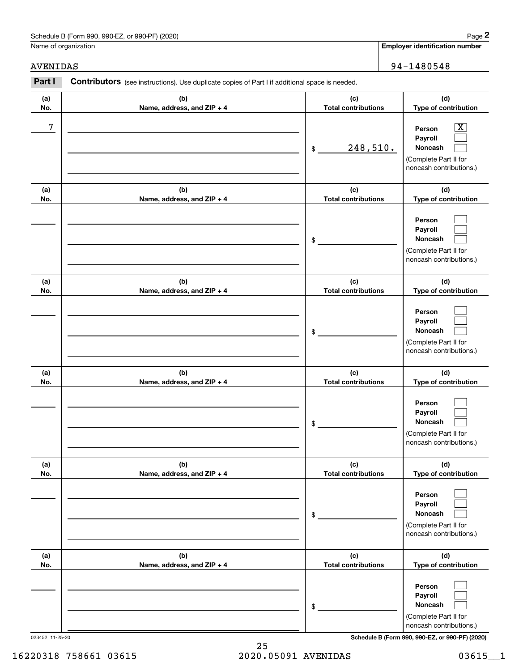# Schedule B (Form 990, 990-EZ, or 990-PF) (2020) **Page 2** Page 2

Name of organization

**(d)**

# AVENIDAS 94-1480548

**(a) No.**

**(b) Name, address, and ZIP + 4 (c) Total contributions Type of contribution PersonPayroll**Contributors (see instructions). Use duplicate copies of Part I if additional space is needed. **2Page 2** Chedule B (Form 990, 990-EZ, or 990-PF) (2020)<br>
Jame of organization<br> **2Part I 2Part I Contributors** (see instructions). Use duplicate copies of Part I if additional space is needed. 7 X

| 7          |                                   | 248,510.<br>$\$$                  | $\overline{\text{X}}$<br>Person<br>Payroll<br>Noncash<br>(Complete Part II for<br>noncash contributions.) |
|------------|-----------------------------------|-----------------------------------|-----------------------------------------------------------------------------------------------------------|
| (a)<br>No. | (b)<br>Name, address, and ZIP + 4 | (c)<br><b>Total contributions</b> | (d)<br>Type of contribution                                                                               |
|            |                                   | \$                                | Person<br>Payroll<br>Noncash<br>(Complete Part II for<br>noncash contributions.)                          |
| (a)<br>No. | (b)<br>Name, address, and ZIP + 4 | (c)<br><b>Total contributions</b> | (d)<br>Type of contribution                                                                               |
|            |                                   | \$                                | Person<br>Payroll<br>Noncash<br>(Complete Part II for<br>noncash contributions.)                          |
| (a)<br>No. | (b)<br>Name, address, and ZIP + 4 | (c)<br><b>Total contributions</b> | (d)<br>Type of contribution                                                                               |
|            |                                   | \$                                | Person<br>Payroll<br>Noncash<br>(Complete Part II for<br>noncash contributions.)                          |
| (a)<br>No. | (b)<br>Name, address, and ZIP + 4 | (c)<br><b>Total contributions</b> | (d)<br>Type of contribution                                                                               |
|            |                                   | \$                                | Person<br>Payroll<br>Noncash<br>(Complete Part II for<br>noncash contributions.)                          |
| (a)<br>No. | (b)<br>Name, address, and ZIP + 4 | (c)<br><b>Total contributions</b> | (d)<br>Type of contribution                                                                               |
|            |                                   | \$                                | Person<br>Payroll<br>Noncash<br>(Complete Part II for<br>noncash contributions.)                          |

023452 11-25-20 **Schedule B (Form 990, 990-EZ, or 990-PF) (2020)**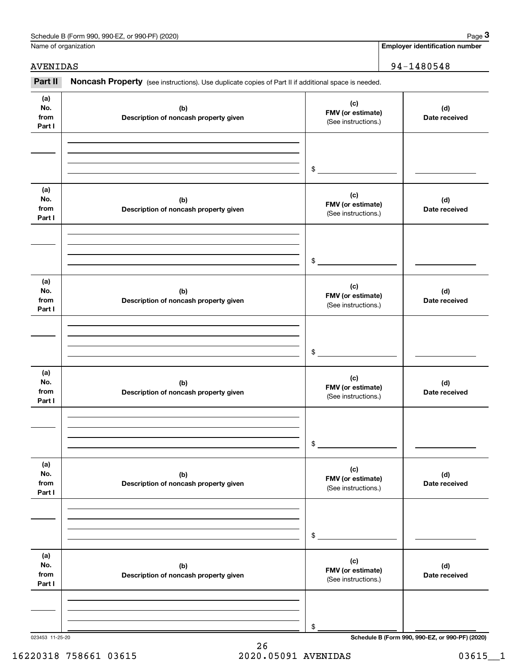| Schedule B (Form 990,<br>or 990-PF) (2020)<br>990-EZ<br>Page |  |
|--------------------------------------------------------------|--|
|--------------------------------------------------------------|--|

Name of organization

**Employer identification number**

AVENIDAS | 94-1480548

#### 023453 11-25-20 **Schedule B (Form 990, 990-EZ, or 990-PF) (2020) (a)No.fromPart I (c) FMV (or estimate) (b) Description of noncash property given (d) Date received (a)No.fromPart I (c) FMV (or estimate) (b) Description of noncash property given (d) Date received (a)No.fromPart I (c) FMV (or estimate) (b) Description of noncash property given (d) Date received (a) No.fromPart I (c) FMV (or estimate) (b)Description of noncash property given (d)Date received (a) No.fromPart I (c) FMV (or estimate) (b) Description of noncash property given (d) Date received (a) No.fromPart I (c)FMV (or estimate) (b)Description of noncash property given (d)Date received** Chedule B (Form 990, 990-EZ, or 990-PF) (2020)<br> **3Part II is additional space is needed.**<br> **294 – 1480548**<br> **194 – 1480548**<br> **194 – 1480548** (See instructions.) \$(See instructions.) \$(See instructions.) \$(See instructions.) \$(See instructions.) \$(See instructions.) \$

26 16220318 758661 03615 2020.05091 AVENIDAS 03615\_\_1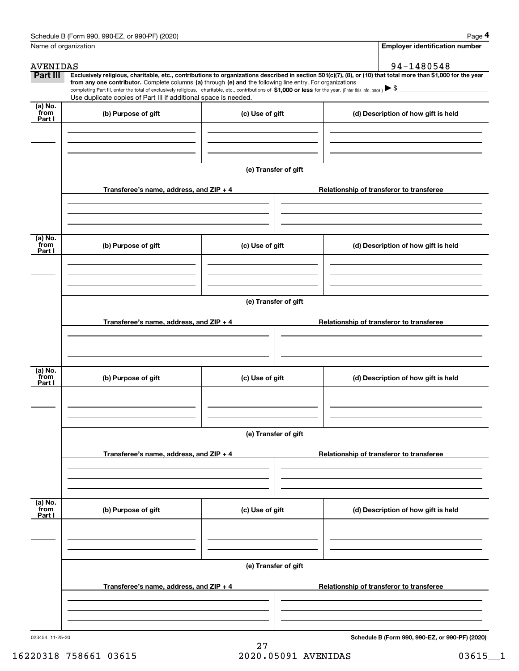|                           | Schedule B (Form 990, 990-EZ, or 990-PF) (2020)                                                                                                                                   |                      | Page 4                                                                                                                                                         |  |  |
|---------------------------|-----------------------------------------------------------------------------------------------------------------------------------------------------------------------------------|----------------------|----------------------------------------------------------------------------------------------------------------------------------------------------------------|--|--|
|                           | Name of organization                                                                                                                                                              |                      | <b>Employer identification number</b>                                                                                                                          |  |  |
| <b>AVENIDAS</b>           |                                                                                                                                                                                   |                      | 94-1480548                                                                                                                                                     |  |  |
| Part III                  | from any one contributor. Complete columns (a) through (e) and the following line entry. For organizations                                                                        |                      | Exclusively religious, charitable, etc., contributions to organizations described in section 501(c)(7), (8), or (10) that total more than \$1,000 for the year |  |  |
|                           | completing Part III, enter the total of exclusively religious, charitable, etc., contributions of \$1,000 or less for the year. (Enter this info. once.) $\blacktriangleright$ \$ |                      |                                                                                                                                                                |  |  |
| (a) No.                   | Use duplicate copies of Part III if additional space is needed.                                                                                                                   |                      |                                                                                                                                                                |  |  |
| from<br>Part I            | (b) Purpose of gift                                                                                                                                                               | (c) Use of gift      | (d) Description of how gift is held                                                                                                                            |  |  |
|                           | Transferee's name, address, and ZIP + 4                                                                                                                                           | (e) Transfer of gift | Relationship of transferor to transferee                                                                                                                       |  |  |
| (a) No.<br>from<br>Part I | (b) Purpose of gift                                                                                                                                                               | (c) Use of gift      | (d) Description of how gift is held                                                                                                                            |  |  |
|                           |                                                                                                                                                                                   |                      |                                                                                                                                                                |  |  |
|                           | Transferee's name, address, and ZIP + 4                                                                                                                                           | (e) Transfer of gift | Relationship of transferor to transferee                                                                                                                       |  |  |
|                           |                                                                                                                                                                                   |                      |                                                                                                                                                                |  |  |
| (a) No.                   |                                                                                                                                                                                   |                      |                                                                                                                                                                |  |  |
| from<br>Part I            | (b) Purpose of gift                                                                                                                                                               | (c) Use of gift      | (d) Description of how gift is held                                                                                                                            |  |  |
|                           |                                                                                                                                                                                   |                      |                                                                                                                                                                |  |  |
|                           |                                                                                                                                                                                   | (e) Transfer of gift |                                                                                                                                                                |  |  |
|                           | Transferee's name, address, and ZIP + 4                                                                                                                                           |                      | Relationship of transferor to transferee                                                                                                                       |  |  |
|                           |                                                                                                                                                                                   |                      |                                                                                                                                                                |  |  |
| (a) No.<br>from<br>Part I | (b) Purpose of gift                                                                                                                                                               | (c) Use of gift      | (d) Description of how gift is held                                                                                                                            |  |  |
|                           |                                                                                                                                                                                   |                      |                                                                                                                                                                |  |  |
|                           | (e) Transfer of gift                                                                                                                                                              |                      |                                                                                                                                                                |  |  |
|                           | Transferee's name, address, and ZIP + 4                                                                                                                                           |                      | Relationship of transferor to transferee                                                                                                                       |  |  |
|                           |                                                                                                                                                                                   |                      |                                                                                                                                                                |  |  |
| 023454 11-25-20           |                                                                                                                                                                                   |                      | Schedule B (Form 990, 990-EZ, or 990-PF) (2020)                                                                                                                |  |  |

27 16220318 758661 03615 2020.05091 AVENIDAS 03615\_\_1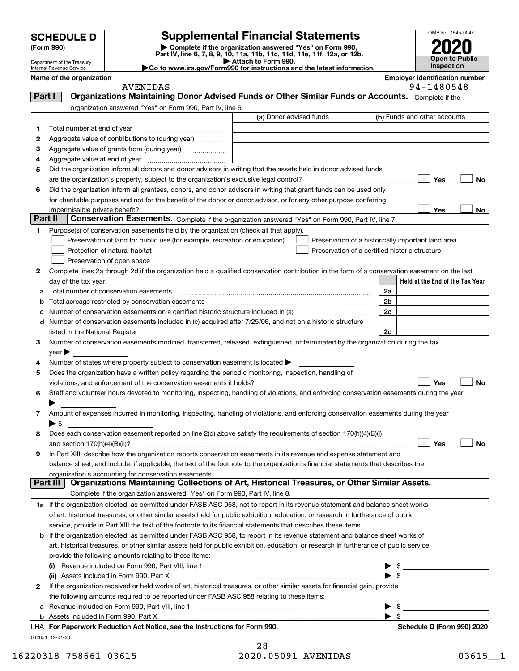| <b>SCHEDULE D</b> |  |
|-------------------|--|
|-------------------|--|

Department of the Treasury Internal Revenue Service

# **SCHEDULE D Supplemental Financial Statements**

(Form 990)<br>
Pepartment of the Treasury<br>
Department of the Treasury<br>
Department of the Treasury<br>
Department of the Treasury<br> **Co to www.irs.gov/Form990 for instructions and the latest information.**<br> **Co to www.irs.gov/Form9** 



**Name of the organization Employer identification number**

|          | <b>AVENIDAS</b>                                                                                                                                       |                         | 94-1480548                                         |
|----------|-------------------------------------------------------------------------------------------------------------------------------------------------------|-------------------------|----------------------------------------------------|
| Part I   | Organizations Maintaining Donor Advised Funds or Other Similar Funds or Accounts. Complete if the                                                     |                         |                                                    |
|          | organization answered "Yes" on Form 990, Part IV, line 6.                                                                                             |                         |                                                    |
|          |                                                                                                                                                       | (a) Donor advised funds | (b) Funds and other accounts                       |
| 1        |                                                                                                                                                       |                         |                                                    |
| 2        | Aggregate value of contributions to (during year)                                                                                                     |                         |                                                    |
| з        |                                                                                                                                                       |                         |                                                    |
| 4        |                                                                                                                                                       |                         |                                                    |
| 5        | Did the organization inform all donors and donor advisors in writing that the assets held in donor advised funds                                      |                         |                                                    |
|          |                                                                                                                                                       |                         | Yes<br>No                                          |
| 6        | Did the organization inform all grantees, donors, and donor advisors in writing that grant funds can be used only                                     |                         |                                                    |
|          | for charitable purposes and not for the benefit of the donor or donor advisor, or for any other purpose conferring                                    |                         |                                                    |
|          | impermissible private benefit?                                                                                                                        |                         | Yes<br>No                                          |
| Part II  | Conservation Easements. Complete if the organization answered "Yes" on Form 990, Part IV, line 7.                                                     |                         |                                                    |
| 1        | Purpose(s) of conservation easements held by the organization (check all that apply).                                                                 |                         |                                                    |
|          | Preservation of land for public use (for example, recreation or education)                                                                            |                         | Preservation of a historically important land area |
|          | Protection of natural habitat                                                                                                                         |                         | Preservation of a certified historic structure     |
|          | Preservation of open space                                                                                                                            |                         |                                                    |
| 2        | Complete lines 2a through 2d if the organization held a qualified conservation contribution in the form of a conservation easement on the last        |                         |                                                    |
|          | day of the tax year.                                                                                                                                  |                         | Held at the End of the Tax Year                    |
|          | Total number of conservation easements                                                                                                                |                         |                                                    |
| а        |                                                                                                                                                       |                         | 2a                                                 |
|          | Total acreage restricted by conservation easements                                                                                                    |                         | 2 <sub>b</sub>                                     |
|          | Number of conservation easements on a certified historic structure included in (a) manufacture included in (a)                                        |                         | 2c                                                 |
| d        | Number of conservation easements included in (c) acquired after 7/25/06, and not on a historic structure                                              |                         |                                                    |
|          | listed in the National Register [1111] is a substitution of the National Basic Register [15] is a substitution                                        |                         | 2d                                                 |
| З        | Number of conservation easements modified, transferred, released, extinguished, or terminated by the organization during the tax                      |                         |                                                    |
|          | $year \blacktriangleright$                                                                                                                            |                         |                                                    |
| 4        | Number of states where property subject to conservation easement is located >                                                                         |                         |                                                    |
| 5        | Does the organization have a written policy regarding the periodic monitoring, inspection, handling of                                                |                         |                                                    |
|          | violations, and enforcement of the conservation easements it holds?                                                                                   |                         | Yes<br>No                                          |
| 6        | Staff and volunteer hours devoted to monitoring, inspecting, handling of violations, and enforcing conservation easements during the year             |                         |                                                    |
|          |                                                                                                                                                       |                         |                                                    |
| 7        | Amount of expenses incurred in monitoring, inspecting, handling of violations, and enforcing conservation easements during the year                   |                         |                                                    |
|          | $\blacktriangleright$ s                                                                                                                               |                         |                                                    |
| 8        | Does each conservation easement reported on line 2(d) above satisfy the requirements of section 170(h)(4)(B)(i)                                       |                         |                                                    |
|          |                                                                                                                                                       |                         | Yes<br>No                                          |
| 9        | In Part XIII, describe how the organization reports conservation easements in its revenue and expense statement and                                   |                         |                                                    |
|          | balance sheet, and include, if applicable, the text of the footnote to the organization's financial statements that describes the                     |                         |                                                    |
| Part III | organization's accounting for conservation easements.<br>Organizations Maintaining Collections of Art, Historical Treasures, or Other Similar Assets. |                         |                                                    |
|          |                                                                                                                                                       |                         |                                                    |
|          | Complete if the organization answered "Yes" on Form 990, Part IV, line 8.                                                                             |                         |                                                    |
|          | 1a If the organization elected, as permitted under FASB ASC 958, not to report in its revenue statement and balance sheet works                       |                         |                                                    |
|          | of art, historical treasures, or other similar assets held for public exhibition, education, or research in furtherance of public                     |                         |                                                    |
|          | service, provide in Part XIII the text of the footnote to its financial statements that describes these items.                                        |                         |                                                    |
| b        | If the organization elected, as permitted under FASB ASC 958, to report in its revenue statement and balance sheet works of                           |                         |                                                    |
|          | art, historical treasures, or other similar assets held for public exhibition, education, or research in furtherance of public service,               |                         |                                                    |
|          | provide the following amounts relating to these items:                                                                                                |                         |                                                    |
|          | (i)                                                                                                                                                   |                         |                                                    |
|          | (ii) Assets included in Form 990, Part X                                                                                                              |                         | $\triangleright$ \$                                |
| 2        | If the organization received or held works of art, historical treasures, or other similar assets for financial gain, provide                          |                         |                                                    |
|          | the following amounts required to be reported under FASB ASC 958 relating to these items:                                                             |                         |                                                    |
| а        |                                                                                                                                                       |                         | \$                                                 |
|          |                                                                                                                                                       |                         | $\blacktriangleright$ s                            |
|          | LHA For Paperwork Reduction Act Notice, see the Instructions for Form 990.                                                                            |                         | Schedule D (Form 990) 2020                         |
|          | 032051 12-01-20                                                                                                                                       |                         |                                                    |

| 28                  |  |
|---------------------|--|
| 2020.05091 AVENIDAS |  |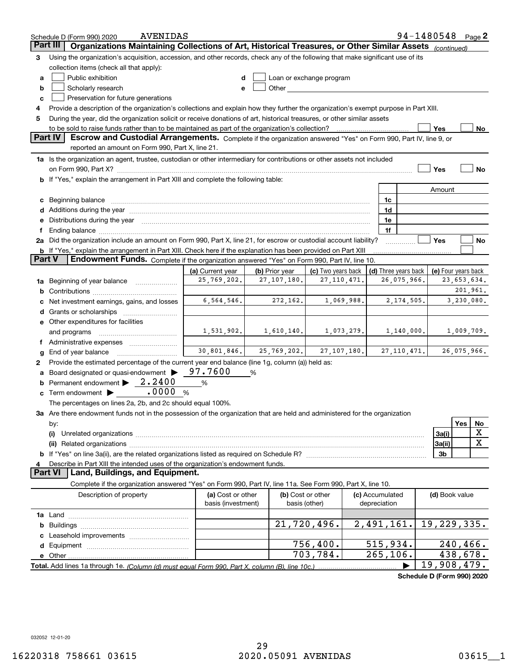|               | <b>AVENIDAS</b><br>Schedule D (Form 990) 2020                                                                                                                                                                                  |                                         |                                    |                          |                                 | 94-1480548                 | Page $2$                |
|---------------|--------------------------------------------------------------------------------------------------------------------------------------------------------------------------------------------------------------------------------|-----------------------------------------|------------------------------------|--------------------------|---------------------------------|----------------------------|-------------------------|
| Part III      | Organizations Maintaining Collections of Art, Historical Treasures, or Other Similar Assets (continued)                                                                                                                        |                                         |                                    |                          |                                 |                            |                         |
| 3             | Using the organization's acquisition, accession, and other records, check any of the following that make significant use of its                                                                                                |                                         |                                    |                          |                                 |                            |                         |
|               | collection items (check all that apply):                                                                                                                                                                                       |                                         |                                    |                          |                                 |                            |                         |
| а             | Public exhibition                                                                                                                                                                                                              |                                         |                                    | Loan or exchange program |                                 |                            |                         |
| b             | Scholarly research                                                                                                                                                                                                             |                                         | Other                              |                          |                                 |                            |                         |
| c             | Preservation for future generations                                                                                                                                                                                            |                                         |                                    |                          |                                 |                            |                         |
| 4             | Provide a description of the organization's collections and explain how they further the organization's exempt purpose in Part XIII.                                                                                           |                                         |                                    |                          |                                 |                            |                         |
| 5             | During the year, did the organization solicit or receive donations of art, historical treasures, or other similar assets                                                                                                       |                                         |                                    |                          |                                 |                            |                         |
|               | to be sold to raise funds rather than to be maintained as part of the organization's collection?                                                                                                                               |                                         |                                    |                          |                                 | Yes                        | No                      |
|               | <b>Part IV</b><br>Escrow and Custodial Arrangements. Complete if the organization answered "Yes" on Form 990, Part IV, line 9, or                                                                                              |                                         |                                    |                          |                                 |                            |                         |
|               | reported an amount on Form 990, Part X, line 21.                                                                                                                                                                               |                                         |                                    |                          |                                 |                            |                         |
|               | 1a Is the organization an agent, trustee, custodian or other intermediary for contributions or other assets not included                                                                                                       |                                         |                                    |                          |                                 |                            |                         |
|               |                                                                                                                                                                                                                                |                                         |                                    |                          |                                 | Yes                        | No                      |
| b             | If "Yes," explain the arrangement in Part XIII and complete the following table:                                                                                                                                               |                                         |                                    |                          |                                 |                            |                         |
|               |                                                                                                                                                                                                                                |                                         |                                    |                          |                                 | Amount                     |                         |
| с             |                                                                                                                                                                                                                                |                                         |                                    |                          | 1c                              |                            |                         |
|               | Additions during the year manufactured and an account of the year manufactured and account of the year manufactured and account of the year manufactured and account of the year manufactured and account of the year manufact |                                         |                                    |                          | 1d                              |                            |                         |
|               | Distributions during the year manufactured and continuum and contact the year manufactured and contact the year                                                                                                                |                                         |                                    |                          | 1e                              |                            |                         |
|               | Ending balance manufactured and contract the contract of the contract of the contract of the contract of the contract of the contract of the contract of the contract of the contract of the contract of the contract of the c |                                         |                                    |                          | 1f                              |                            |                         |
|               | 2a Did the organization include an amount on Form 990, Part X, line 21, for escrow or custodial account liability?                                                                                                             |                                         |                                    |                          |                                 | Yes                        | No                      |
|               | <b>b</b> If "Yes," explain the arrangement in Part XIII. Check here if the explanation has been provided on Part XIII                                                                                                          |                                         |                                    |                          |                                 |                            |                         |
| <b>Part V</b> | Endowment Funds. Complete if the organization answered "Yes" on Form 990, Part IV, line 10.                                                                                                                                    |                                         |                                    |                          |                                 |                            |                         |
|               |                                                                                                                                                                                                                                | (a) Current year                        | (b) Prior year                     | (c) Two years back       | (d) Three years back            |                            | (e) Four years back     |
| 1a            | Beginning of year balance                                                                                                                                                                                                      | 25,769,202.                             | 27, 107, 180.                      | 27, 110, 471.            | 26,075,966.                     |                            | 23,653,634.             |
|               |                                                                                                                                                                                                                                |                                         |                                    |                          |                                 |                            | 201,961.                |
|               | Net investment earnings, gains, and losses                                                                                                                                                                                     | 6,564,546.                              | 272,162.                           | 1,069,988.               | 2,174,505.                      |                            | 3,230,080.              |
|               | Grants or scholarships                                                                                                                                                                                                         |                                         |                                    |                          |                                 |                            |                         |
|               | e Other expenditures for facilities                                                                                                                                                                                            |                                         |                                    |                          |                                 |                            |                         |
|               | and programs                                                                                                                                                                                                                   | 1,531,902.                              | 1,610,140.                         | 1,073,279.               | 1,140,000.                      |                            | 1,009,709.              |
|               | f Administrative expenses                                                                                                                                                                                                      |                                         |                                    |                          |                                 |                            |                         |
|               | End of year balance                                                                                                                                                                                                            | 30,801,846.                             | 25,769,202. 27,107,180.            |                          | 27, 110, 471.                   |                            | 26,075,966.             |
| 2             | Provide the estimated percentage of the current year end balance (line 1g, column (a)) held as:                                                                                                                                |                                         |                                    |                          |                                 |                            |                         |
|               | Board designated or quasi-endowment >                                                                                                                                                                                          | 97.7600                                 | %                                  |                          |                                 |                            |                         |
|               | Permanent endowment $\blacktriangleright$ 2.2400                                                                                                                                                                               | %                                       |                                    |                          |                                 |                            |                         |
| с             | .0000<br>Term endowment >                                                                                                                                                                                                      | %                                       |                                    |                          |                                 |                            |                         |
|               | The percentages on lines 2a, 2b, and 2c should equal 100%.                                                                                                                                                                     |                                         |                                    |                          |                                 |                            |                         |
|               | 3a Are there endowment funds not in the possession of the organization that are held and administered for the organization                                                                                                     |                                         |                                    |                          |                                 |                            |                         |
|               | by:                                                                                                                                                                                                                            |                                         |                                    |                          |                                 |                            | Yes<br>No               |
|               | (i)                                                                                                                                                                                                                            |                                         |                                    |                          |                                 | 3a(i)                      | X                       |
|               |                                                                                                                                                                                                                                |                                         |                                    |                          |                                 | 3a(ii)                     | X                       |
|               |                                                                                                                                                                                                                                |                                         |                                    |                          |                                 | 3b                         |                         |
|               | Describe in Part XIII the intended uses of the organization's endowment funds.<br>Land, Buildings, and Equipment.<br><b>Part VI</b>                                                                                            |                                         |                                    |                          |                                 |                            |                         |
|               | Complete if the organization answered "Yes" on Form 990, Part IV, line 11a. See Form 990, Part X, line 10.                                                                                                                     |                                         |                                    |                          |                                 |                            |                         |
|               |                                                                                                                                                                                                                                |                                         |                                    |                          |                                 |                            |                         |
|               | Description of property                                                                                                                                                                                                        | (a) Cost or other<br>basis (investment) | (b) Cost or other<br>basis (other) |                          | (c) Accumulated<br>depreciation | (d) Book value             |                         |
|               |                                                                                                                                                                                                                                |                                         |                                    |                          |                                 |                            |                         |
|               |                                                                                                                                                                                                                                |                                         |                                    | 21,720,496.              | 2,491,161.                      |                            | 19,229,335.             |
| b             |                                                                                                                                                                                                                                |                                         |                                    |                          |                                 |                            |                         |
|               |                                                                                                                                                                                                                                |                                         |                                    | 756, 400.                | 515,934.                        |                            | $240, 466$ .            |
| d             |                                                                                                                                                                                                                                |                                         |                                    | 703,784.                 | 265, 106.                       |                            | $\overline{438}$ , 678. |
|               | Total. Add lines 1a through 1e. (Column (d) must equal Form 990. Part X. column (B). line 10c.)                                                                                                                                |                                         |                                    |                          |                                 |                            | 19,908,479.             |
|               |                                                                                                                                                                                                                                |                                         |                                    |                          |                                 | Schedule D (Form 990) 2020 |                         |
|               |                                                                                                                                                                                                                                |                                         |                                    |                          |                                 |                            |                         |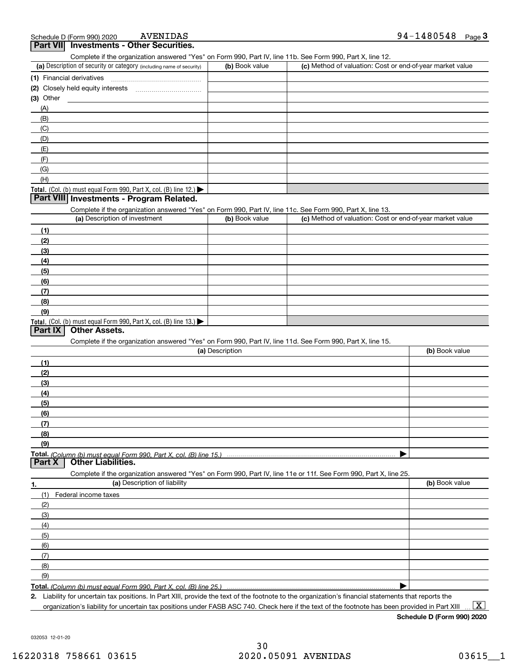## **3Part VII Investments - Other Securities.**

Complete if the organization answered "Yes" on Form 990, Part IV, line 11b. See Form 990, Part X, line 12.

| (a) Description of security or category (including name of security)                          | (b) Book value | (c) Method of valuation: Cost or end-of-year market value |
|-----------------------------------------------------------------------------------------------|----------------|-----------------------------------------------------------|
| (1) Financial derivatives                                                                     |                |                                                           |
| (2) Closely held equity interests                                                             |                |                                                           |
| $(3)$ Other                                                                                   |                |                                                           |
| (A)                                                                                           |                |                                                           |
| (B)                                                                                           |                |                                                           |
| (C)                                                                                           |                |                                                           |
| (D)                                                                                           |                |                                                           |
| (E)                                                                                           |                |                                                           |
| (F)                                                                                           |                |                                                           |
| (G)                                                                                           |                |                                                           |
| (H)                                                                                           |                |                                                           |
| <b>Total.</b> (Col. (b) must equal Form 990, Part X, col. (B) line 12.) $\blacktriangleright$ |                |                                                           |

#### **Part VIII Investments - Program Related.**

Complete if the organization answered "Yes" on Form 990, Part IV, line 11c. See Form 990, Part X, line 13.

| (a) Description of investment                                                          | (b) Book value | (c) Method of valuation: Cost or end-of-year market value |
|----------------------------------------------------------------------------------------|----------------|-----------------------------------------------------------|
| (1)                                                                                    |                |                                                           |
| (2)                                                                                    |                |                                                           |
| $\frac{1}{2}$                                                                          |                |                                                           |
| (4)                                                                                    |                |                                                           |
| $\frac{1}{2}$                                                                          |                |                                                           |
| (6)                                                                                    |                |                                                           |
| $\sqrt{(7)}$                                                                           |                |                                                           |
| (8)                                                                                    |                |                                                           |
| (9)                                                                                    |                |                                                           |
| Total. (Col. (b) must equal Form 990, Part X, col. (B) line 13.) $\blacktriangleright$ |                |                                                           |

### **Part IX Other Assets.**

Complete if the organization answered "Yes" on Form 990, Part IV, line 11d. See Form 990, Part X, line 15.

| (a) Description                                                                                                   | (b) Book value |
|-------------------------------------------------------------------------------------------------------------------|----------------|
| (1)                                                                                                               |                |
| (2)                                                                                                               |                |
| $\frac{1}{2}$                                                                                                     |                |
| (4)                                                                                                               |                |
| (5)                                                                                                               |                |
| (6)                                                                                                               |                |
| (7)                                                                                                               |                |
| (8)                                                                                                               |                |
| (9)                                                                                                               |                |
|                                                                                                                   |                |
| <b>Other Liabilities.</b><br>Part X                                                                               |                |
| Complete if the organization answered "Yes" on Form 990, Part IV, line 11e or 11f. See Form 990, Part X, line 25. |                |

| 1.                           | (a) Description of liability | (b) Book value |
|------------------------------|------------------------------|----------------|
|                              | (1) Federal income taxes     |                |
| (2)                          |                              |                |
| (3)                          |                              |                |
| (4)                          |                              |                |
| (5)                          |                              |                |
| (6)                          |                              |                |
| $\overline{\phantom{a}}$ (7) |                              |                |
| (8)                          |                              |                |
| (9)                          |                              |                |
|                              |                              |                |

**Total.**  *(Column (b) must equal Form 990, Part X, col. (B) line 25.)* 

**2.** Liability for uncertain tax positions. In Part XIII, provide the text of the footnote to the organization's financial statements that reports the organization's liability for uncertain tax positions under FASB ASC 740. Check here if the text of the footnote has been provided in Part XIII

 $\boxed{\text{X}}$ 

**Schedule D (Form 990) 2020**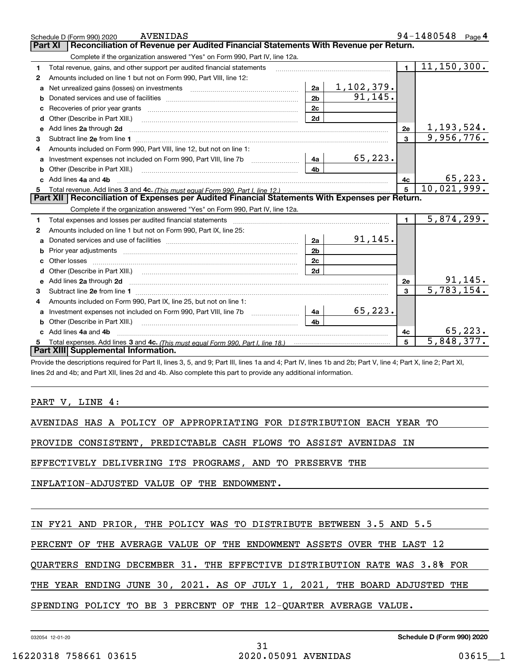|   | <b>AVENIDAS</b><br>Schedule D (Form 990) 2020                                                                                                                                                                                        |                |               |              | 94-1480548 Page 4          |
|---|--------------------------------------------------------------------------------------------------------------------------------------------------------------------------------------------------------------------------------------|----------------|---------------|--------------|----------------------------|
|   | Reconciliation of Revenue per Audited Financial Statements With Revenue per Return.<br>Part XI                                                                                                                                       |                |               |              |                            |
|   | Complete if the organization answered "Yes" on Form 990, Part IV, line 12a.                                                                                                                                                          |                |               |              |                            |
| 1 | Total revenue, gains, and other support per audited financial statements                                                                                                                                                             |                |               | $\mathbf{1}$ | $\overline{11,150}$ , 300. |
| 2 | Amounts included on line 1 but not on Form 990, Part VIII, line 12:                                                                                                                                                                  |                |               |              |                            |
| a |                                                                                                                                                                                                                                      | 2a             | $1,102,379$ . |              |                            |
| b |                                                                                                                                                                                                                                      | 2 <sub>b</sub> | 91, 145.      |              |                            |
| c |                                                                                                                                                                                                                                      | 2c             |               |              |                            |
| d | Other (Describe in Part XIII.)                                                                                                                                                                                                       | 2d             |               |              |                            |
| е | Add lines 2a through 2d <b>continuum contract and all contract and all contract and all contract and all contract and all contract and all contract and all contract and all contract and all contract and all contract and all </b> |                |               | 2e           | 1,193,524.                 |
| 3 |                                                                                                                                                                                                                                      |                |               | $\mathbf{3}$ | 9,956,776.                 |
| 4 | Amounts included on Form 990, Part VIII, line 12, but not on line 1:                                                                                                                                                                 |                |               |              |                            |
| a |                                                                                                                                                                                                                                      | 4a             | 65, 223.      |              |                            |
| b |                                                                                                                                                                                                                                      | 4 <sub>b</sub> |               |              |                            |
| c | Add lines 4a and 4b                                                                                                                                                                                                                  |                |               | 4c           | 65, 223.                   |
| 5 |                                                                                                                                                                                                                                      |                |               | 5            | 10,021,999.                |
|   | Part XII   Reconciliation of Expenses per Audited Financial Statements With Expenses per Return.                                                                                                                                     |                |               |              |                            |
|   | Complete if the organization answered "Yes" on Form 990, Part IV, line 12a.                                                                                                                                                          |                |               |              |                            |
| 1 |                                                                                                                                                                                                                                      |                |               | $\mathbf{1}$ | 5,874,299.                 |
| 2 | Amounts included on line 1 but not on Form 990, Part IX, line 25:                                                                                                                                                                    |                |               |              |                            |
| a |                                                                                                                                                                                                                                      | 2a             | 91, 145.      |              |                            |
| b | Prior year adjustments <b>constructed</b> and construction of the construction of the construction of the construction                                                                                                               | 2 <sub>b</sub> |               |              |                            |
| c |                                                                                                                                                                                                                                      | 2c             |               |              |                            |
|   |                                                                                                                                                                                                                                      | 2d             |               |              |                            |
| е | Add lines 2a through 2d <b>contained a contained a contained a contained a</b> contained a contact the set of the set of the set of the set of the set of the set of the set of the set of the set of the set of the set of the set  |                |               | 2e           | 91, 145.                   |
| з |                                                                                                                                                                                                                                      |                |               | 3            | 5,783,154.                 |
| 4 | Amounts included on Form 990, Part IX, line 25, but not on line 1:                                                                                                                                                                   |                |               |              |                            |
| a |                                                                                                                                                                                                                                      | 4a             | 65,223.       |              |                            |
| b | Other (Describe in Part XIII.) <b>Construction Contract Construction</b> Chemistry Chemistry Chemistry Chemistry Chemistry                                                                                                           | 4b             |               |              |                            |
|   | Add lines 4a and 4b                                                                                                                                                                                                                  |                |               | 4c           | 65,223.                    |
|   |                                                                                                                                                                                                                                      |                |               | 5            | $\overline{5,848,377}$ .   |
|   | Part XIII Supplemental Information.                                                                                                                                                                                                  |                |               |              |                            |

Provide the descriptions required for Part II, lines 3, 5, and 9; Part III, lines 1a and 4; Part IV, lines 1b and 2b; Part V, line 4; Part X, line 2; Part XI, lines 2d and 4b; and Part XII, lines 2d and 4b. Also complete this part to provide any additional information.

PART V, LINE 4:

AVENIDAS HAS A POLICY OF APPROPRIATING FOR DISTRIBUTION EACH YEAR TO

PROVIDE CONSISTENT, PREDICTABLE CASH FLOWS TO ASSIST AVENIDAS IN

EFFECTIVELY DELIVERING ITS PROGRAMS, AND TO PRESERVE THE

INFLATION-ADJUSTED VALUE OF THE ENDOWMENT.

|  |  |  |  |  |  |  |  | IN FY21 AND PRIOR, THE POLICY WAS TO DISTRIBUTE BETWEEN 3.5 AND 5.5 |  |  |  |  |  |
|--|--|--|--|--|--|--|--|---------------------------------------------------------------------|--|--|--|--|--|
|--|--|--|--|--|--|--|--|---------------------------------------------------------------------|--|--|--|--|--|

PERCENT OF THE AVERAGE VALUE OF THE ENDOWMENT ASSETS OVER THE LAST 12

QUARTERS ENDING DECEMBER 31. THE EFFECTIVE DISTRIBUTION RATE WAS 3.8% FOR

THE YEAR ENDING JUNE 30, 2021. AS OF JULY 1, 2021, THE BOARD ADJUSTED THE

SPENDING POLICY TO BE 3 PERCENT OF THE 12-QUARTER AVERAGE VALUE.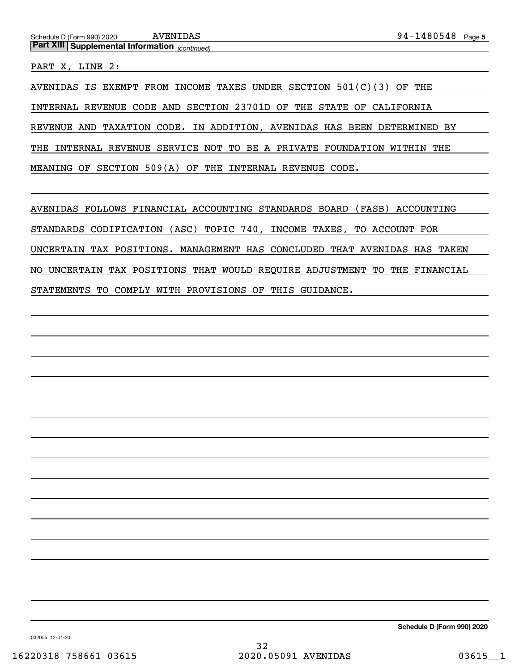*(continued)* **Part XIII Supplemental Information** 

PART X, LINE 2:

AVENIDAS IS EXEMPT FROM INCOME TAXES UNDER SECTION  $501(C)(3)$  OF THE INTERNAL REVENUE CODE AND SECTION 23701D OF THE STATE OF CALIFORNIA REVENUE AND TAXATION CODE. IN ADDITION, AVENIDAS HAS BEEN DETERMINED BY THE INTERNAL REVENUE SERVICE NOT TO BE A PRIVATE FOUNDATION WITHIN THE MEANING OF SECTION 509(A) OF THE INTERNAL REVENUE CODE.

AVENIDAS FOLLOWS FINANCIAL ACCOUNTING STANDARDS BOARD (FASB) ACCOUNTING STANDARDS CODIFICATION (ASC) TOPIC 740, INCOME TAXES, TO ACCOUNT FOR UNCERTAIN TAX POSITIONS. MANAGEMENT HAS CONCLUDED THAT AVENIDAS HAS TAKEN NO UNCERTAIN TAX POSITIONS THAT WOULD REQUIRE ADJUSTMENT TO THE FINANCIAL STATEMENTS TO COMPLY WITH PROVISIONS OF THIS GUIDANCE.

**Schedule D (Form 990) 2020**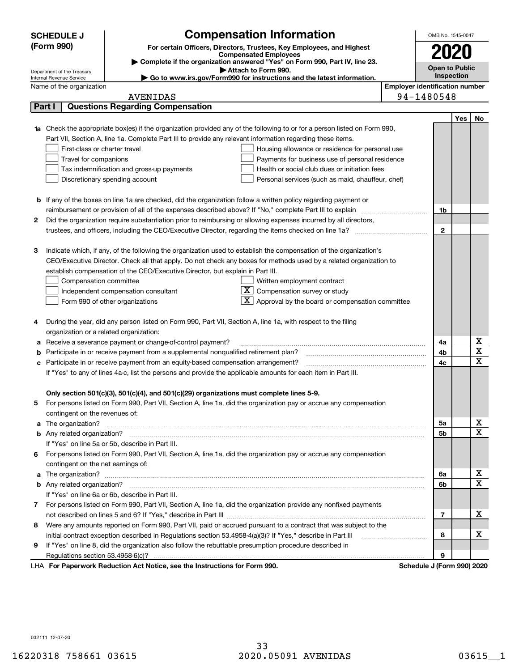|    | <b>SCHEDULE J</b>                                      |                                                                                     | <b>Compensation Information</b>                                                                                                  |                                       | OMB No. 1545-0047          |     |                                            |  |  |
|----|--------------------------------------------------------|-------------------------------------------------------------------------------------|----------------------------------------------------------------------------------------------------------------------------------|---------------------------------------|----------------------------|-----|--------------------------------------------|--|--|
|    | (Form 990)                                             |                                                                                     | For certain Officers, Directors, Trustees, Key Employees, and Highest                                                            |                                       |                            |     |                                            |  |  |
|    |                                                        |                                                                                     | <b>Compensated Employees</b>                                                                                                     |                                       |                            |     |                                            |  |  |
|    |                                                        |                                                                                     | Complete if the organization answered "Yes" on Form 990, Part IV, line 23.                                                       |                                       | Open to Public             |     |                                            |  |  |
|    | Department of the Treasury<br>Internal Revenue Service |                                                                                     | Attach to Form 990.<br>Go to www.irs.gov/Form990 for instructions and the latest information.                                    |                                       | Inspection                 |     |                                            |  |  |
|    | Name of the organization                               |                                                                                     |                                                                                                                                  | <b>Employer identification number</b> |                            |     |                                            |  |  |
|    |                                                        | <b>AVENIDAS</b>                                                                     |                                                                                                                                  |                                       | 94-1480548                 |     |                                            |  |  |
|    | Part I                                                 | <b>Questions Regarding Compensation</b>                                             |                                                                                                                                  |                                       |                            |     |                                            |  |  |
|    |                                                        |                                                                                     |                                                                                                                                  |                                       |                            | Yes | No                                         |  |  |
|    |                                                        |                                                                                     | <b>1a</b> Check the appropriate box(es) if the organization provided any of the following to or for a person listed on Form 990, |                                       |                            |     |                                            |  |  |
|    |                                                        |                                                                                     | Part VII, Section A, line 1a. Complete Part III to provide any relevant information regarding these items.                       |                                       |                            |     |                                            |  |  |
|    | First-class or charter travel                          |                                                                                     | Housing allowance or residence for personal use                                                                                  |                                       |                            |     |                                            |  |  |
|    | Travel for companions                                  |                                                                                     | Payments for business use of personal residence                                                                                  |                                       |                            |     |                                            |  |  |
|    |                                                        | Tax indemnification and gross-up payments                                           | Health or social club dues or initiation fees                                                                                    |                                       |                            |     |                                            |  |  |
|    | Discretionary spending account                         |                                                                                     | Personal services (such as maid, chauffeur, chef)                                                                                |                                       |                            |     |                                            |  |  |
|    |                                                        |                                                                                     |                                                                                                                                  |                                       |                            |     |                                            |  |  |
|    |                                                        |                                                                                     | <b>b</b> If any of the boxes on line 1a are checked, did the organization follow a written policy regarding payment or           |                                       |                            |     |                                            |  |  |
|    |                                                        |                                                                                     | reimbursement or provision of all of the expenses described above? If "No," complete Part III to explain                         |                                       | 1b                         |     |                                            |  |  |
| 2  |                                                        |                                                                                     | Did the organization require substantiation prior to reimbursing or allowing expenses incurred by all directors,                 |                                       |                            |     |                                            |  |  |
|    |                                                        |                                                                                     |                                                                                                                                  |                                       | $\mathbf{2}$               |     |                                            |  |  |
|    |                                                        |                                                                                     |                                                                                                                                  |                                       |                            |     |                                            |  |  |
| 3  |                                                        |                                                                                     | Indicate which, if any, of the following the organization used to establish the compensation of the organization's               |                                       |                            |     |                                            |  |  |
|    |                                                        |                                                                                     | CEO/Executive Director. Check all that apply. Do not check any boxes for methods used by a related organization to               |                                       |                            |     |                                            |  |  |
|    |                                                        | establish compensation of the CEO/Executive Director, but explain in Part III.      |                                                                                                                                  |                                       |                            |     |                                            |  |  |
|    | Compensation committee                                 |                                                                                     | Written employment contract                                                                                                      |                                       |                            |     |                                            |  |  |
|    | Independent compensation consultant                    |                                                                                     | $\overline{\mathbf{X}}$ Compensation survey or study                                                                             |                                       |                            |     |                                            |  |  |
|    | Form 990 of other organizations                        |                                                                                     | Approval by the board or compensation committee                                                                                  |                                       |                            |     |                                            |  |  |
|    |                                                        |                                                                                     |                                                                                                                                  |                                       |                            |     |                                            |  |  |
| 4  |                                                        |                                                                                     | During the year, did any person listed on Form 990, Part VII, Section A, line 1a, with respect to the filing                     |                                       |                            |     |                                            |  |  |
|    | organization or a related organization:                |                                                                                     |                                                                                                                                  |                                       |                            |     |                                            |  |  |
|    |                                                        | Receive a severance payment or change-of-control payment?                           |                                                                                                                                  |                                       | 4a                         |     | $\underline{x}$<br>$\overline{\mathtt{x}}$ |  |  |
|    |                                                        | Participate in or receive payment from a supplemental nonqualified retirement plan? |                                                                                                                                  |                                       | 4b                         |     | $\overline{\text{x}}$                      |  |  |
| с  |                                                        | Participate in or receive payment from an equity-based compensation arrangement?    |                                                                                                                                  |                                       | 4c                         |     |                                            |  |  |
|    |                                                        |                                                                                     | If "Yes" to any of lines 4a-c, list the persons and provide the applicable amounts for each item in Part III.                    |                                       |                            |     |                                            |  |  |
|    |                                                        |                                                                                     |                                                                                                                                  |                                       |                            |     |                                            |  |  |
|    |                                                        |                                                                                     | Only section 501(c)(3), 501(c)(4), and 501(c)(29) organizations must complete lines 5-9.                                         |                                       |                            |     |                                            |  |  |
| 5. |                                                        |                                                                                     | For persons listed on Form 990, Part VII, Section A, line 1a, did the organization pay or accrue any compensation                |                                       |                            |     |                                            |  |  |
|    | contingent on the revenues of:                         |                                                                                     |                                                                                                                                  |                                       | 5a                         |     | $\overline{\mathbf{x}}$                    |  |  |
|    |                                                        |                                                                                     |                                                                                                                                  |                                       | 5b                         |     | $\overline{\text{x}}$                      |  |  |
|    | If "Yes" on line 5a or 5b, describe in Part III.       |                                                                                     |                                                                                                                                  |                                       |                            |     |                                            |  |  |
|    |                                                        |                                                                                     | 6 For persons listed on Form 990, Part VII, Section A, line 1a, did the organization pay or accrue any compensation              |                                       |                            |     |                                            |  |  |
|    | contingent on the net earnings of:                     |                                                                                     |                                                                                                                                  |                                       |                            |     |                                            |  |  |
|    |                                                        |                                                                                     |                                                                                                                                  |                                       | 6a                         |     | <u>x</u>                                   |  |  |
|    |                                                        |                                                                                     |                                                                                                                                  |                                       | 6b                         |     | $\overline{\mathtt{x}}$                    |  |  |
|    | If "Yes" on line 6a or 6b, describe in Part III.       |                                                                                     |                                                                                                                                  |                                       |                            |     |                                            |  |  |
|    |                                                        |                                                                                     | 7 For persons listed on Form 990, Part VII, Section A, line 1a, did the organization provide any nonfixed payments               |                                       |                            |     |                                            |  |  |
|    |                                                        |                                                                                     |                                                                                                                                  |                                       | 7                          |     | x                                          |  |  |
| 8  |                                                        |                                                                                     | Were any amounts reported on Form 990, Part VII, paid or accrued pursuant to a contract that was subject to the                  |                                       |                            |     |                                            |  |  |
|    |                                                        |                                                                                     | initial contract exception described in Regulations section 53.4958-4(a)(3)? If "Yes," describe in Part III                      |                                       | 8                          |     | x                                          |  |  |
| 9  |                                                        |                                                                                     | If "Yes" on line 8, did the organization also follow the rebuttable presumption procedure described in                           |                                       |                            |     |                                            |  |  |
|    |                                                        |                                                                                     |                                                                                                                                  |                                       | 9                          |     |                                            |  |  |
|    |                                                        | LHA For Paperwork Reduction Act Notice, see the Instructions for Form 990.          |                                                                                                                                  |                                       | Schedule J (Form 990) 2020 |     |                                            |  |  |

032111 12-07-20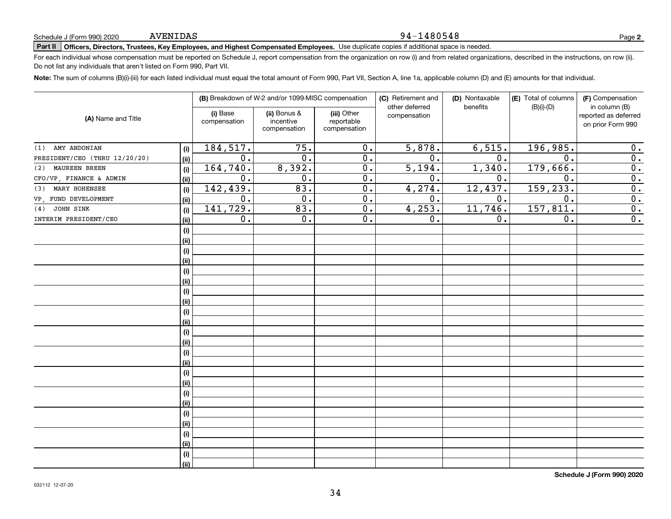#### 94-1480548

**2**

# **Part II Officers, Directors, Trustees, Key Employees, and Highest Compensated Employees.**  Schedule J (Form 990) 2020 Page Use duplicate copies if additional space is needed.

For each individual whose compensation must be reported on Schedule J, report compensation from the organization on row (i) and from related organizations, described in the instructions, on row (ii). Do not list any individuals that aren't listed on Form 990, Part VII.

**Note:**  The sum of columns (B)(i)-(iii) for each listed individual must equal the total amount of Form 990, Part VII, Section A, line 1a, applicable column (D) and (E) amounts for that individual.

|                               |                                                                                                                                                                  |                  | (B) Breakdown of W-2 and/or 1099-MISC compensation |                  | (C) Retirement and                        | (D) Nontaxable | (E) Total of columns<br>$(B)(i)-(D)$ | (F) Compensation<br>in column (B) |
|-------------------------------|------------------------------------------------------------------------------------------------------------------------------------------------------------------|------------------|----------------------------------------------------|------------------|-------------------------------------------|----------------|--------------------------------------|-----------------------------------|
| (A) Name and Title            | other deferred<br>benefits<br>(i) Base<br>(ii) Bonus &<br>(iii) Other<br>compensation<br>incentive<br>reportable<br>compensation<br>compensation<br>compensation |                  |                                                    |                  | reported as deferred<br>on prior Form 990 |                |                                      |                                   |
| AMY ANDONIAN<br>(1)           | (i)                                                                                                                                                              | 184, 517.        | $\overline{75}$ .                                  | 0.               | 5,878.                                    | 6,515.         | 196,985.                             | 0.                                |
| PRESIDENT/CEO (THRU 12/20/20) | (ii)                                                                                                                                                             | 0.               | 0.                                                 | $\overline{0}$ . | $\overline{0}$ .                          | 0.             | 0.                                   | $\overline{0}$ .                  |
| MAUREEN BREEN<br>(2)          | (i)                                                                                                                                                              | 164,740.         | 8,392.                                             | 0.               | 5,194.                                    | 1,340.         | 179,666.                             | $\overline{0}$ .                  |
| CFO/VP, FINANCE & ADMIN       | (ii)                                                                                                                                                             | 0.               | 0.                                                 | 0.               | 0.                                        | 0.             | 0.                                   | $\overline{0}$ .                  |
| MARY HOHENSEE<br>(3)          | (i)                                                                                                                                                              | 142,439.         | 83.                                                | $\overline{0}$ . | 4,274.                                    | 12,437.        | 159, 233.                            | $\overline{0}$ .                  |
| VP FUND DEVELOPMENT           | (ii)                                                                                                                                                             | $\overline{0}$ . | $\overline{0}$ .                                   | $\overline{0}$ . | $\overline{0}$ .                          | 0.             | $\overline{0}$ .                     | $\overline{0}$ .                  |
| JOHN SINK<br>(4)              | (i)                                                                                                                                                              | 141,729.         | 83.                                                | $\overline{0}$ . | 4,253.                                    | 11,746.        | 157, 811.                            | $\overline{0}$ .                  |
| INTERIM PRESIDENT/CEO         | (ii)                                                                                                                                                             | 0.               | $\overline{0}$ .                                   | $\overline{0}$ . | 0.                                        | $0$ .          | $\overline{0}$ .                     | $\overline{0}$ .                  |
|                               | (i)                                                                                                                                                              |                  |                                                    |                  |                                           |                |                                      |                                   |
|                               | (ii)                                                                                                                                                             |                  |                                                    |                  |                                           |                |                                      |                                   |
|                               | (i)                                                                                                                                                              |                  |                                                    |                  |                                           |                |                                      |                                   |
|                               | (ii)                                                                                                                                                             |                  |                                                    |                  |                                           |                |                                      |                                   |
|                               | (i)                                                                                                                                                              |                  |                                                    |                  |                                           |                |                                      |                                   |
|                               | (ii)                                                                                                                                                             |                  |                                                    |                  |                                           |                |                                      |                                   |
|                               | (i)                                                                                                                                                              |                  |                                                    |                  |                                           |                |                                      |                                   |
|                               | (ii)                                                                                                                                                             |                  |                                                    |                  |                                           |                |                                      |                                   |
|                               | (i)                                                                                                                                                              |                  |                                                    |                  |                                           |                |                                      |                                   |
|                               | (ii)                                                                                                                                                             |                  |                                                    |                  |                                           |                |                                      |                                   |
|                               | (i)                                                                                                                                                              |                  |                                                    |                  |                                           |                |                                      |                                   |
|                               | (ii)                                                                                                                                                             |                  |                                                    |                  |                                           |                |                                      |                                   |
|                               | (i)                                                                                                                                                              |                  |                                                    |                  |                                           |                |                                      |                                   |
|                               | (ii)                                                                                                                                                             |                  |                                                    |                  |                                           |                |                                      |                                   |
|                               | (i)                                                                                                                                                              |                  |                                                    |                  |                                           |                |                                      |                                   |
|                               | (ii)                                                                                                                                                             |                  |                                                    |                  |                                           |                |                                      |                                   |
|                               | (i)                                                                                                                                                              |                  |                                                    |                  |                                           |                |                                      |                                   |
|                               | (ii)                                                                                                                                                             |                  |                                                    |                  |                                           |                |                                      |                                   |
|                               | (i)                                                                                                                                                              |                  |                                                    |                  |                                           |                |                                      |                                   |
|                               | (ii)                                                                                                                                                             |                  |                                                    |                  |                                           |                |                                      |                                   |
|                               | (i)                                                                                                                                                              |                  |                                                    |                  |                                           |                |                                      |                                   |
|                               | (ii)                                                                                                                                                             |                  |                                                    |                  |                                           |                |                                      |                                   |
|                               | (i)                                                                                                                                                              |                  |                                                    |                  |                                           |                |                                      |                                   |
|                               | (ii)                                                                                                                                                             |                  |                                                    |                  |                                           |                |                                      |                                   |

**Schedule J (Form 990) 2020**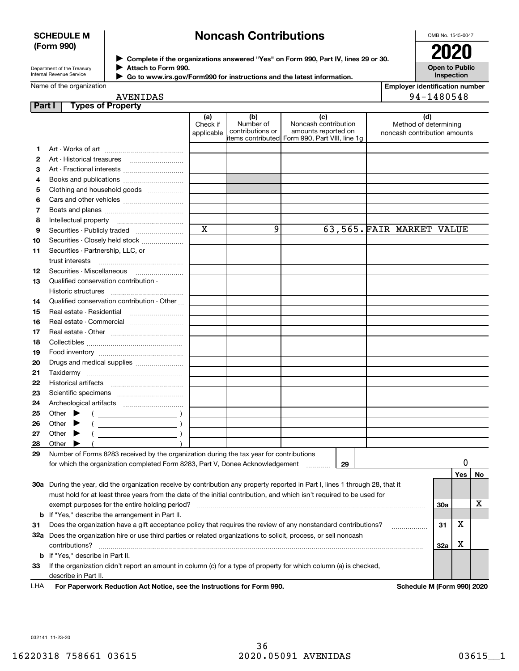## **SCHEDULE M (Form 990)**

# **Noncash Contributions**

OMB No. 1545-0047

| Department of the Treasury |
|----------------------------|
| Internal Revenue Service   |

**Complete if the organizations answered "Yes" on Form 990, Part IV, lines 29 or 30.** <sup>J</sup>**2020 Attach to Form 990.** J

**Open to Public Inspection**

| Go to www.irs.gov/Form990 for instructions and the latest information. |
|------------------------------------------------------------------------|
|                                                                        |

| <b>Employer identification number</b> |
|---------------------------------------|
| 94-1480548                            |

|                 | <b>AVENIDAS</b>                             |                               |                                      |                                                                                                       | 94-1480548                                                   |
|-----------------|---------------------------------------------|-------------------------------|--------------------------------------|-------------------------------------------------------------------------------------------------------|--------------------------------------------------------------|
| Part I          | <b>Types of Property</b>                    |                               |                                      |                                                                                                       |                                                              |
|                 |                                             | (a)<br>Check if<br>applicable | (b)<br>Number of<br>contributions or | (c)<br>Noncash contribution<br>amounts reported on<br>litems contributed Form 990, Part VIII, line 1q | (d)<br>Method of determining<br>noncash contribution amounts |
| 1.              |                                             |                               |                                      |                                                                                                       |                                                              |
| $\overline{2}$  |                                             |                               |                                      |                                                                                                       |                                                              |
| 3               |                                             |                               |                                      |                                                                                                       |                                                              |
| 4               |                                             |                               |                                      |                                                                                                       |                                                              |
| 5               | Clothing and household goods                |                               |                                      |                                                                                                       |                                                              |
| 6               |                                             |                               |                                      |                                                                                                       |                                                              |
| 7               |                                             |                               |                                      |                                                                                                       |                                                              |
| 8               |                                             |                               |                                      |                                                                                                       |                                                              |
| 9               |                                             | $\overline{\mathbf{x}}$       | 9                                    |                                                                                                       | 63,565. FAIR MARKET VALUE                                    |
| 10              | Securities - Closely held stock             |                               |                                      |                                                                                                       |                                                              |
| 11              | Securities - Partnership, LLC, or           |                               |                                      |                                                                                                       |                                                              |
|                 |                                             |                               |                                      |                                                                                                       |                                                              |
| 12 <sup>2</sup> |                                             |                               |                                      |                                                                                                       |                                                              |
| 13              | Qualified conservation contribution -       |                               |                                      |                                                                                                       |                                                              |
|                 | Historic structures                         |                               |                                      |                                                                                                       |                                                              |
| 14              | Qualified conservation contribution - Other |                               |                                      |                                                                                                       |                                                              |
| 15              |                                             |                               |                                      |                                                                                                       |                                                              |
| 16              |                                             |                               |                                      |                                                                                                       |                                                              |
| 17              |                                             |                               |                                      |                                                                                                       |                                                              |
| 18              |                                             |                               |                                      |                                                                                                       |                                                              |
| 19              |                                             |                               |                                      |                                                                                                       |                                                              |
| 20              | Drugs and medical supplies                  |                               |                                      |                                                                                                       |                                                              |
| 21              |                                             |                               |                                      |                                                                                                       |                                                              |

| 27  | Other                                          |  |  |                                                         |  |  |  |                                                                                                                            |     |  |    |  |     |     |           |
|-----|------------------------------------------------|--|--|---------------------------------------------------------|--|--|--|----------------------------------------------------------------------------------------------------------------------------|-----|--|----|--|-----|-----|-----------|
| 28  | Other                                          |  |  |                                                         |  |  |  |                                                                                                                            |     |  |    |  |     |     |           |
| 29  |                                                |  |  |                                                         |  |  |  | Number of Forms 8283 received by the organization during the tax year for contributions                                    |     |  |    |  |     |     |           |
|     |                                                |  |  |                                                         |  |  |  | for which the organization completed Form 8283, Part V, Donee Acknowledgement                                              |     |  | 29 |  |     |     |           |
|     |                                                |  |  |                                                         |  |  |  |                                                                                                                            |     |  |    |  |     | Yes | <b>No</b> |
| 30a |                                                |  |  |                                                         |  |  |  | During the year, did the organization receive by contribution any property reported in Part I, lines 1 through 28, that it |     |  |    |  |     |     |           |
|     |                                                |  |  |                                                         |  |  |  | must hold for at least three years from the date of the initial contribution, and which isn't required to be used for      |     |  |    |  |     |     |           |
|     | exempt purposes for the entire holding period? |  |  |                                                         |  |  |  |                                                                                                                            | 30a |  | x  |  |     |     |           |
|     |                                                |  |  | <b>b</b> If "Yes," describe the arrangement in Part II. |  |  |  |                                                                                                                            |     |  |    |  |     |     |           |
| 31  |                                                |  |  |                                                         |  |  |  | Does the organization have a gift acceptance policy that requires the review of any nonstandard contributions?             |     |  |    |  | 31  | х   |           |
| 32a |                                                |  |  |                                                         |  |  |  | Does the organization hire or use third parties or related organizations to solicit, process, or sell noncash              |     |  |    |  |     |     |           |
|     | contributions?                                 |  |  |                                                         |  |  |  |                                                                                                                            |     |  |    |  | 32a | х   |           |
|     |                                                |  |  | <b>b</b> If "Yes," describe in Part II.                 |  |  |  |                                                                                                                            |     |  |    |  |     |     |           |
| 33  |                                                |  |  |                                                         |  |  |  | If the organization didn't report an amount in column (c) for a type of property for which column (a) is checked,          |     |  |    |  |     |     |           |
|     | describe in Part II.                           |  |  |                                                         |  |  |  |                                                                                                                            |     |  |    |  |     |     |           |
|     |                                                |  |  |                                                         |  |  |  |                                                                                                                            |     |  |    |  |     |     |           |

**For Paperwork Reduction Act Notice, see the Instructions for Form 990. Schedule M (Form 990) 2020** LHA

032141 11-23-20

Historical artifacts ~~~~~~~~~~~~ Scientific specimens ~~~~~~~~~~~ Archeological artifacts ~~~~~~~~~~ Other  $\qquad \qquad (\qquad \qquad )$ Other  $\qquad \qquad (\qquad \qquad )$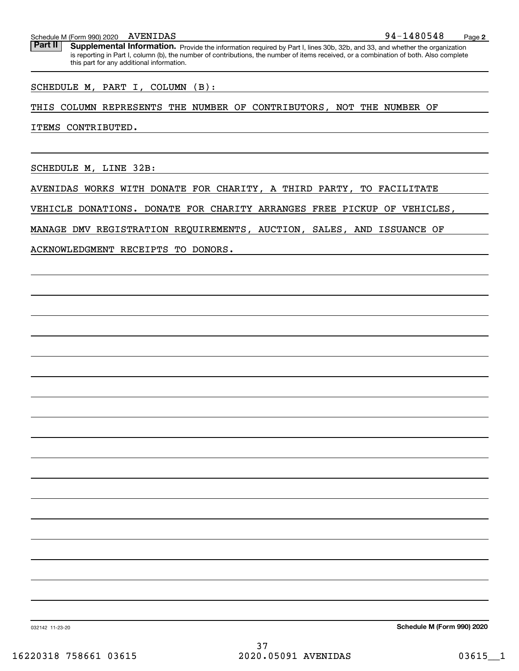#### Schedule M (Form 990) 2020 AVENIDAS

Part II | Supplemental Information. Provide the information required by Part I, lines 30b, 32b, and 33, and whether the organization is reporting in Part I, column (b), the number of contributions, the number of items received, or a combination of both. Also complete this part for any additional information.

SCHEDULE M, PART I, COLUMN (B):

### THIS COLUMN REPRESENTS THE NUMBER OF CONTRIBUTORS, NOT THE NUMBER OF

ITEMS CONTRIBUTED.

SCHEDULE M, LINE 32B:

AVENIDAS WORKS WITH DONATE FOR CHARITY, A THIRD PARTY, TO FACILITATE

VEHICLE DONATIONS. DONATE FOR CHARITY ARRANGES FREE PICKUP OF VEHICLES,

MANAGE DMV REGISTRATION REQUIREMENTS, AUCTION, SALES, AND ISSUANCE OF

ACKNOWLEDGMENT RECEIPTS TO DONORS.

**Schedule M (Form 990) 2020**

032142 11-23-20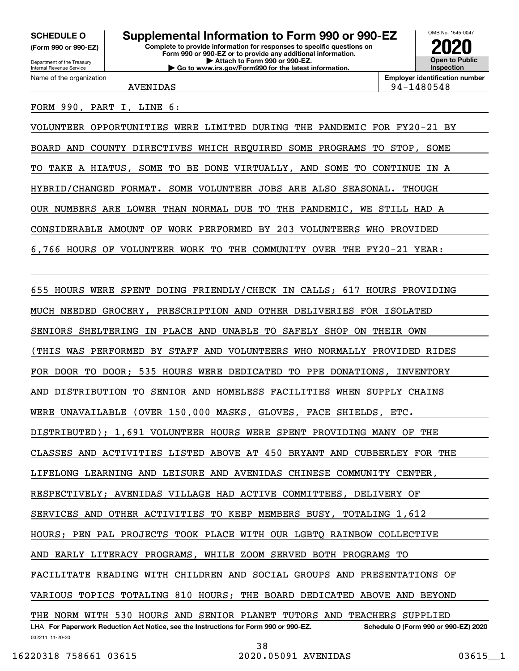**(Form 990 or 990-EZ)**

Department of the Treasury Internal Revenue Service Name of the organization

# **Complete to provide information for responses to specific questions on SCHEDULE O Supplemental Information to Form 990 or 990-EZ**

**Form 990 or 990-EZ or to provide any additional information. | Attach to Form 990 or 990-EZ. | Go to www.irs.gov/Form990 for the latest information.**



**Employer identification number** AVENIDAS 94-1480548

### FORM 990, PART I, LINE 6:

VOLUNTEER OPPORTUNITIES WERE LIMITED DURING THE PANDEMIC FOR FY20-21 BY BOARD AND COUNTY DIRECTIVES WHICH REQUIRED SOME PROGRAMS TO STOP, SOME TO TAKE A HIATUS, SOME TO BE DONE VIRTUALLY, AND SOME TO CONTINUE IN A HYBRID/CHANGED FORMAT. SOME VOLUNTEER JOBS ARE ALSO SEASONAL. THOUGH OUR NUMBERS ARE LOWER THAN NORMAL DUE TO THE PANDEMIC, WE STILL HAD A CONSIDERABLE AMOUNT OF WORK PERFORMED BY 203 VOLUNTEERS WHO PROVIDED 6,766 HOURS OF VOLUNTEER WORK TO THE COMMUNITY OVER THE FY20-21 YEAR:

032211 11-20-20 LHA For Paperwork Reduction Act Notice, see the Instructions for Form 990 or 990-EZ. Schedule O (Form 990 or 990-EZ) 2020 655 HOURS WERE SPENT DOING FRIENDLY/CHECK IN CALLS; 617 HOURS PROVIDING MUCH NEEDED GROCERY, PRESCRIPTION AND OTHER DELIVERIES FOR ISOLATED SENIORS SHELTERING IN PLACE AND UNABLE TO SAFELY SHOP ON THEIR OWN (THIS WAS PERFORMED BY STAFF AND VOLUNTEERS WHO NORMALLY PROVIDED RIDES FOR DOOR TO DOOR; 535 HOURS WERE DEDICATED TO PPE DONATIONS, INVENTORY AND DISTRIBUTION TO SENIOR AND HOMELESS FACILITIES WHEN SUPPLY CHAINS WERE UNAVAILABLE (OVER 150,000 MASKS, GLOVES, FACE SHIELDS, ETC. DISTRIBUTED); 1,691 VOLUNTEER HOURS WERE SPENT PROVIDING MANY OF THE CLASSES AND ACTIVITIES LISTED ABOVE AT 450 BRYANT AND CUBBERLEY FOR THE LIFELONG LEARNING AND LEISURE AND AVENIDAS CHINESE COMMUNITY CENTER, RESPECTIVELY; AVENIDAS VILLAGE HAD ACTIVE COMMITTEES, DELIVERY OF SERVICES AND OTHER ACTIVITIES TO KEEP MEMBERS BUSY, TOTALING 1,612 HOURS; PEN PAL PROJECTS TOOK PLACE WITH OUR LGBTQ RAINBOW COLLECTIVE AND EARLY LITERACY PROGRAMS, WHILE ZOOM SERVED BOTH PROGRAMS TO FACILITATE READING WITH CHILDREN AND SOCIAL GROUPS AND PRESENTATIONS OF VARIOUS TOPICS TOTALING 810 HOURS; THE BOARD DEDICATED ABOVE AND BEYOND THE NORM WITH 530 HOURS AND SENIOR PLANET TUTORS AND TEACHERS SUPPLIED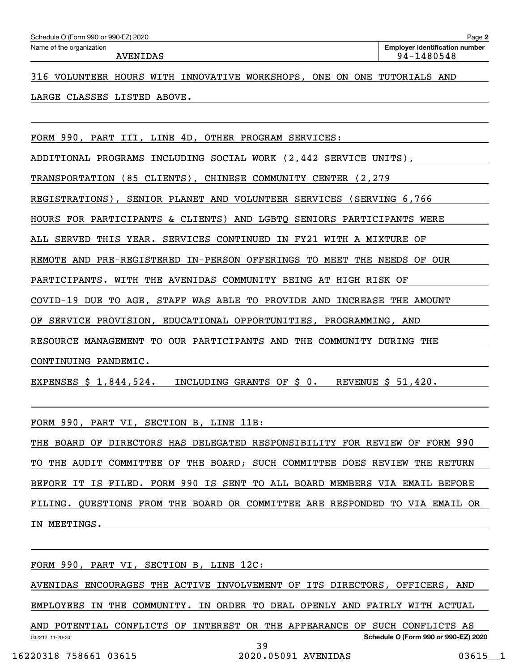| Schedule O (Form 990 or 990-EZ) 2020 |  |
|--------------------------------------|--|
|                                      |  |

316 VOLUNTEER HOURS WITH INNOVATIVE WORKSHOPS, ONE ON ONE TUTORIALS AND

LARGE CLASSES LISTED ABOVE.

FORM 990, PART III, LINE 4D, OTHER PROGRAM SERVICES:

ADDITIONAL PROGRAMS INCLUDING SOCIAL WORK (2,442 SERVICE UNITS),

TRANSPORTATION (85 CLIENTS), CHINESE COMMUNITY CENTER (2,279

REGISTRATIONS), SENIOR PLANET AND VOLUNTEER SERVICES (SERVING 6,766

HOURS FOR PARTICIPANTS & CLIENTS) AND LGBTQ SENIORS PARTICIPANTS WERE

ALL SERVED THIS YEAR. SERVICES CONTINUED IN FY21 WITH A MIXTURE OF

REMOTE AND PRE-REGISTERED IN-PERSON OFFERINGS TO MEET THE NEEDS OF OUR

PARTICIPANTS. WITH THE AVENIDAS COMMUNITY BEING AT HIGH RISK OF

COVID-19 DUE TO AGE, STAFF WAS ABLE TO PROVIDE AND INCREASE THE AMOUNT

OF SERVICE PROVISION, EDUCATIONAL OPPORTUNITIES, PROGRAMMING, AND

RESOURCE MANAGEMENT TO OUR PARTICIPANTS AND THE COMMUNITY DURING THE

CONTINUING PANDEMIC.

EXPENSES \$ 1,844,524. INCLUDING GRANTS OF \$ 0. REVENUE \$ 51,420.

FORM 990, PART VI, SECTION B, LINE 11B:

THE BOARD OF DIRECTORS HAS DELEGATED RESPONSIBILITY FOR REVIEW OF FORM 990 TO THE AUDIT COMMITTEE OF THE BOARD; SUCH COMMITTEE DOES REVIEW THE RETURN BEFORE IT IS FILED. FORM 990 IS SENT TO ALL BOARD MEMBERS VIA EMAIL BEFORE FILING. QUESTIONS FROM THE BOARD OR COMMITTEE ARE RESPONDED TO VIA EMAIL OR IN MEETINGS.

032212 11-20-20 **Schedule O (Form 990 or 990-EZ) 2020** FORM 990, PART VI, SECTION B, LINE 12C: AVENIDAS ENCOURAGES THE ACTIVE INVOLVEMENT OF ITS DIRECTORS, OFFICERS, AND EMPLOYEES IN THE COMMUNITY. IN ORDER TO DEAL OPENLY AND FAIRLY WITH ACTUAL AND POTENTIAL CONFLICTS OF INTEREST OR THE APPEARANCE OF SUCH CONFLICTS AS 39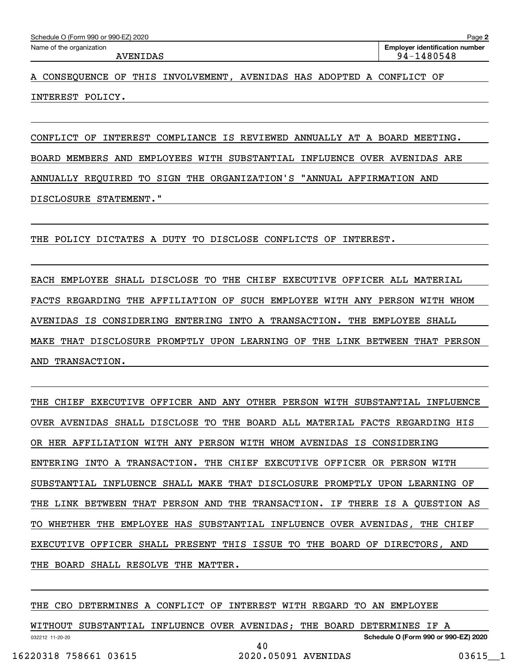A CONSEQUENCE OF THIS INVOLVEMENT, AVENIDAS HAS ADOPTED A CONFLICT OF INTEREST POLICY.

CONFLICT OF INTEREST COMPLIANCE IS REVIEWED ANNUALLY AT A BOARD MEETING. BOARD MEMBERS AND EMPLOYEES WITH SUBSTANTIAL INFLUENCE OVER AVENIDAS ARE ANNUALLY REQUIRED TO SIGN THE ORGANIZATION'S "ANNUAL AFFIRMATION AND DISCLOSURE STATEMENT."

THE POLICY DICTATES A DUTY TO DISCLOSE CONFLICTS OF INTEREST.

EACH EMPLOYEE SHALL DISCLOSE TO THE CHIEF EXECUTIVE OFFICER ALL MATERIAL FACTS REGARDING THE AFFILIATION OF SUCH EMPLOYEE WITH ANY PERSON WITH WHOM AVENIDAS IS CONSIDERING ENTERING INTO A TRANSACTION. THE EMPLOYEE SHALL MAKE THAT DISCLOSURE PROMPTLY UPON LEARNING OF THE LINK BETWEEN THAT PERSON AND TRANSACTION.

THE CHIEF EXECUTIVE OFFICER AND ANY OTHER PERSON WITH SUBSTANTIAL INFLUENCE OVER AVENIDAS SHALL DISCLOSE TO THE BOARD ALL MATERIAL FACTS REGARDING HIS OR HER AFFILIATION WITH ANY PERSON WITH WHOM AVENIDAS IS CONSIDERING ENTERING INTO A TRANSACTION. THE CHIEF EXECUTIVE OFFICER OR PERSON WITH SUBSTANTIAL INFLUENCE SHALL MAKE THAT DISCLOSURE PROMPTLY UPON LEARNING OF THE LINK BETWEEN THAT PERSON AND THE TRANSACTION. IF THERE IS A QUESTION AS TO WHETHER THE EMPLOYEE HAS SUBSTANTIAL INFLUENCE OVER AVENIDAS, THE CHIEF EXECUTIVE OFFICER SHALL PRESENT THIS ISSUE TO THE BOARD OF DIRECTORS, AND THE BOARD SHALL RESOLVE THE MATTER.

THE CEO DETERMINES A CONFLICT OF INTEREST WITH REGARD TO AN EMPLOYEE

032212 11-20-20 **Schedule O (Form 990 or 990-EZ) 2020** WITHOUT SUBSTANTIAL INFLUENCE OVER AVENIDAS; THE BOARD DETERMINES IF A 40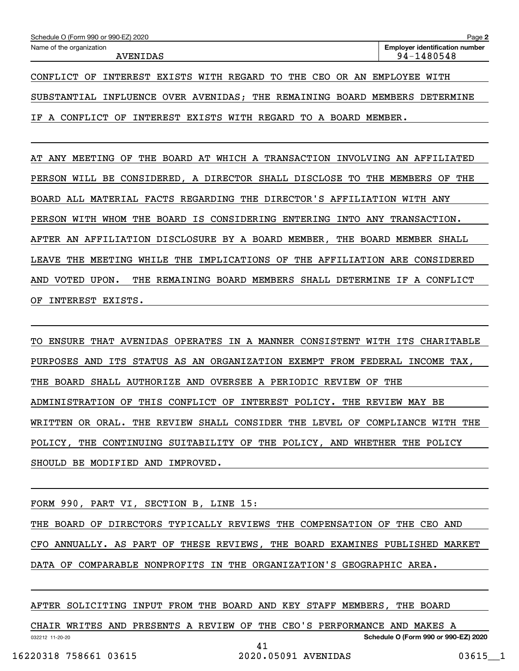| Schedule O (Form 990 or 990-EZ) 2020 | Page 2                                |
|--------------------------------------|---------------------------------------|
| Name of the organization             | <b>Emplover identification number</b> |
| AVENIDAS                             | 94-1480548                            |

CONFLICT OF INTEREST EXISTS WITH REGARD TO THE CEO OR AN EMPLOYEE WITH SUBSTANTIAL INFLUENCE OVER AVENIDAS; THE REMAINING BOARD MEMBERS DETERMINE IF A CONFLICT OF INTEREST EXISTS WITH REGARD TO A BOARD MEMBER.

AT ANY MEETING OF THE BOARD AT WHICH A TRANSACTION INVOLVING AN AFFILIATED PERSON WILL BE CONSIDERED, A DIRECTOR SHALL DISCLOSE TO THE MEMBERS OF THE BOARD ALL MATERIAL FACTS REGARDING THE DIRECTOR'S AFFILIATION WITH ANY PERSON WITH WHOM THE BOARD IS CONSIDERING ENTERING INTO ANY TRANSACTION. AFTER AN AFFILIATION DISCLOSURE BY A BOARD MEMBER, THE BOARD MEMBER SHALL LEAVE THE MEETING WHILE THE IMPLICATIONS OF THE AFFILIATION ARE CONSIDERED AND VOTED UPON. THE REMAINING BOARD MEMBERS SHALL DETERMINE IF A CONFLICT OF INTEREST EXISTS.

TO ENSURE THAT AVENIDAS OPERATES IN A MANNER CONSISTENT WITH ITS CHARITABLE PURPOSES AND ITS STATUS AS AN ORGANIZATION EXEMPT FROM FEDERAL INCOME TAX, THE BOARD SHALL AUTHORIZE AND OVERSEE A PERIODIC REVIEW OF THE ADMINISTRATION OF THIS CONFLICT OF INTEREST POLICY. THE REVIEW MAY BE WRITTEN OR ORAL. THE REVIEW SHALL CONSIDER THE LEVEL OF COMPLIANCE WITH THE POLICY, THE CONTINUING SUITABILITY OF THE POLICY, AND WHETHER THE POLICY SHOULD BE MODIFIED AND IMPROVED.

FORM 990, PART VI, SECTION B, LINE 15:

THE BOARD OF DIRECTORS TYPICALLY REVIEWS THE COMPENSATION OF THE CEO AND CFO ANNUALLY. AS PART OF THESE REVIEWS, THE BOARD EXAMINES PUBLISHED MARKET DATA OF COMPARABLE NONPROFITS IN THE ORGANIZATION'S GEOGRAPHIC AREA.

AFTER SOLICITING INPUT FROM THE BOARD AND KEY STAFF MEMBERS, THE BOARD

032212 11-20-20 **Schedule O (Form 990 or 990-EZ) 2020** CHAIR WRITES AND PRESENTS A REVIEW OF THE CEO'S PERFORMANCE AND MAKES A 41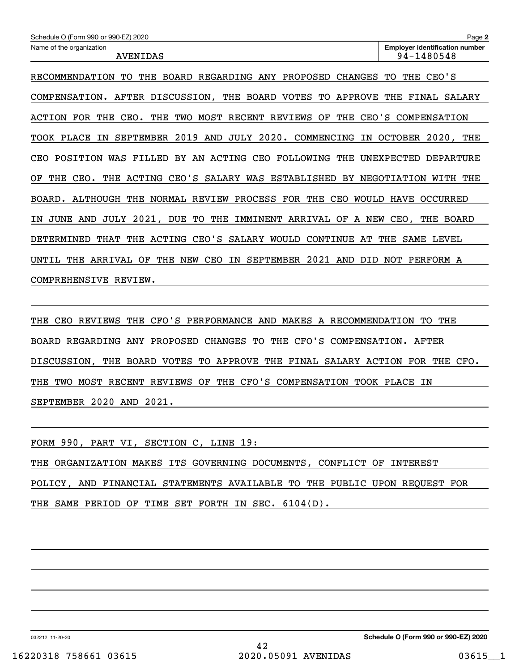| Schedule O (Form 990 or 990-EZ) 2020                                                               | Page 2                                              |
|----------------------------------------------------------------------------------------------------|-----------------------------------------------------|
| Name of the organization<br><b>AVENIDAS</b>                                                        | <b>Employer identification number</b><br>94-1480548 |
|                                                                                                    |                                                     |
| RECOMMENDATION<br>THE<br><b>BOARD</b><br>REGARDING ANY<br>PROPOSED<br><b>CHANGES</b><br>TО         | CEO'S<br>TО<br>THE                                  |
| AFTER DISCUSSION,<br>THE<br>BOARD VOTES<br>APPROVE<br>COMPENSATION.<br>TО                          | THE<br>FINAL<br>SALARY                              |
| MOST<br>RECENT<br>THE<br>CEO'S<br>ACTION<br>FOR<br>THE<br>CEO.<br>THE<br>TWO<br>REVIEWS<br>OF      | COMPENSATION                                        |
| 2019<br>2020.<br>AND<br>JULY<br>COMMENCING<br>TOOK PLACE<br>IΝ<br><b>SEPTEMBER</b><br>IN           | <b>OCTOBER</b><br>$2020$ ,<br>THE                   |
| BY AN ACTING<br>CEO FOLLOWING<br>POSITION WAS FILLED<br>THE<br>CEO                                 | UNEXPECTED<br><b>DEPARTURE</b>                      |
| CEO'S<br>ACTING<br>SALARY<br>WAS<br>ESTABLISHED<br>ΟF<br>THE<br>CEO.<br>THE<br>BY                  | NEGOTIATION<br>WITH<br>THE                          |
| ALTHOUGH<br>THE<br>NORMAL<br>REVIEW<br>PROCESS<br>FOR<br>THE<br>CEO<br>WOULD<br>BOARD.             | OCCURRED<br><b>HAVE</b>                             |
| JUNE<br>AND<br>JULY<br>2021,<br>DUE<br>TО<br>THE<br>IMMINENT<br>ARRIVAL<br>A NEW<br>ОF<br>ΙN       | CEO,<br>THE<br><b>BOARD</b>                         |
| CEO'S<br>WOULD<br>DETERMINED<br>THE<br>ACTING<br>SALARY<br>CONTINUE<br>AТ<br>THAT                  | THE<br>SAME LEVEL                                   |
| 2021<br><b>SEPTEMBER</b><br>THE<br>ARRIVAL<br>OF<br>THE<br>NEW<br>CEO<br>ΙN<br>AND<br>DID<br>UNTIL | NOT<br>PERFORM A                                    |
| REVIEW.<br>COMPREHENSIVE                                                                           |                                                     |

THE CEO REVIEWS THE CFO'S PERFORMANCE AND MAKES A RECOMMENDATION TO THE BOARD REGARDING ANY PROPOSED CHANGES TO THE CFO'S COMPENSATION. AFTER DISCUSSION, THE BOARD VOTES TO APPROVE THE FINAL SALARY ACTION FOR THE CFO. THE TWO MOST RECENT REVIEWS OF THE CFO'S COMPENSATION TOOK PLACE IN SEPTEMBER 2020 AND 2021.

FORM 990, PART VI, SECTION C, LINE 19: THE ORGANIZATION MAKES ITS GOVERNING DOCUMENTS, CONFLICT OF INTEREST POLICY, AND FINANCIAL STATEMENTS AVAILABLE TO THE PUBLIC UPON REQUEST FOR

THE SAME PERIOD OF TIME SET FORTH IN SEC. 6104(D).

032212 11-20-20

**Schedule O (Form 990 or 990-EZ) 2020**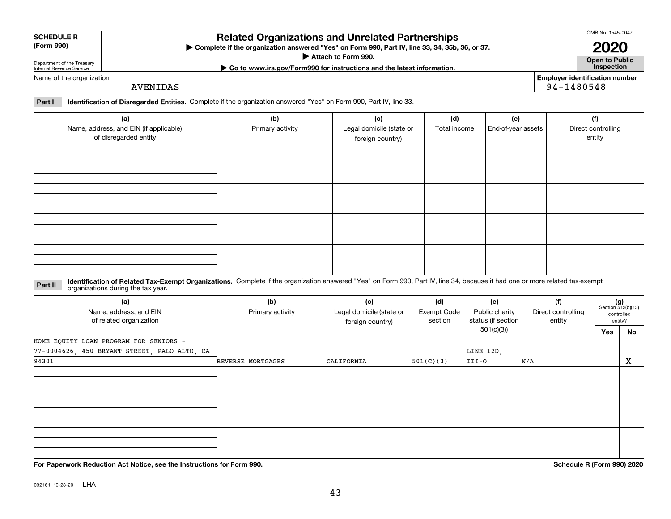| <b>ror Paperw</b> |  |  |
|-------------------|--|--|
|                   |  |  |

032161 10-28-20 **LHA** 

## **Complete if the organization answered "Yes" on Form 990, Part IV, line 33, 34, 35b, 36, or 37.** | **Related Organizations and Unrelated Partnerships**

**Attach to Form 990.**  |

#### **Open to Public | Go to www.irs.gov/Form990 for instructions and the latest information. Inspection**

**2020**

Department of the Treasury Internal Revenue Service Name of the organization

**SCHEDULE R (Form 990)**

AVENIDAS

**Employer identification number** 94-1480548

**Part I Identification of Disregarded Entities.**  Complete if the organization answered "Yes" on Form 990, Part IV, line 33.

| (a)<br>Name, address, and EIN (if applicable)<br>of disregarded entity | (b)<br>Primary activity | (c)<br>Legal domicile (state or<br>foreign country) | (d)<br>Total income | (e)<br>End-of-year assets | (f)<br>Direct controlling<br>entity |
|------------------------------------------------------------------------|-------------------------|-----------------------------------------------------|---------------------|---------------------------|-------------------------------------|
|                                                                        |                         |                                                     |                     |                           |                                     |
|                                                                        |                         |                                                     |                     |                           |                                     |
|                                                                        |                         |                                                     |                     |                           |                                     |
|                                                                        |                         |                                                     |                     |                           |                                     |

**Part II** Identification of Related Tax-Exempt Organizations. Complete if the organization answered "Yes" on Form 990, Part IV, line 34, because it had one or more related tax-exempt<br>Complete it is a series of the organiza

| (a)                                          | (b)               | (c)                      | (d)                | (e)                | (f)                | $(g)$<br>Section 512(b)(13) |            |  |
|----------------------------------------------|-------------------|--------------------------|--------------------|--------------------|--------------------|-----------------------------|------------|--|
| Name, address, and EIN                       | Primary activity  | Legal domicile (state or | <b>Exempt Code</b> | Public charity     | Direct controlling |                             | controlled |  |
| of related organization                      |                   | foreign country)         | section            | status (if section | entity             |                             | entity?    |  |
|                                              |                   |                          |                    | 501(c)(3))         |                    | Yes                         | No         |  |
| HOME EQUITY LOAN PROGRAM FOR SENIORS -       |                   |                          |                    |                    |                    |                             |            |  |
| 77-0004626, 450 BRYANT STREET, PALO ALTO, CA |                   |                          |                    | LINE 12D,          |                    |                             |            |  |
| 94301                                        | REVERSE MORTGAGES | CALIFORNIA               | 501(C)(3)          | III-O              | N/A                |                             | X          |  |
|                                              |                   |                          |                    |                    |                    |                             |            |  |
|                                              |                   |                          |                    |                    |                    |                             |            |  |
|                                              |                   |                          |                    |                    |                    |                             |            |  |
|                                              |                   |                          |                    |                    |                    |                             |            |  |
|                                              |                   |                          |                    |                    |                    |                             |            |  |
|                                              |                   |                          |                    |                    |                    |                             |            |  |
|                                              |                   |                          |                    |                    |                    |                             |            |  |
|                                              |                   |                          |                    |                    |                    |                             |            |  |
|                                              |                   |                          |                    |                    |                    |                             |            |  |

**For Paperwork Reduction Act Notice, see the Instructions for Form 990. Schedule R (Form 990) 2020**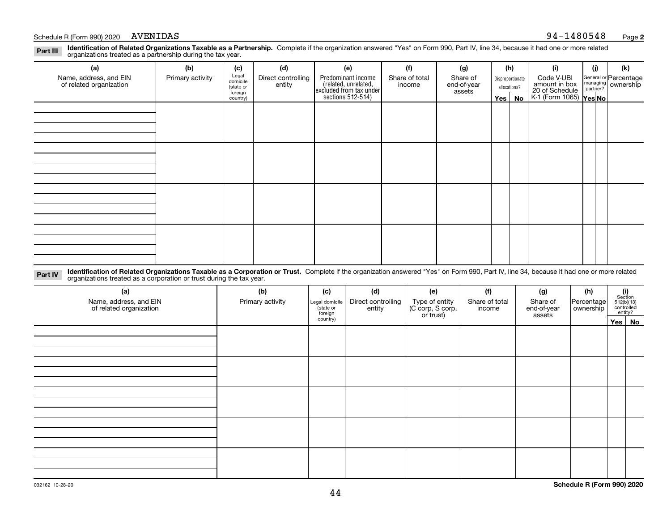## Schedule R (Form 990) 2020 AVENIDAS

|          | Identification of Related Organizations Taxable as a Partnership. Complete if the organization answered "Yes" on Form 990, Part IV, line 34, because it had one or more related |  |  |
|----------|---------------------------------------------------------------------------------------------------------------------------------------------------------------------------------|--|--|
| Part III |                                                                                                                                                                                 |  |  |
|          | organizations treated as a partnership during the tax year.                                                                                                                     |  |  |
|          |                                                                                                                                                                                 |  |  |

| (a)                                               | (b)              | (c)                  | (d)                          | (e)                                                                  | (f)                      | (g)                     | (h)              | (i)                                                       | (j) | (k)                                                       |
|---------------------------------------------------|------------------|----------------------|------------------------------|----------------------------------------------------------------------|--------------------------|-------------------------|------------------|-----------------------------------------------------------|-----|-----------------------------------------------------------|
| Name, address, and EIN<br>of related organization | Primary activity | Legal<br>domicile    | Direct controlling<br>entity | Predominant income                                                   | Share of total<br>income | Share of<br>end-of-year | Disproportionate | Code V-UBI                                                |     | General or Percentage<br>managing<br>partner?<br>partner? |
|                                                   |                  | (state or<br>foreign |                              | (related, unrelated,<br>excluded from tax under<br>sections 512-514) |                          | assets                  | allocations?     |                                                           |     |                                                           |
|                                                   |                  | country)             |                              |                                                                      |                          |                         | Yes   No         | amount in box<br>20 of Schedule<br>K-1 (Form 1065) Yes No |     |                                                           |
|                                                   |                  |                      |                              |                                                                      |                          |                         |                  |                                                           |     |                                                           |
|                                                   |                  |                      |                              |                                                                      |                          |                         |                  |                                                           |     |                                                           |
|                                                   |                  |                      |                              |                                                                      |                          |                         |                  |                                                           |     |                                                           |
|                                                   |                  |                      |                              |                                                                      |                          |                         |                  |                                                           |     |                                                           |
|                                                   |                  |                      |                              |                                                                      |                          |                         |                  |                                                           |     |                                                           |
|                                                   |                  |                      |                              |                                                                      |                          |                         |                  |                                                           |     |                                                           |
|                                                   |                  |                      |                              |                                                                      |                          |                         |                  |                                                           |     |                                                           |
|                                                   |                  |                      |                              |                                                                      |                          |                         |                  |                                                           |     |                                                           |
|                                                   |                  |                      |                              |                                                                      |                          |                         |                  |                                                           |     |                                                           |
|                                                   |                  |                      |                              |                                                                      |                          |                         |                  |                                                           |     |                                                           |
|                                                   |                  |                      |                              |                                                                      |                          |                         |                  |                                                           |     |                                                           |
|                                                   |                  |                      |                              |                                                                      |                          |                         |                  |                                                           |     |                                                           |
|                                                   |                  |                      |                              |                                                                      |                          |                         |                  |                                                           |     |                                                           |
|                                                   |                  |                      |                              |                                                                      |                          |                         |                  |                                                           |     |                                                           |
|                                                   |                  |                      |                              |                                                                      |                          |                         |                  |                                                           |     |                                                           |
|                                                   |                  |                      |                              |                                                                      |                          |                         |                  |                                                           |     |                                                           |
|                                                   |                  |                      |                              |                                                                      |                          |                         |                  |                                                           |     |                                                           |

**Identification of Related Organizations Taxable as a Corporation or Trust.** Complete if the organization answered "Yes" on Form 990, Part IV, line 34, because it had one or more related **Part IV** organizations treated as a corporation or trust during the tax year.

| (a)<br>Name, address, and EIN<br>of related organization | (b)<br>Primary activity | (c)<br>Legal domicile<br>(state or<br>foreign | (d)<br>Direct controlling<br>entity | (e)<br>Type of entity<br>(C corp, S corp,<br>or trust) | (f)<br>Share of total<br>income | (g)<br>Share of<br>end-of-year<br>assets | (h)<br>Percentage<br>ownership | $\begin{array}{c} \textbf{(i)}\\ \text{Section}\\ 512 \text{(b)} \text{(13)}\\ \text{controlled}\\ \text{entity?} \end{array}$ |        |
|----------------------------------------------------------|-------------------------|-----------------------------------------------|-------------------------------------|--------------------------------------------------------|---------------------------------|------------------------------------------|--------------------------------|--------------------------------------------------------------------------------------------------------------------------------|--------|
|                                                          |                         | country)                                      |                                     |                                                        |                                 |                                          |                                |                                                                                                                                | Yes No |
|                                                          |                         |                                               |                                     |                                                        |                                 |                                          |                                |                                                                                                                                |        |
|                                                          |                         |                                               |                                     |                                                        |                                 |                                          |                                |                                                                                                                                |        |
|                                                          |                         |                                               |                                     |                                                        |                                 |                                          |                                |                                                                                                                                |        |
|                                                          |                         |                                               |                                     |                                                        |                                 |                                          |                                |                                                                                                                                |        |
|                                                          |                         |                                               |                                     |                                                        |                                 |                                          |                                |                                                                                                                                |        |
|                                                          |                         |                                               |                                     |                                                        |                                 |                                          |                                |                                                                                                                                |        |
|                                                          |                         |                                               |                                     |                                                        |                                 |                                          |                                |                                                                                                                                |        |
|                                                          |                         |                                               |                                     |                                                        |                                 |                                          |                                |                                                                                                                                |        |
|                                                          |                         |                                               |                                     |                                                        |                                 |                                          |                                |                                                                                                                                |        |
|                                                          |                         |                                               |                                     |                                                        |                                 |                                          |                                |                                                                                                                                |        |
|                                                          |                         |                                               |                                     |                                                        |                                 |                                          |                                |                                                                                                                                |        |
|                                                          |                         |                                               |                                     |                                                        |                                 |                                          |                                |                                                                                                                                |        |
|                                                          |                         |                                               |                                     |                                                        |                                 |                                          |                                |                                                                                                                                |        |
|                                                          |                         |                                               |                                     |                                                        |                                 |                                          |                                |                                                                                                                                |        |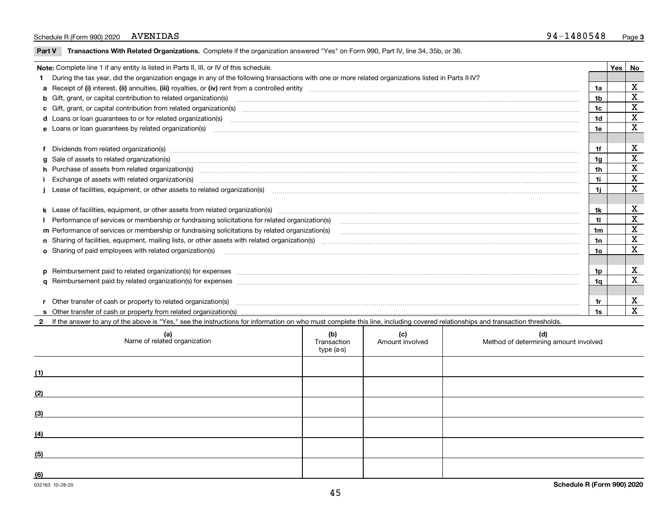### Schedule R (Form 990) 2020 AVENIDAS

 $\overline{\phantom{0}}$ 

**Part V** T**ransactions With Related Organizations.** Complete if the organization answered "Yes" on Form 990, Part IV, line 34, 35b, or 36.

| Note: Complete line 1 if any entity is listed in Parts II, III, or IV of this schedule. |                                                                                                                                                                                                                                |                |  |                  |  |
|-----------------------------------------------------------------------------------------|--------------------------------------------------------------------------------------------------------------------------------------------------------------------------------------------------------------------------------|----------------|--|------------------|--|
|                                                                                         | During the tax year, did the organization engage in any of the following transactions with one or more related organizations listed in Parts II-IV?                                                                            |                |  |                  |  |
|                                                                                         |                                                                                                                                                                                                                                | 1a             |  | x                |  |
|                                                                                         | b Gift, grant, or capital contribution to related organization(s) material contracts and contribution to related organization(s)                                                                                               | 1b             |  | $\mathbf X$      |  |
|                                                                                         |                                                                                                                                                                                                                                | 1c             |  | X                |  |
|                                                                                         | <b>d</b> Loans or loan quarantees to or for related organization(s)                                                                                                                                                            | 1d             |  | X<br>$\mathbf x$ |  |
|                                                                                         |                                                                                                                                                                                                                                |                |  |                  |  |
|                                                                                         |                                                                                                                                                                                                                                |                |  |                  |  |
|                                                                                         | f Dividends from related organization(s) manufactured contains and contained a series of the contact of the contact of the contact of the contact of the contact of the contact of the contact of the contact of the contact o | 1f             |  | X                |  |
|                                                                                         |                                                                                                                                                                                                                                | 1a             |  | X                |  |
|                                                                                         | h Purchase of assets from related organization(s) www.assets.com/material/community/community/community/community/community/community/community/community/community/community/community/community/community/community/communit | 1 <sub>h</sub> |  | X                |  |
|                                                                                         | Exchange of assets with related organization(s) www.wallen.com/www.wallen.com/www.wallen.com/www.wallen.com/www.wallen.com/www.wallen.com/www.wallen.com/www.wallen.com/www.wallen.com/www.wallen.com/www.wallen.com/www.walle | 1i.            |  | X                |  |
|                                                                                         |                                                                                                                                                                                                                                | 11             |  | X                |  |
|                                                                                         |                                                                                                                                                                                                                                |                |  |                  |  |
|                                                                                         |                                                                                                                                                                                                                                | 1k             |  | х                |  |
|                                                                                         |                                                                                                                                                                                                                                | 11             |  | X                |  |
|                                                                                         | m Performance of services or membership or fundraising solicitations by related organization(s)<br>1 <sub>m</sub>                                                                                                              |                |  |                  |  |
|                                                                                         |                                                                                                                                                                                                                                | 1n             |  | X                |  |
|                                                                                         | o Sharing of paid employees with related organization(s) manufactured and content to the content of the content of the content of the content of the content of the content of the content of the content of the content of th | 1o             |  | X                |  |
|                                                                                         |                                                                                                                                                                                                                                |                |  |                  |  |
|                                                                                         | p Reimbursement paid to related organization(s) for expenses [11111] [12] manufacture manufacture manufacture manufacture manufacture manufacture manufacture manufacture manufacture manufacture manufacture manufacture manu | 1p             |  | х                |  |
|                                                                                         |                                                                                                                                                                                                                                | 1q             |  | X                |  |
|                                                                                         |                                                                                                                                                                                                                                |                |  |                  |  |
|                                                                                         | r Other transfer of cash or property to related organization(s)                                                                                                                                                                | 1r             |  | X                |  |
|                                                                                         |                                                                                                                                                                                                                                | 1s             |  | $\mathbf{x}$     |  |
|                                                                                         | If the answer to any of the above is "Yes," see the instructions for information on who must complete this line, including covered relationships and transaction thresholds.                                                   |                |  |                  |  |

| (a)<br>Name of related organization | (b)<br>Transaction<br>type (a-s) | (c)<br>Amount involved | (d)<br>Method of determining amount involved |
|-------------------------------------|----------------------------------|------------------------|----------------------------------------------|
| (1)                                 |                                  |                        |                                              |
| (2)                                 |                                  |                        |                                              |
| (3)                                 |                                  |                        |                                              |
| (4)                                 |                                  |                        |                                              |
| (5)                                 |                                  |                        |                                              |
| (6)                                 |                                  |                        |                                              |